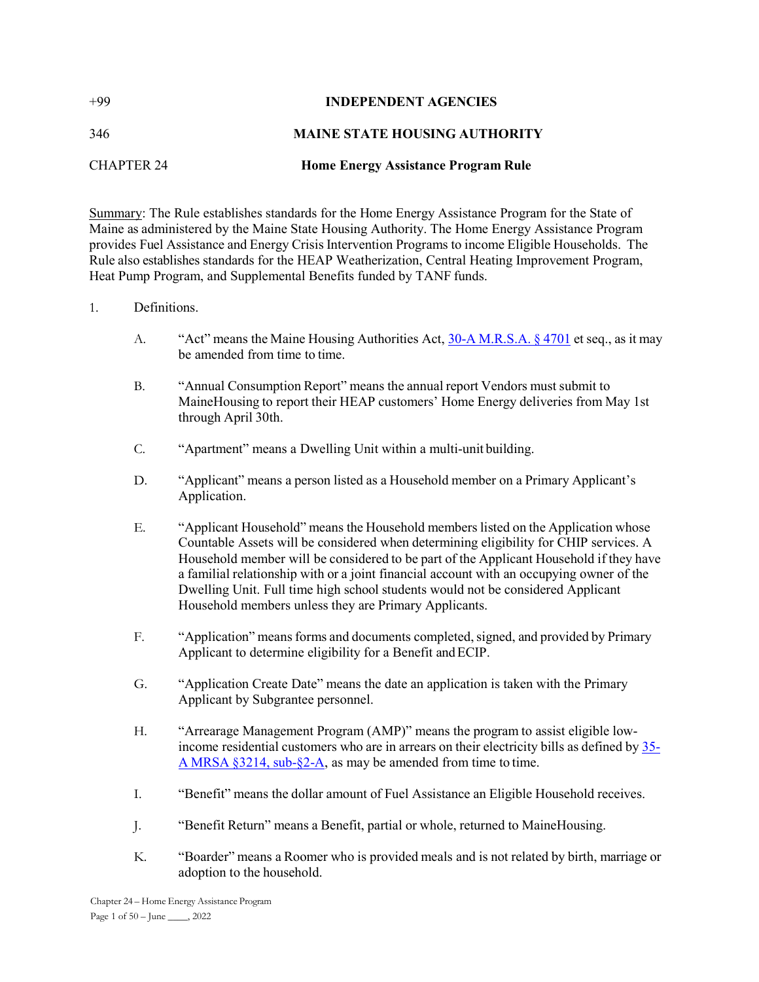| $+99$      | <b>INDEPENDENT AGENCIES</b>                |
|------------|--------------------------------------------|
| 346        | <b>MAINE STATE HOUSING AUTHORITY</b>       |
| CHAPTER 24 | <b>Home Energy Assistance Program Rule</b> |

Summary: The Rule establishes standards for the Home Energy Assistance Program for the State of Maine as administered by the Maine State Housing Authority. The Home Energy Assistance Program provides Fuel Assistance and Energy Crisis Intervention Programs to income Eligible Households. The Rule also establishes standards for the HEAP Weatherization, Central Heating Improvement Program, Heat Pump Program, and Supplemental Benefits funded by TANF funds.

### 1. Definitions.

- A. "Act" means the Maine Housing Authorities Act,  $30-A$  M.R.S.A. § 4701 et seq., as it may be amended from time to time.
- B. "Annual Consumption Report" means the annual report Vendors must submit to MaineHousing to report their HEAP customers' Home Energy deliveries from May 1st through April 30th.
- C. "Apartment" means a Dwelling Unit within a multi-unit building.
- D. "Applicant" means a person listed as a Household member on a Primary Applicant's Application.
- E. "Applicant Household" means the Household members listed on the Application whose Countable Assets will be considered when determining eligibility for CHIP services. A Household member will be considered to be part of the Applicant Household if they have a familial relationship with or a joint financial account with an occupying owner of the Dwelling Unit. Full time high school students would not be considered Applicant Household members unless they are Primary Applicants.
- F. "Application" means forms and documents completed, signed, and provided by Primary Applicant to determine eligibility for a Benefit and ECIP.
- G. "Application Create Date" means the date an application is taken with the Primary Applicant by Subgrantee personnel.
- H. "Arrearage Management Program (AMP)" means the program to assist eligible lowincome residential customers who are in arrears on their electricity bills as defined by 35- A MRSA §3214, sub-§2-A, as may be amended from time to time.
- I. "Benefit" means the dollar amount of Fuel Assistance an Eligible Household receives.
- J. "Benefit Return" means a Benefit, partial or whole, returned to MaineHousing.
- K. "Boarder" means a Roomer who is provided meals and is not related by birth, marriage or adoption to the household.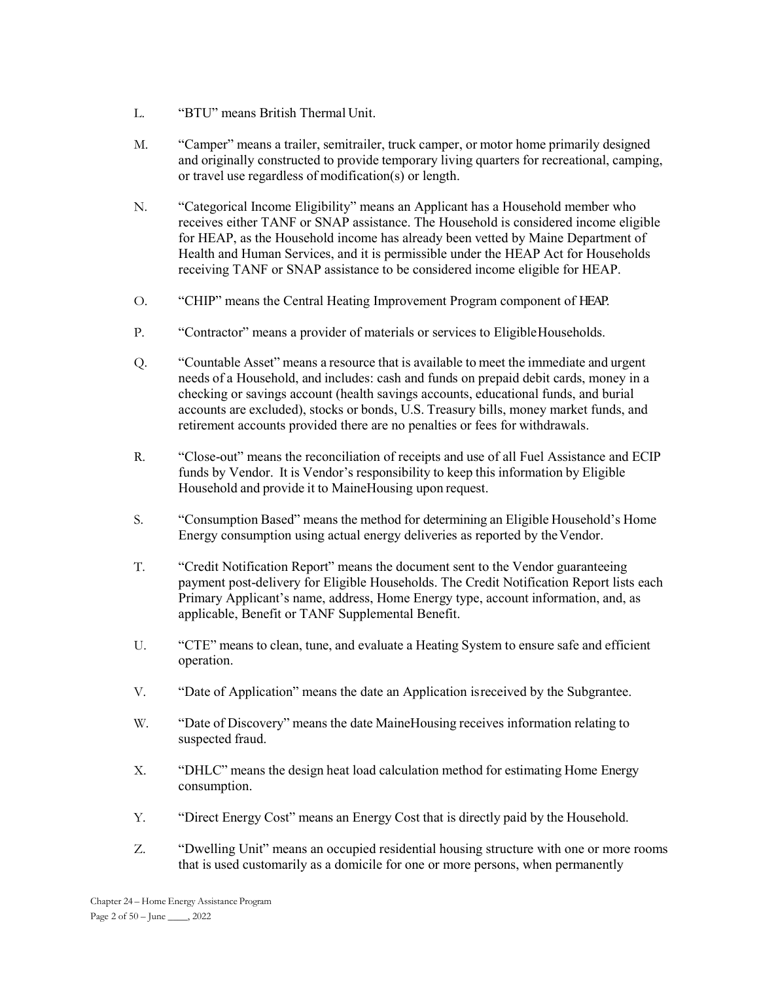- L. "BTU" means British Thermal Unit.
- M. "Camper" means a trailer, semitrailer, truck camper, or motor home primarily designed and originally constructed to provide temporary living quarters for recreational, camping, or travel use regardless of modification(s) or length.
- N. "Categorical Income Eligibility" means an Applicant has a Household member who receives either TANF or SNAP assistance. The Household is considered income eligible for HEAP, as the Household income has already been vetted by Maine Department of Health and Human Services, and it is permissible under the HEAP Act for Households receiving TANF or SNAP assistance to be considered income eligible for HEAP.
- O. "CHIP" means the Central Heating Improvement Program component of HEAP.
- P. "Contractor" means a provider of materials or services to Eligible Households.
- Q. "Countable Asset" means a resource that is available to meet the immediate and urgent needs of a Household, and includes: cash and funds on prepaid debit cards, money in a checking or savings account (health savings accounts, educational funds, and burial accounts are excluded), stocks or bonds, U.S. Treasury bills, money market funds, and retirement accounts provided there are no penalties or fees for withdrawals.
- R. "Close-out" means the reconciliation of receipts and use of all Fuel Assistance and ECIP funds by Vendor. It is Vendor's responsibility to keep this information by Eligible Household and provide it to MaineHousing upon request.
- S. "Consumption Based" means the method for determining an Eligible Household's Home Energy consumption using actual energy deliveries as reported by the Vendor.
- T. "Credit Notification Report" means the document sent to the Vendor guaranteeing payment post-delivery for Eligible Households. The Credit Notification Report lists each Primary Applicant's name, address, Home Energy type, account information, and, as applicable, Benefit or TANF Supplemental Benefit.
- U. "CTE" means to clean, tune, and evaluate a Heating System to ensure safe and efficient operation.
- V. "Date of Application" means the date an Application is received by the Subgrantee.
- W. "Date of Discovery" means the date MaineHousing receives information relating to suspected fraud.
- X. "DHLC" means the design heat load calculation method for estimating Home Energy consumption.
- Y. "Direct Energy Cost" means an Energy Cost that is directly paid by the Household.
- Z. "Dwelling Unit" means an occupied residential housing structure with one or more rooms that is used customarily as a domicile for one or more persons, when permanently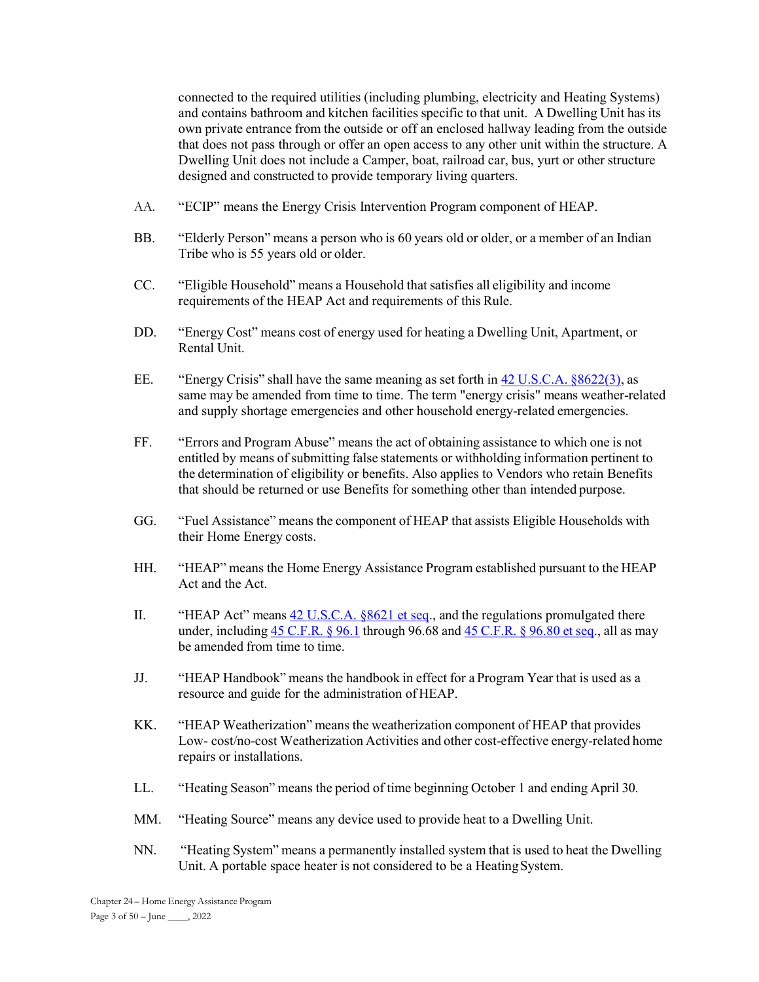connected to the required utilities (including plumbing, electricity and Heating Systems) and contains bathroom and kitchen facilities specific to that unit. A Dwelling Unit has its own private entrance from the outside or off an enclosed hallway leading from the outside that does not pass through or offer an open access to any other unit within the structure. A Dwelling Unit does not include a Camper, boat, railroad car, bus, yurt or other structure designed and constructed to provide temporary living quarters.

- AA. "ECIP" means the Energy Crisis Intervention Program component of HEAP.
- BB. "Elderly Person" means a person who is 60 years old or older, or a member of an Indian Tribe who is 55 years old or older.
- CC. "Eligible Household" means a Household that satisfies all eligibility and income requirements of the HEAP Act and requirements of this Rule.
- DD. "Energy Cost" means cost of energy used for heating a Dwelling Unit, Apartment, or Rental Unit.
- EE. "Energy Crisis" shall have the same meaning as set forth in 42 U.S.C.A. §8622(3), as same may be amended from time to time. The term "energy crisis" means weather-related and supply shortage emergencies and other household energy-related emergencies.
- FF. "Errors and Program Abuse" means the act of obtaining assistance to which one is not entitled by means of submitting false statements or withholding information pertinent to the determination of eligibility or benefits. Also applies to Vendors who retain Benefits that should be returned or use Benefits for something other than intended purpose.
- GG. "Fuel Assistance" means the component of HEAP that assists Eligible Households with their Home Energy costs.
- HH. "HEAP" means the Home Energy Assistance Program established pursuant to the HEAP Act and the Act.
- II. "HEAP Act" means 42 U.S.C.A. §8621 et seq., and the regulations promulgated there under, including 45 C.F.R.  $\S$  96.1 through 96.68 and 45 C.F.R.  $\S$  96.80 et seq., all as may be amended from time to time.
- JJ. "HEAP Handbook" means the handbook in effect for a Program Year that is used as a resource and guide for the administration of HEAP.
- KK. "HEAP Weatherization" means the weatherization component of HEAP that provides Low- cost/no-cost Weatherization Activities and other cost-effective energy-related home repairs or installations.
- LL. "Heating Season" means the period of time beginning October 1 and ending April 30.
- MM. "Heating Source" means any device used to provide heat to a Dwelling Unit.
- NN. "Heating System" means a permanently installed system that is used to heat the Dwelling Unit. A portable space heater is not considered to be a Heating System.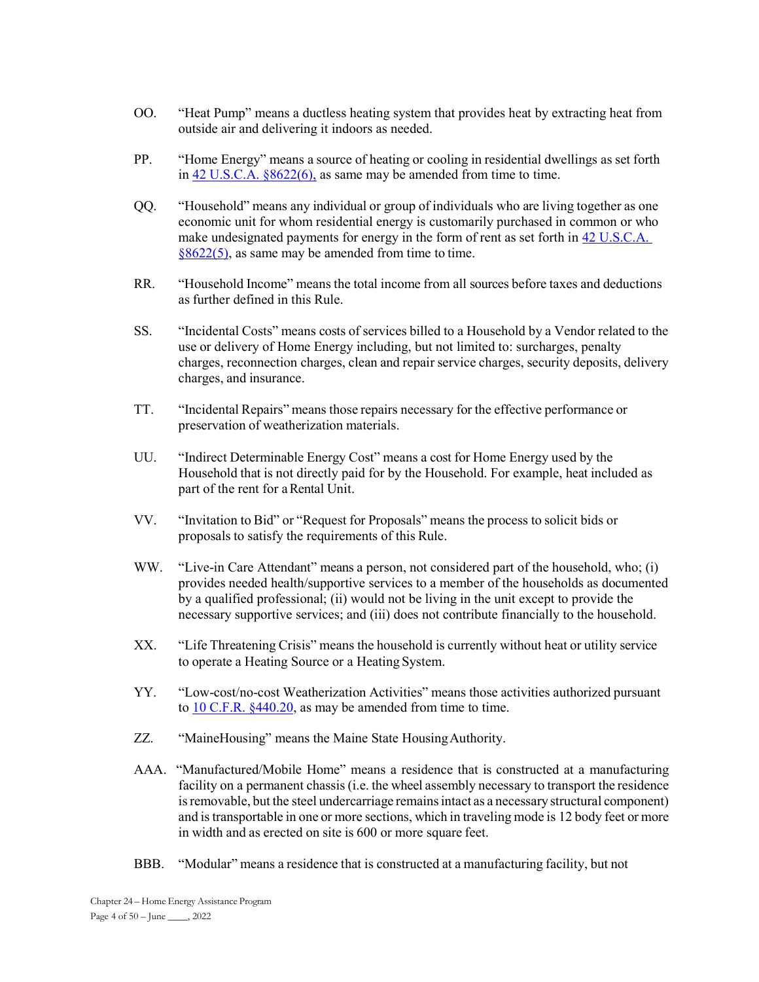- OO. "Heat Pump" means a ductless heating system that provides heat by extracting heat from outside air and delivering it indoors as needed.
- PP. "Home Energy" means a source of heating or cooling in residential dwellings as set forth in 42 U.S.C.A. §8622(6), as same may be amended from time to time.
- QQ. "Household" means any individual or group of individuals who are living together as one economic unit for whom residential energy is customarily purchased in common or who make undesignated payments for energy in the form of rent as set forth in 42 U.S.C.A. §8622(5), as same may be amended from time to time.
- RR. "Household Income" means the total income from all sources before taxes and deductions as further defined in this Rule.
- SS. "Incidental Costs" means costs of services billed to a Household by a Vendor related to the use or delivery of Home Energy including, but not limited to: surcharges, penalty charges, reconnection charges, clean and repair service charges, security deposits, delivery charges, and insurance.
- TT. "Incidental Repairs" means those repairs necessary for the effective performance or preservation of weatherization materials.
- UU. "Indirect Determinable Energy Cost" means a cost for Home Energy used by the Household that is not directly paid for by the Household. For example, heat included as part of the rent for a Rental Unit.
- VV. "Invitation to Bid" or "Request for Proposals" means the process to solicit bids or proposals to satisfy the requirements of this Rule.
- WW. "Live-in Care Attendant" means a person, not considered part of the household, who; (i) provides needed health/supportive services to a member of the households as documented by a qualified professional; (ii) would not be living in the unit except to provide the necessary supportive services; and (iii) does not contribute financially to the household.
- XX. "Life Threatening Crisis" means the household is currently without heat or utility service to operate a Heating Source or a Heating System.
- YY. "Low-cost/no-cost Weatherization Activities" means those activities authorized pursuant to 10 C.F.R. §440.20, as may be amended from time to time.
- ZZ. "MaineHousing" means the Maine State Housing Authority.
- AAA. "Manufactured/Mobile Home" means a residence that is constructed at a manufacturing facility on a permanent chassis (i.e. the wheel assembly necessary to transport the residence is removable, but the steel undercarriage remains intact as a necessary structural component) and is transportable in one or more sections, which in traveling mode is 12 body feet or more in width and as erected on site is 600 or more square feet.
- BBB. "Modular" means a residence that is constructed at a manufacturing facility, but not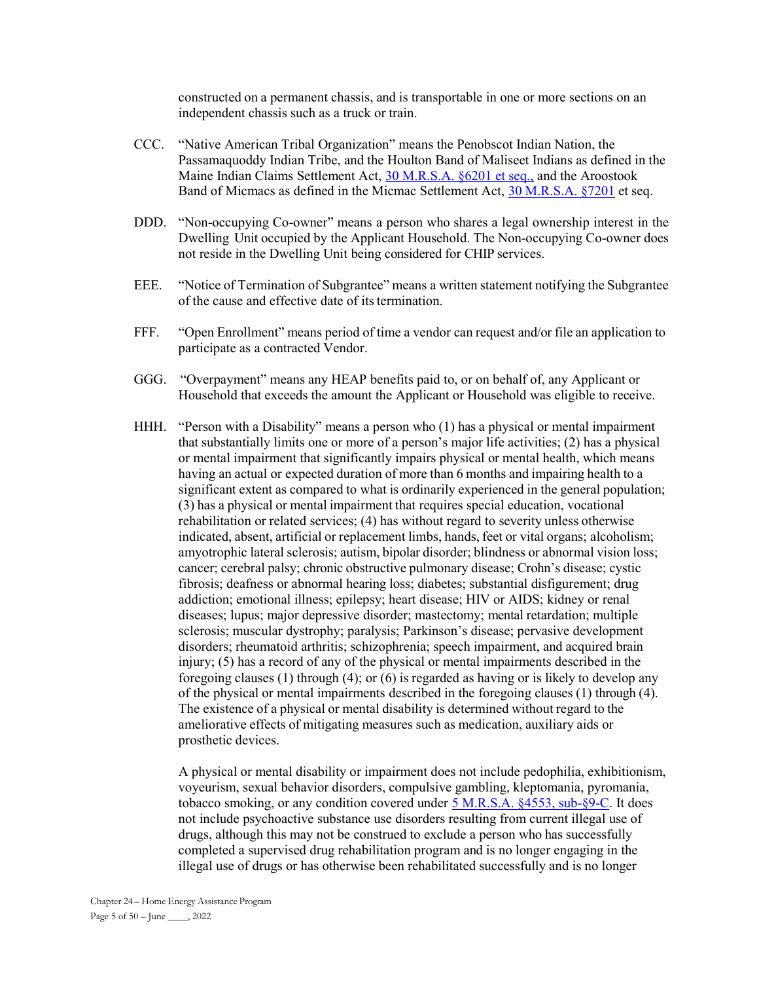constructed on a permanent chassis, and is transportable in one or more sections on an independent chassis such as a truck or train.

- CCC. "Native American Tribal Organization" means the Penobscot Indian Nation, the Passamaquoddy Indian Tribe, and the Houlton Band of Maliseet Indians as defined in the Maine Indian Claims Settlement Act, 30 M.R.S.A. §6201 et seq., and the Aroostook Band of Micmacs as defined in the Micmac Settlement Act, 30 M.R.S.A. §7201 et seq.
- DDD. "Non-occupying Co-owner" means a person who shares a legal ownership interest in the Dwelling Unit occupied by the Applicant Household. The Non-occupying Co-owner does not reside in the Dwelling Unit being considered for CHIP services.
- EEE. "Notice of Termination of Subgrantee" means a written statement notifying the Subgrantee of the cause and effective date of its termination.
- FFF. "Open Enrollment" means period of time a vendor can request and/or file an application to participate as a contracted Vendor.
- GGG. "Overpayment" means any HEAP benefits paid to, or on behalf of, any Applicant or Household that exceeds the amount the Applicant or Household was eligible to receive.
- HHH. "Person with a Disability" means a person who (1) has a physical or mental impairment that substantially limits one or more of a person's major life activities; (2) has a physical or mental impairment that significantly impairs physical or mental health, which means having an actual or expected duration of more than 6 months and impairing health to a significant extent as compared to what is ordinarily experienced in the general population; (3) has a physical or mental impairment that requires special education, vocational rehabilitation or related services; (4) has without regard to severity unless otherwise indicated, absent, artificial or replacement limbs, hands, feet or vital organs; alcoholism; amyotrophic lateral sclerosis; autism, bipolar disorder; blindness or abnormal vision loss; cancer; cerebral palsy; chronic obstructive pulmonary disease; Crohn's disease; cystic fibrosis; deafness or abnormal hearing loss; diabetes; substantial disfigurement; drug addiction; emotional illness; epilepsy; heart disease; HIV or AIDS; kidney or renal diseases; lupus; major depressive disorder; mastectomy; mental retardation; multiple sclerosis; muscular dystrophy; paralysis; Parkinson's disease; pervasive development disorders; rheumatoid arthritis; schizophrenia; speech impairment, and acquired brain injury; (5) has a record of any of the physical or mental impairments described in the foregoing clauses (1) through (4); or (6) is regarded as having or is likely to develop any of the physical or mental impairments described in the foregoing clauses (1) through (4). The existence of a physical or mental disability is determined without regard to the ameliorative effects of mitigating measures such as medication, auxiliary aids or prosthetic devices.

 A physical or mental disability or impairment does not include pedophilia, exhibitionism, voyeurism, sexual behavior disorders, compulsive gambling, kleptomania, pyromania, tobacco smoking, or any condition covered under 5 M.R.S.A. §4553, sub-§9-C. It does not include psychoactive substance use disorders resulting from current illegal use of drugs, although this may not be construed to exclude a person who has successfully completed a supervised drug rehabilitation program and is no longer engaging in the illegal use of drugs or has otherwise been rehabilitated successfully and is no longer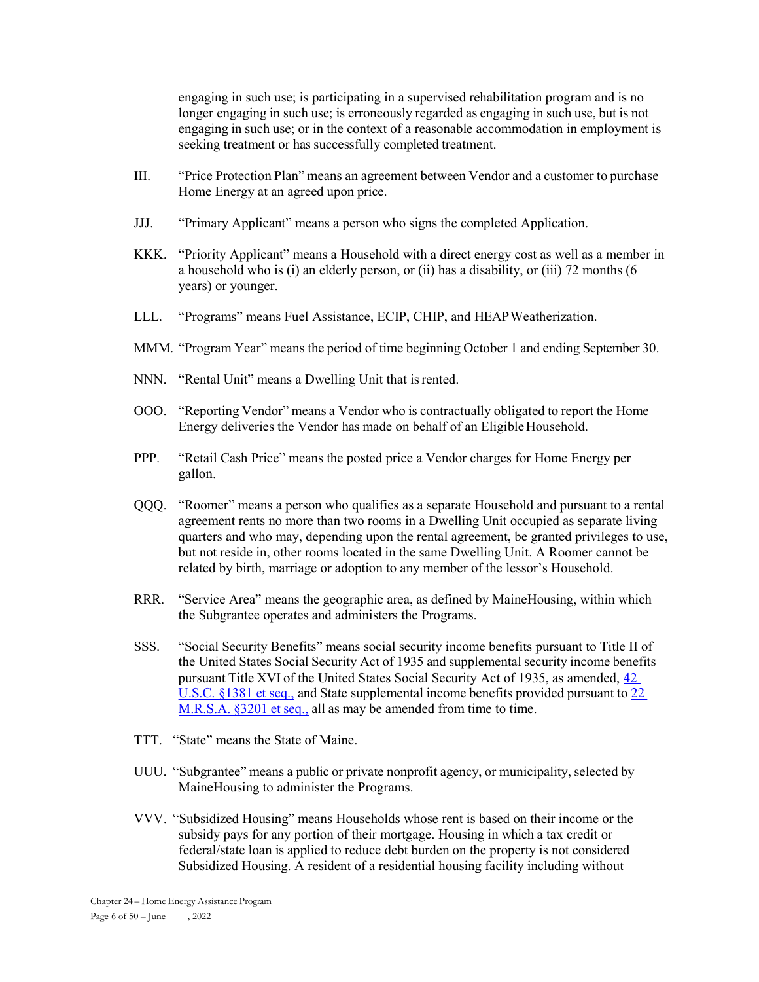engaging in such use; is participating in a supervised rehabilitation program and is no longer engaging in such use; is erroneously regarded as engaging in such use, but is not engaging in such use; or in the context of a reasonable accommodation in employment is seeking treatment or has successfully completed treatment.

- III. "Price Protection Plan" means an agreement between Vendor and a customer to purchase Home Energy at an agreed upon price.
- JJJ. "Primary Applicant" means a person who signs the completed Application.
- KKK. "Priority Applicant" means a Household with a direct energy cost as well as a member in a household who is (i) an elderly person, or (ii) has a disability, or (iii) 72 months (6 years) or younger.
- LLL. "Programs" means Fuel Assistance, ECIP, CHIP, and HEAP Weatherization.
- MMM. "Program Year" means the period of time beginning October 1 and ending September 30.
- NNN. "Rental Unit" means a Dwelling Unit that is rented.
- OOO. "Reporting Vendor" means a Vendor who is contractually obligated to report the Home Energy deliveries the Vendor has made on behalf of an Eligible Household.
- PPP. "Retail Cash Price" means the posted price a Vendor charges for Home Energy per gallon.
- QQQ. "Roomer" means a person who qualifies as a separate Household and pursuant to a rental agreement rents no more than two rooms in a Dwelling Unit occupied as separate living quarters and who may, depending upon the rental agreement, be granted privileges to use, but not reside in, other rooms located in the same Dwelling Unit. A Roomer cannot be related by birth, marriage or adoption to any member of the lessor's Household.
- RRR. "Service Area" means the geographic area, as defined by MaineHousing, within which the Subgrantee operates and administers the Programs.
- SSS. "Social Security Benefits" means social security income benefits pursuant to Title II of the United States Social Security Act of 1935 and supplemental security income benefits pursuant Title XVI of the United States Social Security Act of 1935, as amended, 42 U.S.C. §1381 et seq., and State supplemental income benefits provided pursuant to 22 M.R.S.A. §3201 et seq., all as may be amended from time to time.
- TTT. "State" means the State of Maine.
- UUU. "Subgrantee" means a public or private nonprofit agency, or municipality, selected by MaineHousing to administer the Programs.
- VVV. "Subsidized Housing" means Households whose rent is based on their income or the subsidy pays for any portion of their mortgage. Housing in which a tax credit or federal/state loan is applied to reduce debt burden on the property is not considered Subsidized Housing. A resident of a residential housing facility including without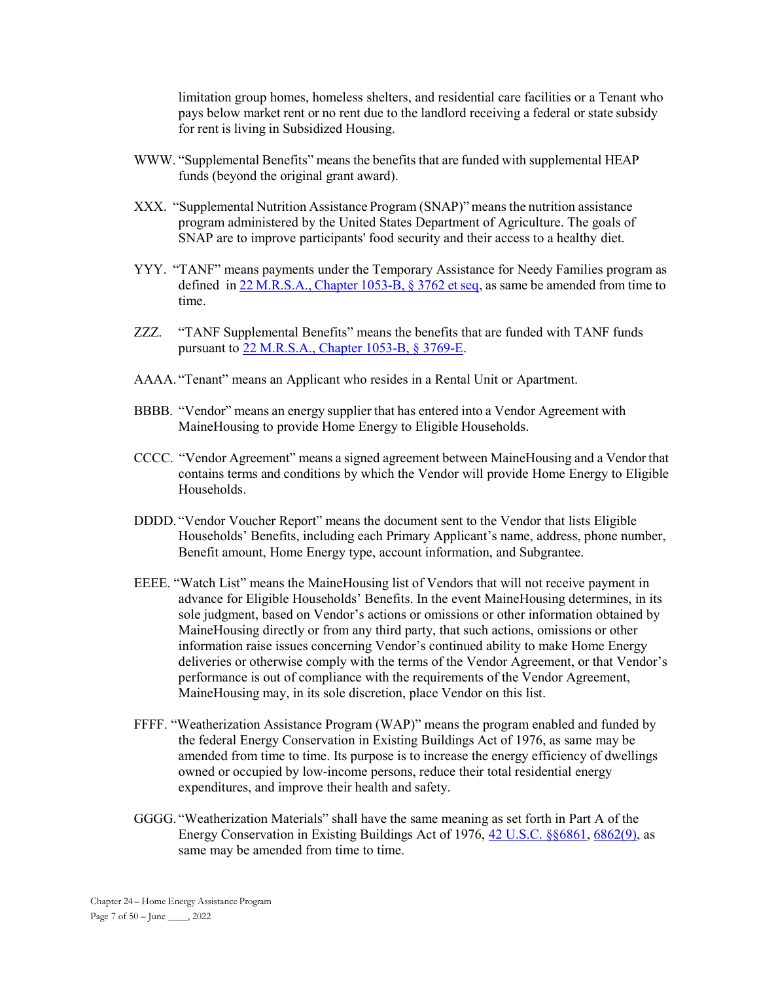limitation group homes, homeless shelters, and residential care facilities or a Tenant who pays below market rent or no rent due to the landlord receiving a federal or state subsidy for rent is living in Subsidized Housing.

- WWW. "Supplemental Benefits" means the benefits that are funded with supplemental HEAP funds (beyond the original grant award).
- XXX. "Supplemental Nutrition Assistance Program (SNAP)" means the nutrition assistance program administered by the United States Department of Agriculture. The goals of SNAP are to improve participants' food security and their access to a healthy diet.
- YYY. "TANF" means payments under the Temporary Assistance for Needy Families program as defined in 22 M.R.S.A., Chapter 1053-B, § 3762 et seq, as same be amended from time to time.
- ZZZ. "TANF Supplemental Benefits" means the benefits that are funded with TANF funds pursuant to 22 M.R.S.A., Chapter 1053-B, § 3769-E.
- AAAA. "Tenant" means an Applicant who resides in a Rental Unit or Apartment.
- BBBB. "Vendor" means an energy supplier that has entered into a Vendor Agreement with MaineHousing to provide Home Energy to Eligible Households.
- CCCC. "Vendor Agreement" means a signed agreement between MaineHousing and a Vendor that contains terms and conditions by which the Vendor will provide Home Energy to Eligible Households.
- DDDD. "Vendor Voucher Report" means the document sent to the Vendor that lists Eligible Households' Benefits, including each Primary Applicant's name, address, phone number, Benefit amount, Home Energy type, account information, and Subgrantee.
- EEEE. "Watch List" means the MaineHousing list of Vendors that will not receive payment in advance for Eligible Households' Benefits. In the event MaineHousing determines, in its sole judgment, based on Vendor's actions or omissions or other information obtained by MaineHousing directly or from any third party, that such actions, omissions or other information raise issues concerning Vendor's continued ability to make Home Energy deliveries or otherwise comply with the terms of the Vendor Agreement, or that Vendor's performance is out of compliance with the requirements of the Vendor Agreement, MaineHousing may, in its sole discretion, place Vendor on this list.
- FFFF. "Weatherization Assistance Program (WAP)" means the program enabled and funded by the federal Energy Conservation in Existing Buildings Act of 1976, as same may be amended from time to time. Its purpose is to increase the energy efficiency of dwellings owned or occupied by low-income persons, reduce their total residential energy expenditures, and improve their health and safety.
- GGGG. "Weatherization Materials" shall have the same meaning as set forth in Part A of the Energy Conservation in Existing Buildings Act of 1976, 42 U.S.C. §§6861, 6862(9), as same may be amended from time to time.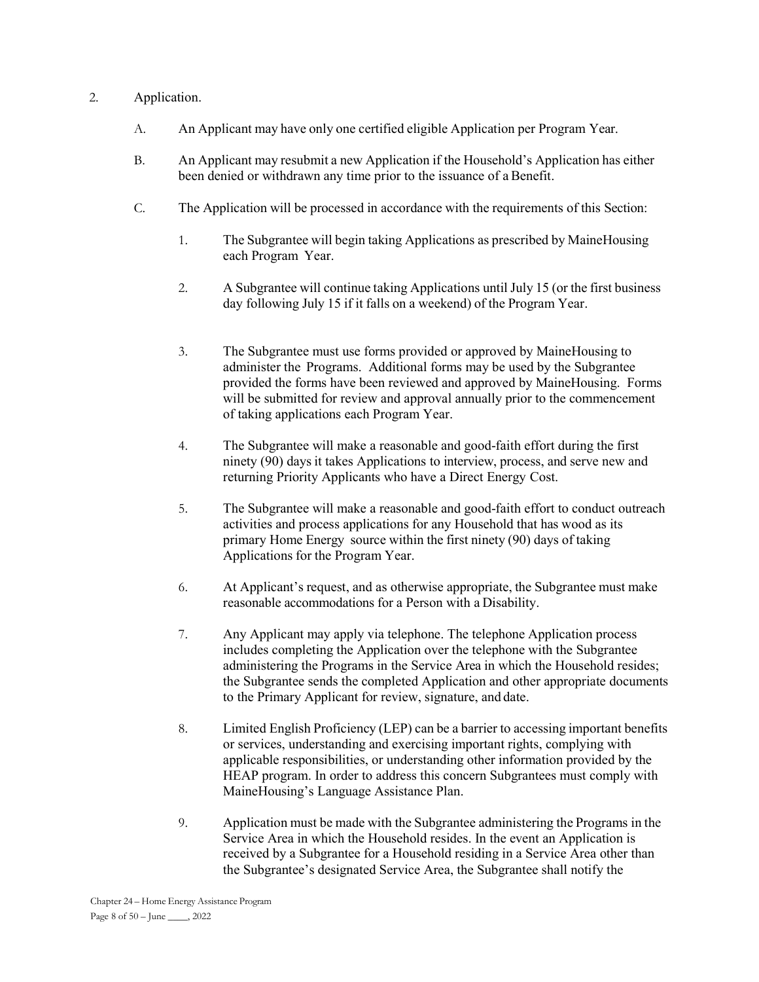# 2. Application.

- A. An Applicant may have only one certified eligible Application per Program Year.
- B. An Applicant may resubmit a new Application if the Household's Application has either been denied or withdrawn any time prior to the issuance of a Benefit.
- C. The Application will be processed in accordance with the requirements of this Section:
	- 1. The Subgrantee will begin taking Applications as prescribed by MaineHousing each Program Year.
	- 2. A Subgrantee will continue taking Applications until July 15 (or the first business day following July 15 if it falls on a weekend) of the Program Year.
	- 3. The Subgrantee must use forms provided or approved by MaineHousing to administer the Programs. Additional forms may be used by the Subgrantee provided the forms have been reviewed and approved by MaineHousing. Forms will be submitted for review and approval annually prior to the commencement of taking applications each Program Year.
	- 4. The Subgrantee will make a reasonable and good-faith effort during the first ninety (90) days it takes Applications to interview, process, and serve new and returning Priority Applicants who have a Direct Energy Cost.
	- 5. The Subgrantee will make a reasonable and good-faith effort to conduct outreach activities and process applications for any Household that has wood as its primary Home Energy source within the first ninety (90) days of taking Applications for the Program Year.
	- 6. At Applicant's request, and as otherwise appropriate, the Subgrantee must make reasonable accommodations for a Person with a Disability.
	- 7. Any Applicant may apply via telephone. The telephone Application process includes completing the Application over the telephone with the Subgrantee administering the Programs in the Service Area in which the Household resides; the Subgrantee sends the completed Application and other appropriate documents to the Primary Applicant for review, signature, and date.
	- 8. Limited English Proficiency (LEP) can be a barrier to accessing important benefits or services, understanding and exercising important rights, complying with applicable responsibilities, or understanding other information provided by the HEAP program. In order to address this concern Subgrantees must comply with MaineHousing's Language Assistance Plan.
	- 9. Application must be made with the Subgrantee administering the Programs in the Service Area in which the Household resides. In the event an Application is received by a Subgrantee for a Household residing in a Service Area other than the Subgrantee's designated Service Area, the Subgrantee shall notify the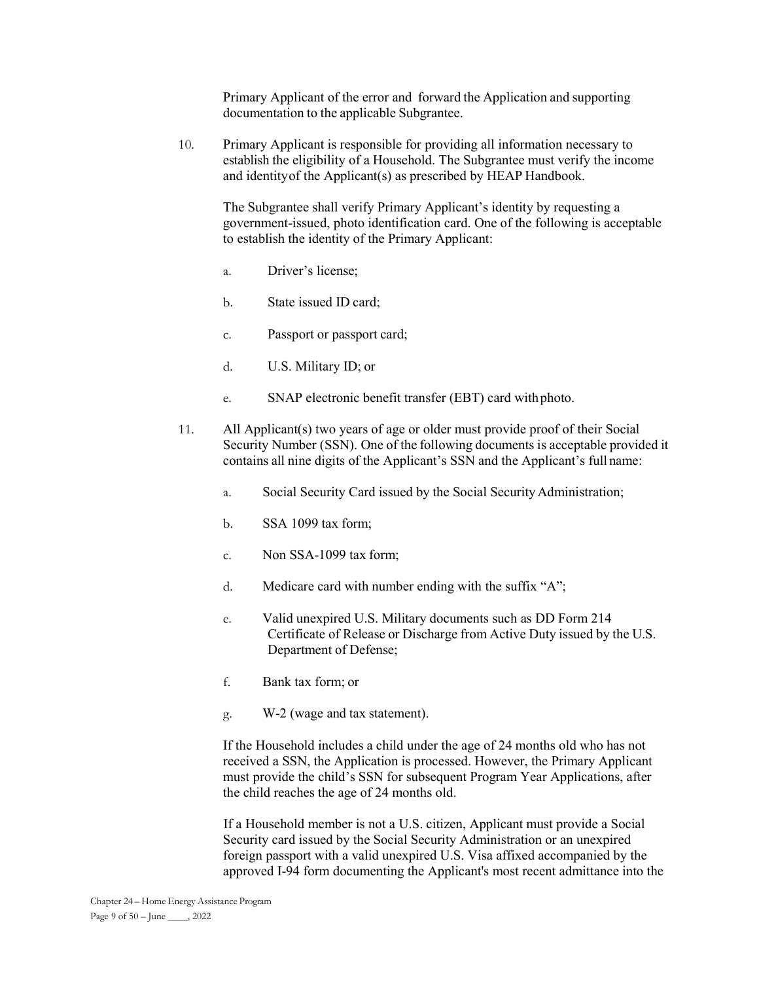Primary Applicant of the error and forward the Application and supporting documentation to the applicable Subgrantee.

10. Primary Applicant is responsible for providing all information necessary to establish the eligibility of a Household. The Subgrantee must verify the income and identity of the Applicant(s) as prescribed by HEAP Handbook.

 The Subgrantee shall verify Primary Applicant's identity by requesting a government-issued, photo identification card. One of the following is acceptable to establish the identity of the Primary Applicant:

- a. Driver's license;
- b. State issued ID card;
- c. Passport or passport card;
- d. U.S. Military ID; or
- e. SNAP electronic benefit transfer (EBT) card with photo.
- 11. All Applicant(s) two years of age or older must provide proof of their Social Security Number (SSN). One of the following documents is acceptable provided it contains all nine digits of the Applicant's SSN and the Applicant's full name:
	- a. Social Security Card issued by the Social Security Administration;
	- b. SSA 1099 tax form;
	- c. Non SSA-1099 tax form;
	- d. Medicare card with number ending with the suffix "A";
	- e. Valid unexpired U.S. Military documents such as DD Form 214 Certificate of Release or Discharge from Active Duty issued by the U.S. Department of Defense;
	- f. Bank tax form; or
	- g. W-2 (wage and tax statement).

If the Household includes a child under the age of 24 months old who has not received a SSN, the Application is processed. However, the Primary Applicant must provide the child's SSN for subsequent Program Year Applications, after the child reaches the age of 24 months old.

If a Household member is not a U.S. citizen, Applicant must provide a Social Security card issued by the Social Security Administration or an unexpired foreign passport with a valid unexpired U.S. Visa affixed accompanied by the approved I-94 form documenting the Applicant's most recent admittance into the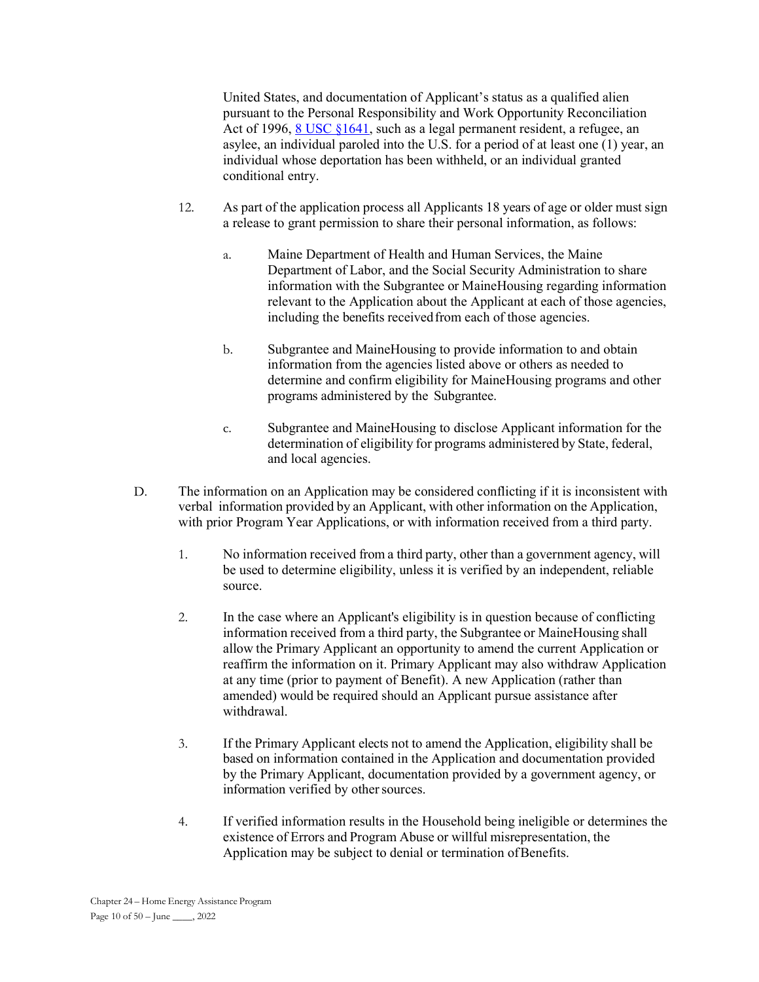United States, and documentation of Applicant's status as a qualified alien pursuant to the Personal Responsibility and Work Opportunity Reconciliation Act of 1996, 8 USC §1641, such as a legal permanent resident, a refugee, an asylee, an individual paroled into the U.S. for a period of at least one (1) year, an individual whose deportation has been withheld, or an individual granted conditional entry.

- 12. As part of the application process all Applicants 18 years of age or older must sign a release to grant permission to share their personal information, as follows:
	- a. Maine Department of Health and Human Services, the Maine Department of Labor, and the Social Security Administration to share information with the Subgrantee or MaineHousing regarding information relevant to the Application about the Applicant at each of those agencies, including the benefits received from each of those agencies.
	- b. Subgrantee and MaineHousing to provide information to and obtain information from the agencies listed above or others as needed to determine and confirm eligibility for MaineHousing programs and other programs administered by the Subgrantee.
	- c. Subgrantee and MaineHousing to disclose Applicant information for the determination of eligibility for programs administered by State, federal, and local agencies.
- D. The information on an Application may be considered conflicting if it is inconsistent with verbal information provided by an Applicant, with other information on the Application, with prior Program Year Applications, or with information received from a third party.
	- 1. No information received from a third party, other than a government agency, will be used to determine eligibility, unless it is verified by an independent, reliable source.
	- 2. In the case where an Applicant's eligibility is in question because of conflicting information received from a third party, the Subgrantee or MaineHousing shall allow the Primary Applicant an opportunity to amend the current Application or reaffirm the information on it. Primary Applicant may also withdraw Application at any time (prior to payment of Benefit). A new Application (rather than amended) would be required should an Applicant pursue assistance after withdrawal.
	- 3. If the Primary Applicant elects not to amend the Application, eligibility shall be based on information contained in the Application and documentation provided by the Primary Applicant, documentation provided by a government agency, or information verified by other sources.
	- 4. If verified information results in the Household being ineligible or determines the existence of Errors and Program Abuse or willful misrepresentation, the Application may be subject to denial or termination of Benefits.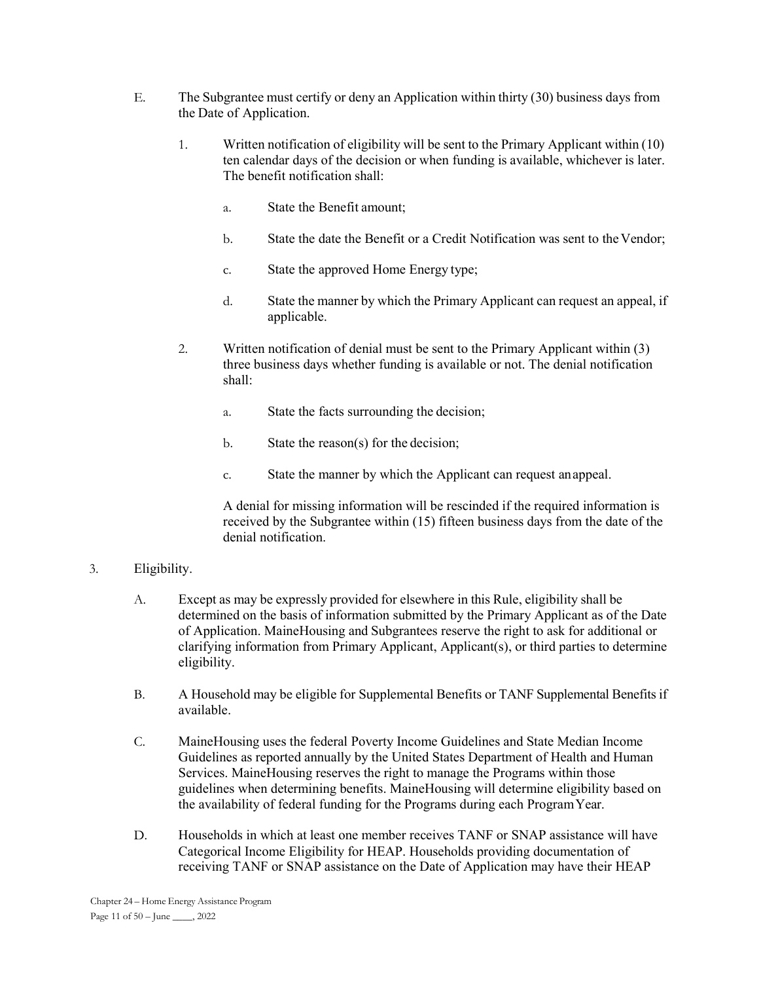- E. The Subgrantee must certify or deny an Application within thirty (30) business days from the Date of Application.
	- 1. Written notification of eligibility will be sent to the Primary Applicant within (10) ten calendar days of the decision or when funding is available, whichever is later. The benefit notification shall:
		- a. State the Benefit amount;
		- b. State the date the Benefit or a Credit Notification was sent to the Vendor;
		- c. State the approved Home Energy type;
		- d. State the manner by which the Primary Applicant can request an appeal, if applicable.
	- 2. Written notification of denial must be sent to the Primary Applicant within (3) three business days whether funding is available or not. The denial notification shall:
		- a. State the facts surrounding the decision;
		- b. State the reason(s) for the decision;
		- c. State the manner by which the Applicant can request an appeal.

A denial for missing information will be rescinded if the required information is received by the Subgrantee within (15) fifteen business days from the date of the denial notification.

# 3. Eligibility.

- A. Except as may be expressly provided for elsewhere in this Rule, eligibility shall be determined on the basis of information submitted by the Primary Applicant as of the Date of Application. MaineHousing and Subgrantees reserve the right to ask for additional or clarifying information from Primary Applicant, Applicant(s), or third parties to determine eligibility.
- B. A Household may be eligible for Supplemental Benefits or TANF Supplemental Benefits if available.
- C. MaineHousing uses the federal Poverty Income Guidelines and State Median Income Guidelines as reported annually by the United States Department of Health and Human Services. MaineHousing reserves the right to manage the Programs within those guidelines when determining benefits. MaineHousing will determine eligibility based on the availability of federal funding for the Programs during each Program Year.
- D. Households in which at least one member receives TANF or SNAP assistance will have Categorical Income Eligibility for HEAP. Households providing documentation of receiving TANF or SNAP assistance on the Date of Application may have their HEAP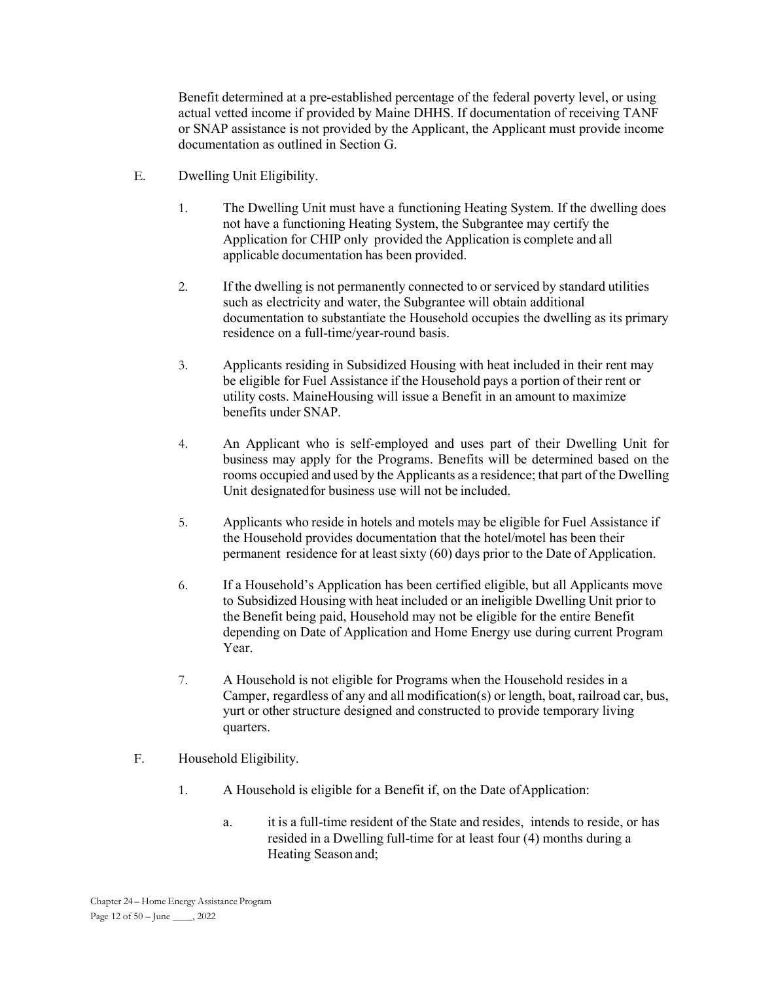Benefit determined at a pre-established percentage of the federal poverty level, or using actual vetted income if provided by Maine DHHS. If documentation of receiving TANF or SNAP assistance is not provided by the Applicant, the Applicant must provide income documentation as outlined in Section G.

- E. Dwelling Unit Eligibility.
	- 1. The Dwelling Unit must have a functioning Heating System. If the dwelling does not have a functioning Heating System, the Subgrantee may certify the Application for CHIP only provided the Application is complete and all applicable documentation has been provided.
	- 2. If the dwelling is not permanently connected to or serviced by standard utilities such as electricity and water, the Subgrantee will obtain additional documentation to substantiate the Household occupies the dwelling as its primary residence on a full-time/year-round basis.
	- 3. Applicants residing in Subsidized Housing with heat included in their rent may be eligible for Fuel Assistance if the Household pays a portion of their rent or utility costs. MaineHousing will issue a Benefit in an amount to maximize benefits under SNAP.
	- 4. An Applicant who is self-employed and uses part of their Dwelling Unit for business may apply for the Programs. Benefits will be determined based on the rooms occupied and used by the Applicants as a residence; that part of the Dwelling Unit designated for business use will not be included.
	- 5. Applicants who reside in hotels and motels may be eligible for Fuel Assistance if the Household provides documentation that the hotel/motel has been their permanent residence for at least sixty (60) days prior to the Date of Application.
	- 6. If a Household's Application has been certified eligible, but all Applicants move to Subsidized Housing with heat included or an ineligible Dwelling Unit prior to the Benefit being paid, Household may not be eligible for the entire Benefit depending on Date of Application and Home Energy use during current Program Year.
	- 7. A Household is not eligible for Programs when the Household resides in a Camper, regardless of any and all modification(s) or length, boat, railroad car, bus, yurt or other structure designed and constructed to provide temporary living quarters.
- F. Household Eligibility.
	- 1. A Household is eligible for a Benefit if, on the Date of Application:
		- a. it is a full-time resident of the State and resides, intends to reside, or has resided in a Dwelling full-time for at least four (4) months during a Heating Season and;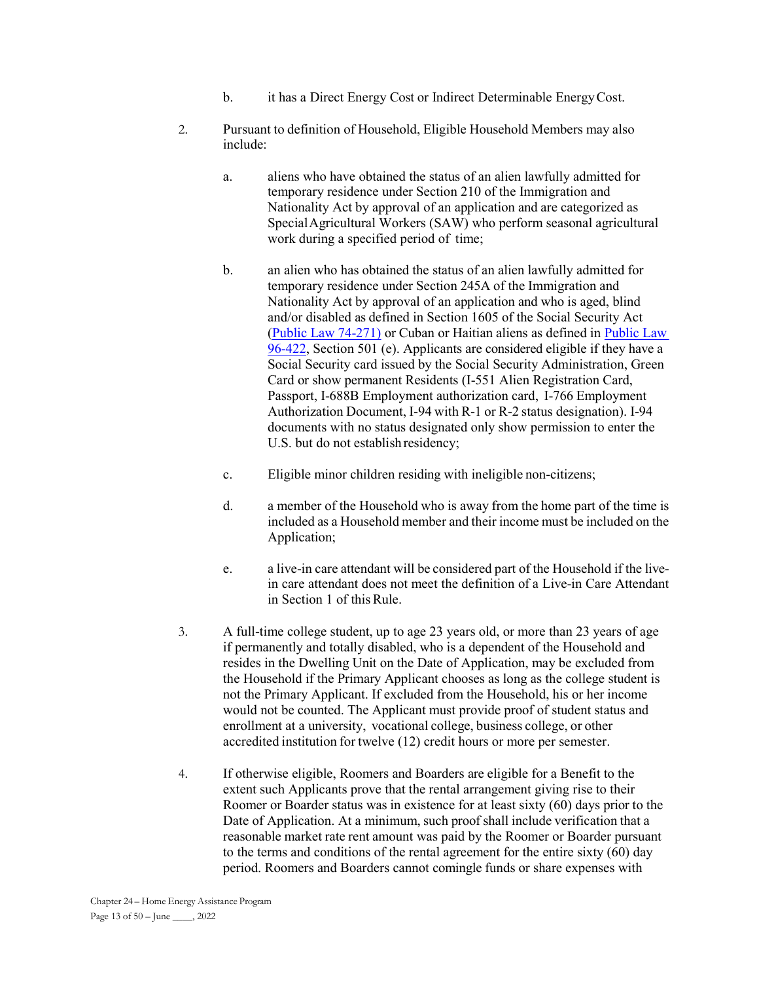- b. it has a Direct Energy Cost or Indirect Determinable Energy Cost.
- 2. Pursuant to definition of Household, Eligible Household Members may also include:
	- a. aliens who have obtained the status of an alien lawfully admitted for temporary residence under Section 210 of the Immigration and Nationality Act by approval of an application and are categorized as Special Agricultural Workers (SAW) who perform seasonal agricultural work during a specified period of time;
	- b. an alien who has obtained the status of an alien lawfully admitted for temporary residence under Section 245A of the Immigration and Nationality Act by approval of an application and who is aged, blind and/or disabled as defined in Section 1605 of the Social Security Act (Public Law 74-271) or Cuban or Haitian aliens as defined in Public Law 96-422, Section 501 (e). Applicants are considered eligible if they have a Social Security card issued by the Social Security Administration, Green Card or show permanent Residents (I-551 Alien Registration Card, Passport, I-688B Employment authorization card, I-766 Employment Authorization Document, I-94 with R-1 or R-2 status designation). I-94 documents with no status designated only show permission to enter the U.S. but do not establish residency;
	- c. Eligible minor children residing with ineligible non-citizens;
	- d. a member of the Household who is away from the home part of the time is included as a Household member and their income must be included on the Application;
	- e. a live-in care attendant will be considered part of the Household if the livein care attendant does not meet the definition of a Live-in Care Attendant in Section 1 of this Rule.
- 3. A full-time college student, up to age 23 years old, or more than 23 years of age if permanently and totally disabled, who is a dependent of the Household and resides in the Dwelling Unit on the Date of Application, may be excluded from the Household if the Primary Applicant chooses as long as the college student is not the Primary Applicant. If excluded from the Household, his or her income would not be counted. The Applicant must provide proof of student status and enrollment at a university, vocational college, business college, or other accredited institution for twelve (12) credit hours or more per semester.
- 4. If otherwise eligible, Roomers and Boarders are eligible for a Benefit to the extent such Applicants prove that the rental arrangement giving rise to their Roomer or Boarder status was in existence for at least sixty (60) days prior to the Date of Application. At a minimum, such proof shall include verification that a reasonable market rate rent amount was paid by the Roomer or Boarder pursuant to the terms and conditions of the rental agreement for the entire sixty (60) day period. Roomers and Boarders cannot comingle funds or share expenses with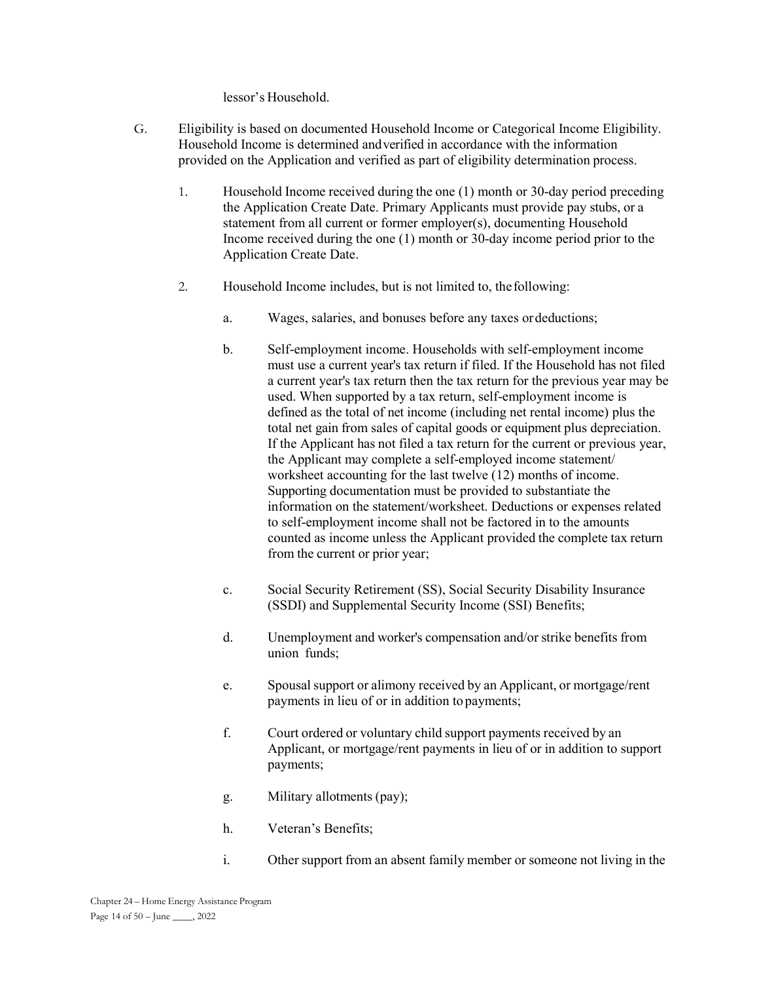lessor's Household.

- G. Eligibility is based on documented Household Income or Categorical Income Eligibility. Household Income is determined and verified in accordance with the information provided on the Application and verified as part of eligibility determination process.
	- 1. Household Income received during the one (1) month or 30-day period preceding the Application Create Date. Primary Applicants must provide pay stubs, or a statement from all current or former employer(s), documenting Household Income received during the one (1) month or 30-day income period prior to the Application Create Date.
	- 2. Household Income includes, but is not limited to, the following:
		- a. Wages, salaries, and bonuses before any taxes or deductions;
		- b. Self-employment income. Households with self-employment income must use a current year's tax return if filed. If the Household has not filed a current year's tax return then the tax return for the previous year may be used. When supported by a tax return, self-employment income is defined as the total of net income (including net rental income) plus the total net gain from sales of capital goods or equipment plus depreciation. If the Applicant has not filed a tax return for the current or previous year, the Applicant may complete a self-employed income statement/ worksheet accounting for the last twelve (12) months of income. Supporting documentation must be provided to substantiate the information on the statement/worksheet. Deductions or expenses related to self-employment income shall not be factored in to the amounts counted as income unless the Applicant provided the complete tax return from the current or prior year;
		- c. Social Security Retirement (SS), Social Security Disability Insurance (SSDI) and Supplemental Security Income (SSI) Benefits;
		- d. Unemployment and worker's compensation and/or strike benefits from union funds;
		- e. Spousal support or alimony received by an Applicant, or mortgage/rent payments in lieu of or in addition to payments;
		- f. Court ordered or voluntary child support payments received by an Applicant, or mortgage/rent payments in lieu of or in addition to support payments;
		- g. Military allotments (pay);
		- h. Veteran's Benefits;
		- i. Other support from an absent family member or someone not living in the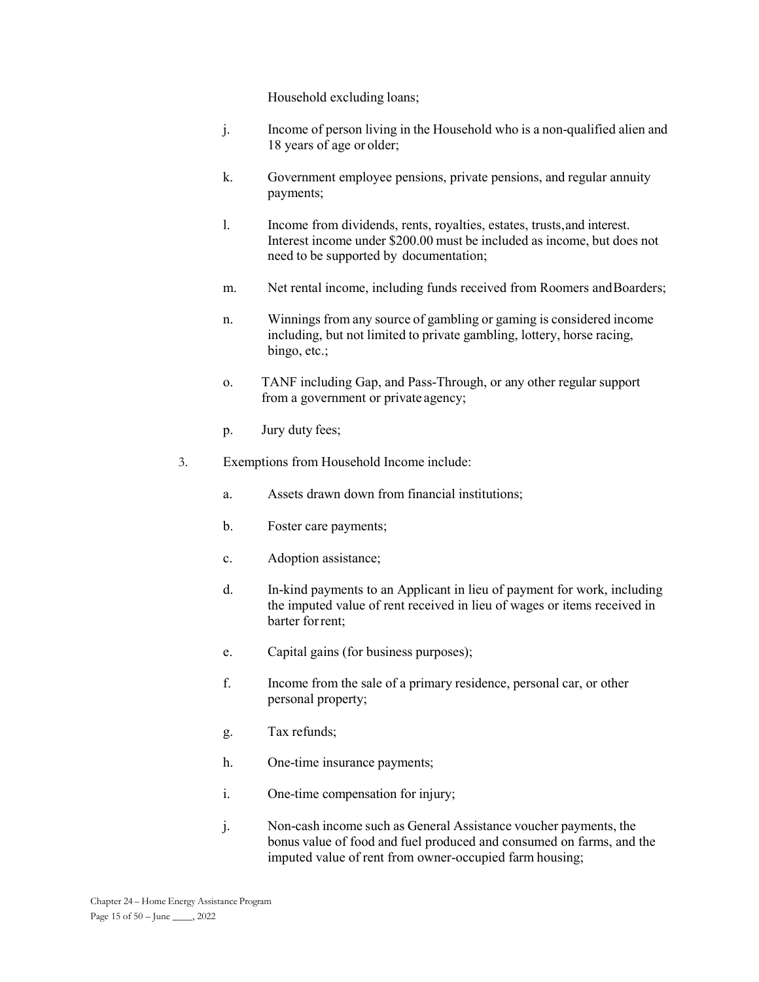Household excluding loans;

- j. Income of person living in the Household who is a non-qualified alien and 18 years of age or older;
- k. Government employee pensions, private pensions, and regular annuity payments;
- l. Income from dividends, rents, royalties, estates, trusts, and interest. Interest income under \$200.00 must be included as income, but does not need to be supported by documentation;
- m. Net rental income, including funds received from Roomers and Boarders;
- n. Winnings from any source of gambling or gaming is considered income including, but not limited to private gambling, lottery, horse racing, bingo, etc.;
- o. TANF including Gap, and Pass-Through, or any other regular support from a government or private agency;
- p. Jury duty fees;
- 3. Exemptions from Household Income include:
	- a. Assets drawn down from financial institutions;
	- b. Foster care payments;
	- c. Adoption assistance;
	- d. In-kind payments to an Applicant in lieu of payment for work, including the imputed value of rent received in lieu of wages or items received in barter for rent;
	- e. Capital gains (for business purposes);
	- f. Income from the sale of a primary residence, personal car, or other personal property;
	- g. Tax refunds;
	- h. One-time insurance payments;
	- i. One-time compensation for injury;
	- j. Non-cash income such as General Assistance voucher payments, the bonus value of food and fuel produced and consumed on farms, and the imputed value of rent from owner-occupied farm housing;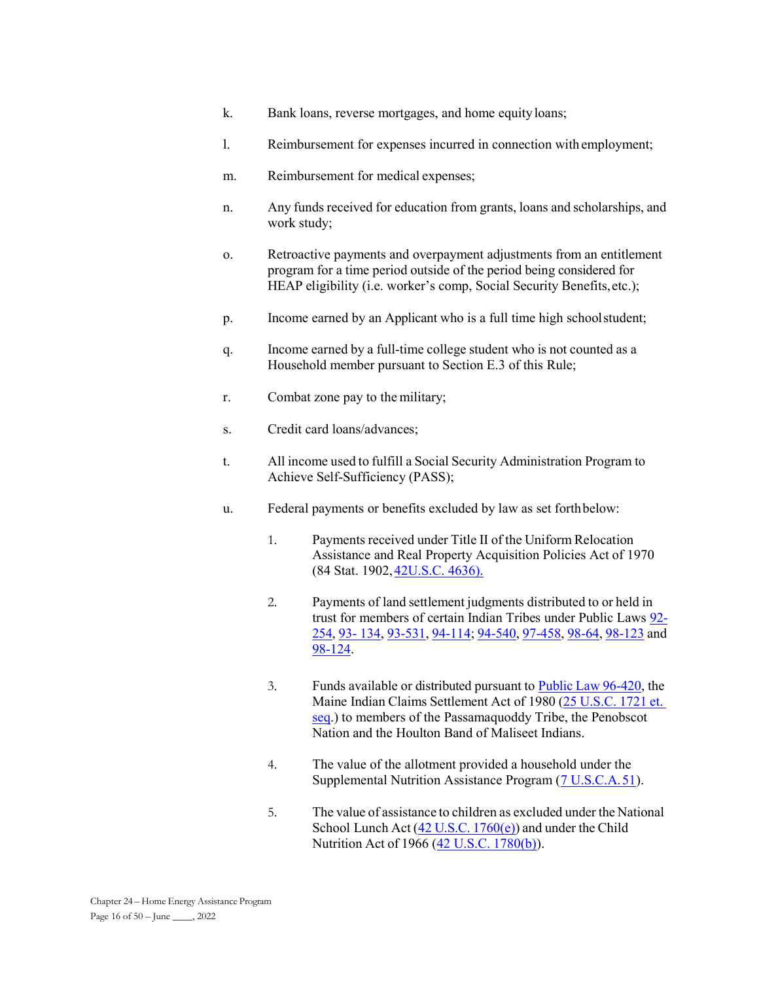- k. Bank loans, reverse mortgages, and home equity loans;
- l. Reimbursement for expenses incurred in connection with employment;
- m. Reimbursement for medical expenses;
- n. Any funds received for education from grants, loans and scholarships, and work study;
- o. Retroactive payments and overpayment adjustments from an entitlement program for a time period outside of the period being considered for HEAP eligibility (i.e. worker's comp, Social Security Benefits, etc.);
- p. Income earned by an Applicant who is a full time high school student;
- q. Income earned by a full-time college student who is not counted as a Household member pursuant to Section E.3 of this Rule;
- r. Combat zone pay to the military;
- s. Credit card loans/advances;
- t. All income used to fulfill a Social Security Administration Program to Achieve Self-Sufficiency (PASS);
- u. Federal payments or benefits excluded by law as set forth below:
	- 1. Payments received under Title II of the Uniform Relocation Assistance and Real Property Acquisition Policies Act of 1970 (84 Stat. 1902, 42U.S.C. 4636).
	- 2. Payments of land settlement judgments distributed to or held in trust for members of certain Indian Tribes under Public Laws 92- 254, 93- 134, 93-531, 94-114; 94-540, 97-458, 98-64, 98-123 and 98-124.
	- 3. Funds available or distributed pursuant to Public Law 96-420, the Maine Indian Claims Settlement Act of 1980 (25 U.S.C. 1721 et. seq.) to members of the Passamaquoddy Tribe, the Penobscot Nation and the Houlton Band of Maliseet Indians.
	- 4. The value of the allotment provided a household under the Supplemental Nutrition Assistance Program (7 U.S.C.A. 51).
	- 5. The value of assistance to children as excluded under the National School Lunch Act (42 U.S.C. 1760(e)) and under the Child Nutrition Act of 1966 (42 U.S.C. 1780(b)).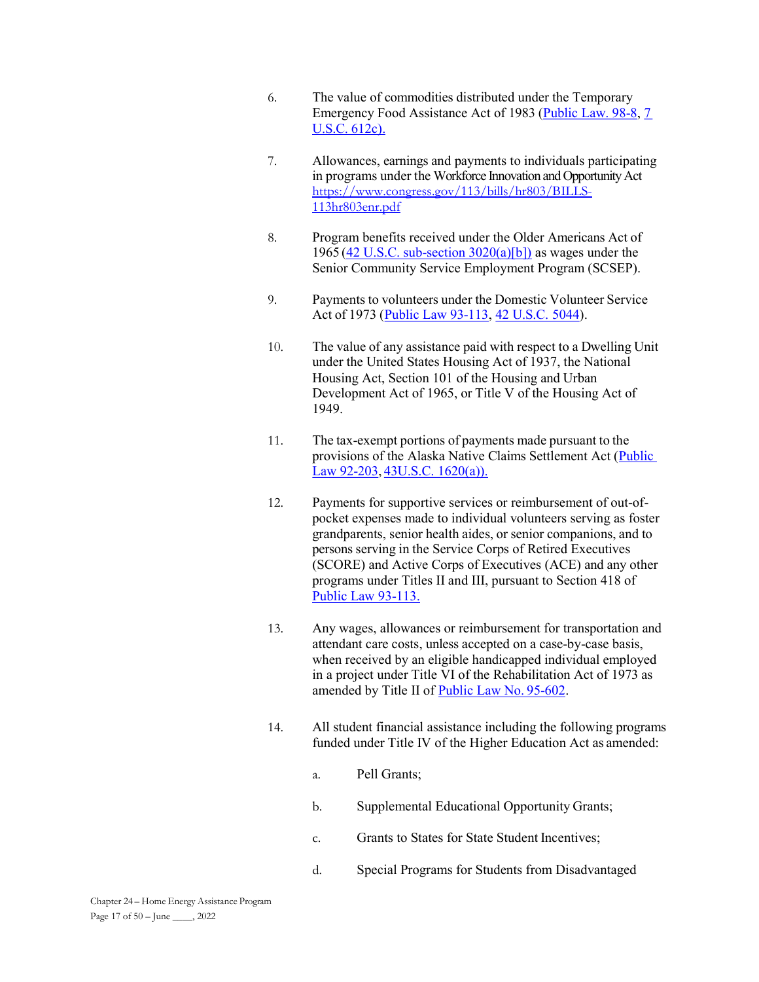- 6. The value of commodities distributed under the Temporary Emergency Food Assistance Act of 1983 (Public Law. 98-8, 7 U.S.C. 612c).
- 7. Allowances, earnings and payments to individuals participating in programs under the Workforce Innovation and Opportunity Act https://www.congress.gov/113/bills/hr803/BILLS-113hr803enr.pdf
- 8. Program benefits received under the Older Americans Act of 1965 (42 U.S.C. sub-section  $3020(a)[b]$ ) as wages under the Senior Community Service Employment Program (SCSEP).
- 9. Payments to volunteers under the Domestic Volunteer Service Act of 1973 (Public Law 93-113, 42 U.S.C. 5044).
- 10. The value of any assistance paid with respect to a Dwelling Unit under the United States Housing Act of 1937, the National Housing Act, Section 101 of the Housing and Urban Development Act of 1965, or Title V of the Housing Act of 1949.
- 11. The tax-exempt portions of payments made pursuant to the provisions of the Alaska Native Claims Settlement Act (Public Law 92-203, 43U.S.C. 1620(a)).
- 12. Payments for supportive services or reimbursement of out-ofpocket expenses made to individual volunteers serving as foster grandparents, senior health aides, or senior companions, and to persons serving in the Service Corps of Retired Executives (SCORE) and Active Corps of Executives (ACE) and any other programs under Titles II and III, pursuant to Section 418 of Public Law 93-113.
- 13. Any wages, allowances or reimbursement for transportation and attendant care costs, unless accepted on a case-by-case basis, when received by an eligible handicapped individual employed in a project under Title VI of the Rehabilitation Act of 1973 as amended by Title II of Public Law No. 95-602.
- 14. All student financial assistance including the following programs funded under Title IV of the Higher Education Act as amended:
	- a. Pell Grants;
	- b. Supplemental Educational Opportunity Grants;
	- c. Grants to States for State Student Incentives;
	- d. Special Programs for Students from Disadvantaged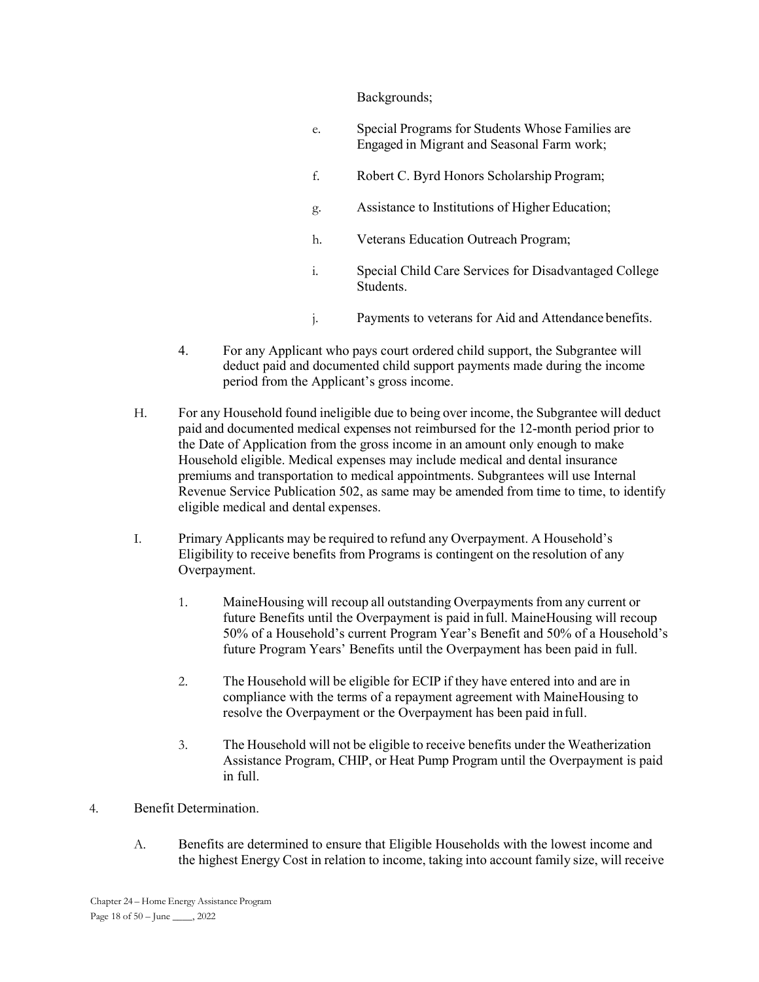Backgrounds;

- e. Special Programs for Students Whose Families are Engaged in Migrant and Seasonal Farm work;
- f. Robert C. Byrd Honors Scholarship Program;
- g. Assistance to Institutions of Higher Education;
- h. Veterans Education Outreach Program;
- i. Special Child Care Services for Disadvantaged College Students.
- j. Payments to veterans for Aid and Attendance benefits.
- 4. For any Applicant who pays court ordered child support, the Subgrantee will deduct paid and documented child support payments made during the income period from the Applicant's gross income.
- H. For any Household found ineligible due to being over income, the Subgrantee will deduct paid and documented medical expenses not reimbursed for the 12-month period prior to the Date of Application from the gross income in an amount only enough to make Household eligible. Medical expenses may include medical and dental insurance premiums and transportation to medical appointments. Subgrantees will use Internal Revenue Service Publication 502, as same may be amended from time to time, to identify eligible medical and dental expenses.
- I. Primary Applicants may be required to refund any Overpayment. A Household's Eligibility to receive benefits from Programs is contingent on the resolution of any Overpayment.
	- 1. MaineHousing will recoup all outstanding Overpayments from any current or future Benefits until the Overpayment is paid in full. MaineHousing will recoup 50% of a Household's current Program Year's Benefit and 50% of a Household's future Program Years' Benefits until the Overpayment has been paid in full.
	- 2. The Household will be eligible for ECIP if they have entered into and are in compliance with the terms of a repayment agreement with MaineHousing to resolve the Overpayment or the Overpayment has been paid in full.
	- 3. The Household will not be eligible to receive benefits under the Weatherization Assistance Program, CHIP, or Heat Pump Program until the Overpayment is paid in full.
- 4. Benefit Determination.
	- A. Benefits are determined to ensure that Eligible Households with the lowest income and the highest Energy Cost in relation to income, taking into account family size, will receive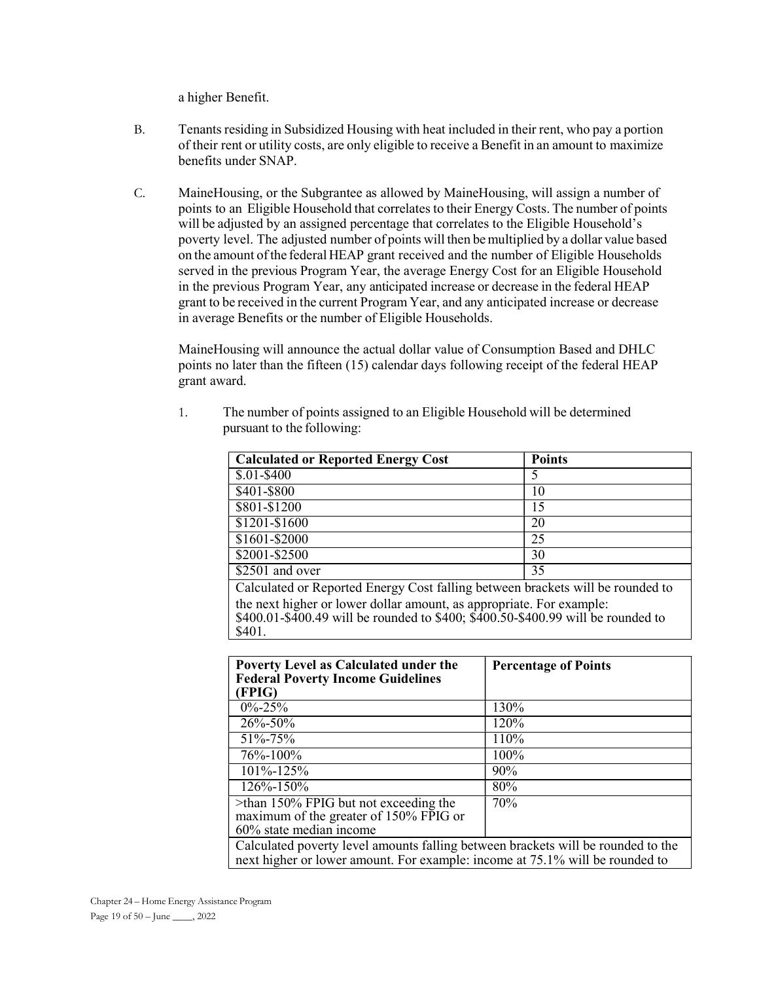a higher Benefit.

- B. Tenants residing in Subsidized Housing with heat included in their rent, who pay a portion of their rent or utility costs, are only eligible to receive a Benefit in an amount to maximize benefits under SNAP.
- C. MaineHousing, or the Subgrantee as allowed by MaineHousing, will assign a number of points to an Eligible Household that correlates to their Energy Costs. The number of points will be adjusted by an assigned percentage that correlates to the Eligible Household's poverty level. The adjusted number of points will then be multiplied by a dollar value based on the amount of the federal HEAP grant received and the number of Eligible Households served in the previous Program Year, the average Energy Cost for an Eligible Household in the previous Program Year, any anticipated increase or decrease in the federal HEAP grant to be received in the current Program Year, and any anticipated increase or decrease in average Benefits or the number of Eligible Households.

 MaineHousing will announce the actual dollar value of Consumption Based and DHLC points no later than the fifteen (15) calendar days following receipt of the federal HEAP grant award.

1. The number of points assigned to an Eligible Household will be determined pursuant to the following:

| <b>Calculated or Reported Energy Cost</b>                                                | <b>Points</b> |  |
|------------------------------------------------------------------------------------------|---------------|--|
| $$.01 - $400$                                                                            | 5             |  |
| \$401-\$800                                                                              | 10            |  |
| \$801-\$1200                                                                             | 15            |  |
| $$1201 - $1600$                                                                          | 20            |  |
| \$1601-\$2000                                                                            | 25            |  |
| \$2001-\$2500                                                                            | 30            |  |
| \$2501 and over                                                                          | 35            |  |
| Calculated or Reported Energy Cost falling between brackets will be rounded to           |               |  |
| the next higher or lower dollar amount, as appropriate. For example:                     |               |  |
| \$400.01-\$400.49 will be rounded to \$400; $\hat{$400.50}$ -\$400.99 will be rounded to |               |  |
| \$401.                                                                                   |               |  |

| Poverty Level as Calculated under the<br><b>Federal Poverty Income Guidelines</b><br>(FPIG)                                                                      | <b>Percentage of Points</b> |
|------------------------------------------------------------------------------------------------------------------------------------------------------------------|-----------------------------|
| $0\% - 25\%$                                                                                                                                                     | 130%                        |
| 26%-50%                                                                                                                                                          | 120%                        |
| $51\% - 75\%$                                                                                                                                                    | 110%                        |
| 76%-100%                                                                                                                                                         | 100%                        |
| $101\% - 125\%$                                                                                                                                                  | 90%                         |
| $126\% - 150\%$                                                                                                                                                  | 80%                         |
| $\ge$ than 150% FPIG but not exceeding the<br>maximum of the greater of 150% FPIG or<br>$60\%$ state median income                                               | 70%                         |
| Calculated poverty level amounts falling between brackets will be rounded to the<br>next higher or lower amount. For example: income at 75.1% will be rounded to |                             |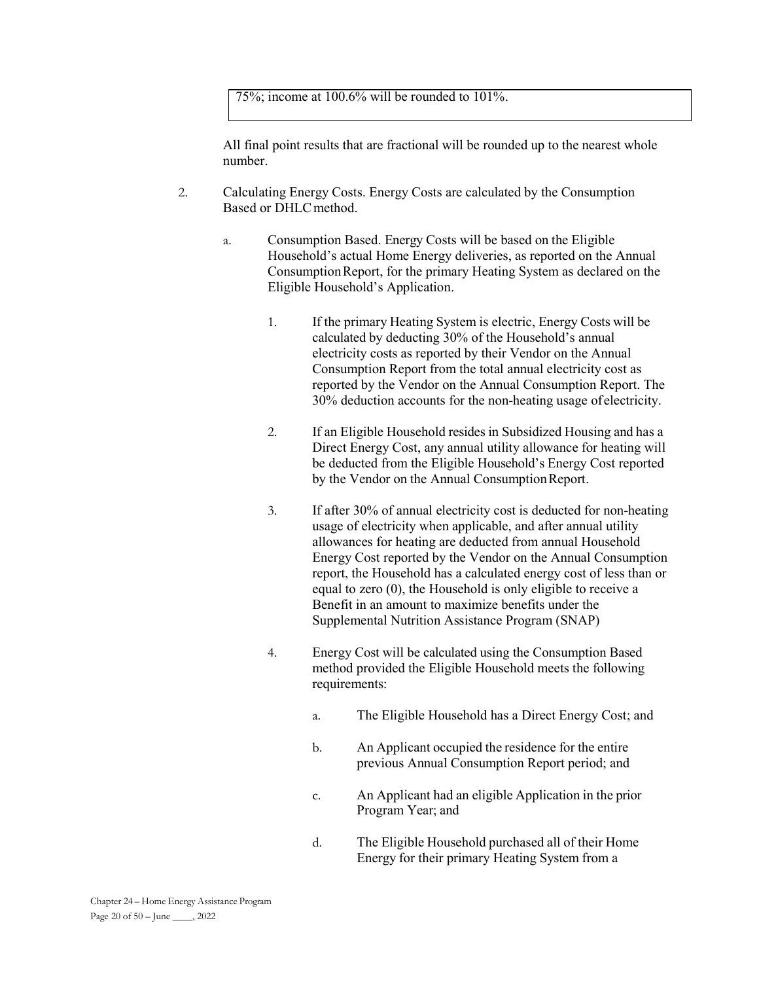75%; income at 100.6% will be rounded to 101%.

All final point results that are fractional will be rounded up to the nearest whole number.

- 2. Calculating Energy Costs. Energy Costs are calculated by the Consumption Based or DHLC method.
	- a. Consumption Based. Energy Costs will be based on the Eligible Household's actual Home Energy deliveries, as reported on the Annual Consumption Report, for the primary Heating System as declared on the Eligible Household's Application.
		- 1. If the primary Heating System is electric, Energy Costs will be calculated by deducting 30% of the Household's annual electricity costs as reported by their Vendor on the Annual Consumption Report from the total annual electricity cost as reported by the Vendor on the Annual Consumption Report. The 30% deduction accounts for the non-heating usage of electricity.
		- 2. If an Eligible Household resides in Subsidized Housing and has a Direct Energy Cost, any annual utility allowance for heating will be deducted from the Eligible Household's Energy Cost reported by the Vendor on the Annual Consumption Report.
		- 3. If after 30% of annual electricity cost is deducted for non-heating usage of electricity when applicable, and after annual utility allowances for heating are deducted from annual Household Energy Cost reported by the Vendor on the Annual Consumption report, the Household has a calculated energy cost of less than or equal to zero (0), the Household is only eligible to receive a Benefit in an amount to maximize benefits under the Supplemental Nutrition Assistance Program (SNAP)
		- 4. Energy Cost will be calculated using the Consumption Based method provided the Eligible Household meets the following requirements:
			- a. The Eligible Household has a Direct Energy Cost; and
			- b. An Applicant occupied the residence for the entire previous Annual Consumption Report period; and
			- c. An Applicant had an eligible Application in the prior Program Year; and
			- d. The Eligible Household purchased all of their Home Energy for their primary Heating System from a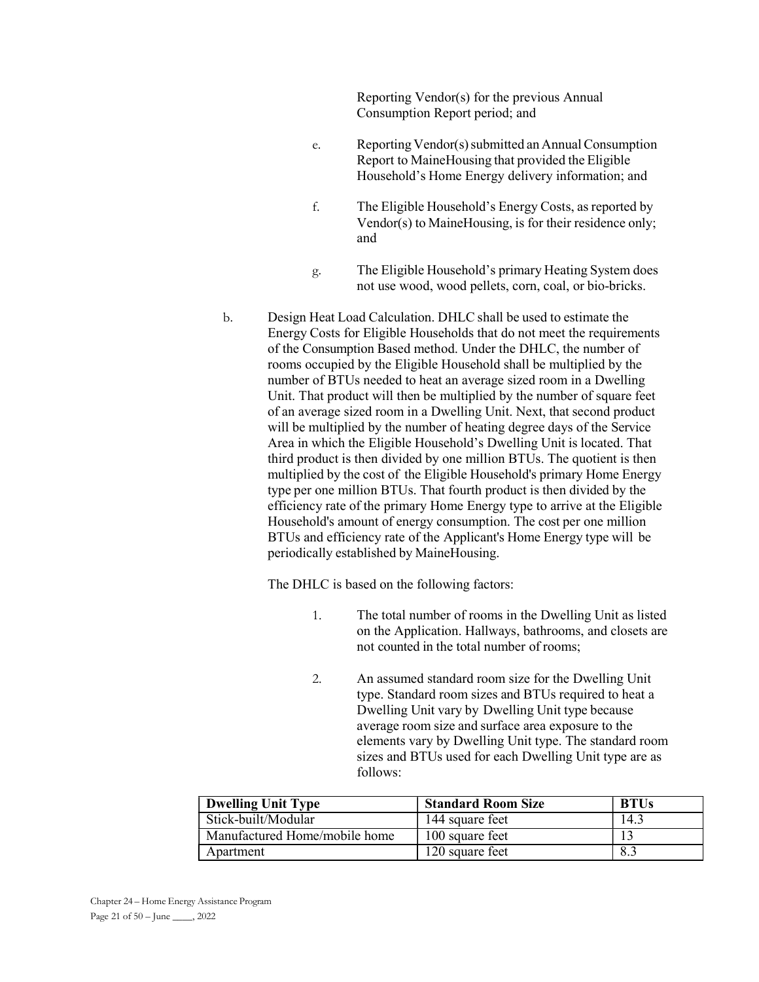Reporting Vendor(s) for the previous Annual Consumption Report period; and

- e. Reporting Vendor(s) submitted an Annual Consumption Report to MaineHousing that provided the Eligible Household's Home Energy delivery information; and
- f. The Eligible Household's Energy Costs, as reported by Vendor(s) to MaineHousing, is for their residence only; and
- g. The Eligible Household's primary Heating System does not use wood, wood pellets, corn, coal, or bio-bricks.
- b. Design Heat Load Calculation. DHLC shall be used to estimate the Energy Costs for Eligible Households that do not meet the requirements of the Consumption Based method. Under the DHLC, the number of rooms occupied by the Eligible Household shall be multiplied by the number of BTUs needed to heat an average sized room in a Dwelling Unit. That product will then be multiplied by the number of square feet of an average sized room in a Dwelling Unit. Next, that second product will be multiplied by the number of heating degree days of the Service Area in which the Eligible Household's Dwelling Unit is located. That third product is then divided by one million BTUs. The quotient is then multiplied by the cost of the Eligible Household's primary Home Energy type per one million BTUs. That fourth product is then divided by the efficiency rate of the primary Home Energy type to arrive at the Eligible Household's amount of energy consumption. The cost per one million BTUs and efficiency rate of the Applicant's Home Energy type will be periodically established by MaineHousing.

The DHLC is based on the following factors:

- 1. The total number of rooms in the Dwelling Unit as listed on the Application. Hallways, bathrooms, and closets are not counted in the total number of rooms;
- 2. An assumed standard room size for the Dwelling Unit type. Standard room sizes and BTUs required to heat a Dwelling Unit vary by Dwelling Unit type because average room size and surface area exposure to the elements vary by Dwelling Unit type. The standard room sizes and BTUs used for each Dwelling Unit type are as follows:

| <b>Dwelling Unit Type</b>     | <b>Standard Room Size</b> | <b>BTUs</b> |
|-------------------------------|---------------------------|-------------|
| Stick-built/Modular           | 144 square feet           | 14.3        |
| Manufactured Home/mobile home | 100 square feet           |             |
| Apartment                     | 120 square feet           |             |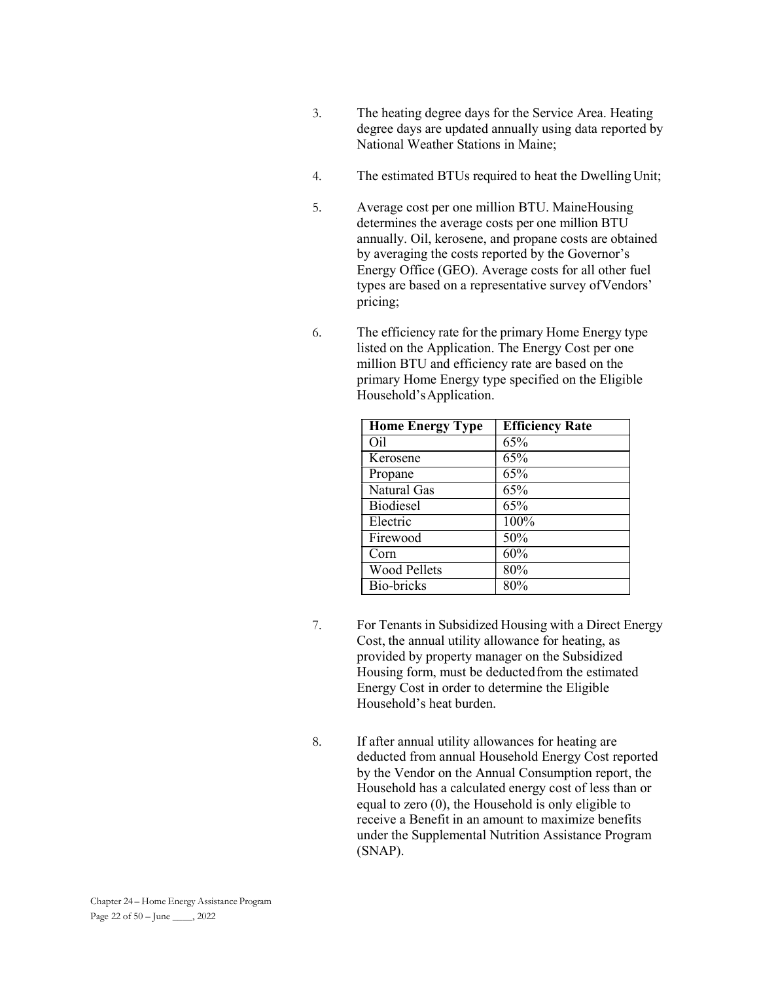- 3. The heating degree days for the Service Area. Heating degree days are updated annually using data reported by National Weather Stations in Maine;
- 4. The estimated BTUs required to heat the Dwelling Unit;
- 5. Average cost per one million BTU. MaineHousing determines the average costs per one million BTU annually. Oil, kerosene, and propane costs are obtained by averaging the costs reported by the Governor's Energy Office (GEO). Average costs for all other fuel types are based on a representative survey of Vendors' pricing;
- 6. The efficiency rate for the primary Home Energy type listed on the Application. The Energy Cost per one million BTU and efficiency rate are based on the primary Home Energy type specified on the Eligible Household's Application.

| <b>Home Energy Type</b> | <b>Efficiency Rate</b> |
|-------------------------|------------------------|
| Oil                     | 65%                    |
| Kerosene                | 65%                    |
| Propane                 | 65%                    |
| Natural Gas             | 65%                    |
| <b>Biodiesel</b>        | 65%                    |
| Electric                | 100%                   |
| Firewood                | 50%                    |
| Corn                    | 60%                    |
| <b>Wood Pellets</b>     | 80%                    |
| Bio-bricks              | 80%                    |

- 7. For Tenants in Subsidized Housing with a Direct Energy Cost, the annual utility allowance for heating, as provided by property manager on the Subsidized Housing form, must be deducted from the estimated Energy Cost in order to determine the Eligible Household's heat burden.
- 8. If after annual utility allowances for heating are deducted from annual Household Energy Cost reported by the Vendor on the Annual Consumption report, the Household has a calculated energy cost of less than or equal to zero (0), the Household is only eligible to receive a Benefit in an amount to maximize benefits under the Supplemental Nutrition Assistance Program (SNAP).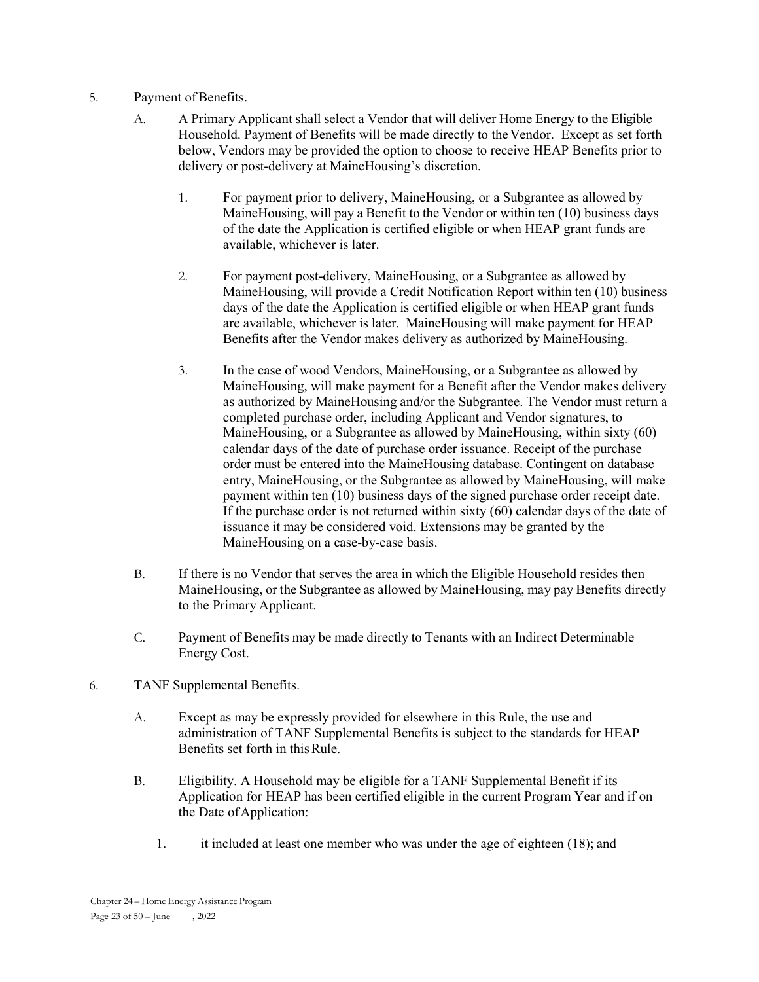- 5. Payment of Benefits.
	- A. A Primary Applicant shall select a Vendor that will deliver Home Energy to the Eligible Household. Payment of Benefits will be made directly to the Vendor. Except as set forth below, Vendors may be provided the option to choose to receive HEAP Benefits prior to delivery or post-delivery at MaineHousing's discretion.
		- 1. For payment prior to delivery, MaineHousing, or a Subgrantee as allowed by MaineHousing, will pay a Benefit to the Vendor or within ten (10) business days of the date the Application is certified eligible or when HEAP grant funds are available, whichever is later.
		- 2. For payment post-delivery, MaineHousing, or a Subgrantee as allowed by MaineHousing, will provide a Credit Notification Report within ten (10) business days of the date the Application is certified eligible or when HEAP grant funds are available, whichever is later. MaineHousing will make payment for HEAP Benefits after the Vendor makes delivery as authorized by MaineHousing.
		- 3. In the case of wood Vendors, MaineHousing, or a Subgrantee as allowed by MaineHousing, will make payment for a Benefit after the Vendor makes delivery as authorized by MaineHousing and/or the Subgrantee. The Vendor must return a completed purchase order, including Applicant and Vendor signatures, to MaineHousing, or a Subgrantee as allowed by MaineHousing, within sixty (60) calendar days of the date of purchase order issuance. Receipt of the purchase order must be entered into the MaineHousing database. Contingent on database entry, MaineHousing, or the Subgrantee as allowed by MaineHousing, will make payment within ten (10) business days of the signed purchase order receipt date. If the purchase order is not returned within sixty (60) calendar days of the date of issuance it may be considered void. Extensions may be granted by the MaineHousing on a case-by-case basis.
	- B. If there is no Vendor that serves the area in which the Eligible Household resides then MaineHousing, or the Subgrantee as allowed by MaineHousing, may pay Benefits directly to the Primary Applicant.
	- C. Payment of Benefits may be made directly to Tenants with an Indirect Determinable Energy Cost.
- 6. TANF Supplemental Benefits.
	- A. Except as may be expressly provided for elsewhere in this Rule, the use and administration of TANF Supplemental Benefits is subject to the standards for HEAP Benefits set forth in this Rule.
	- B. Eligibility. A Household may be eligible for a TANF Supplemental Benefit if its Application for HEAP has been certified eligible in the current Program Year and if on the Date of Application:
		- 1. it included at least one member who was under the age of eighteen (18); and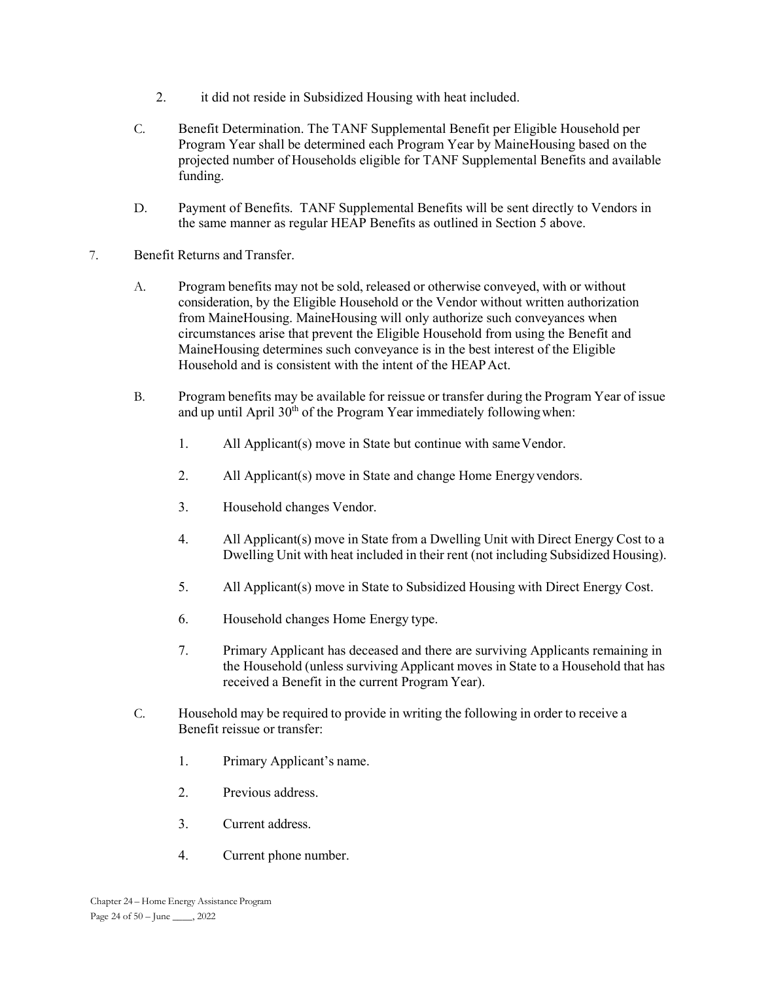- 2. it did not reside in Subsidized Housing with heat included.
- C. Benefit Determination. The TANF Supplemental Benefit per Eligible Household per Program Year shall be determined each Program Year by MaineHousing based on the projected number of Households eligible for TANF Supplemental Benefits and available funding.
- D. Payment of Benefits. TANF Supplemental Benefits will be sent directly to Vendors in the same manner as regular HEAP Benefits as outlined in Section 5 above.
- 7. Benefit Returns and Transfer.
	- A. Program benefits may not be sold, released or otherwise conveyed, with or without consideration, by the Eligible Household or the Vendor without written authorization from MaineHousing. MaineHousing will only authorize such conveyances when circumstances arise that prevent the Eligible Household from using the Benefit and MaineHousing determines such conveyance is in the best interest of the Eligible Household and is consistent with the intent of the HEAP Act.
	- B. Program benefits may be available for reissue or transfer during the Program Year of issue and up until April  $30<sup>th</sup>$  of the Program Year immediately following when:
		- 1. All Applicant(s) move in State but continue with same Vendor.
		- 2. All Applicant(s) move in State and change Home Energy vendors.
		- 3. Household changes Vendor.
		- 4. All Applicant(s) move in State from a Dwelling Unit with Direct Energy Cost to a Dwelling Unit with heat included in their rent (not including Subsidized Housing).
		- 5. All Applicant(s) move in State to Subsidized Housing with Direct Energy Cost.
		- 6. Household changes Home Energy type.
		- 7. Primary Applicant has deceased and there are surviving Applicants remaining in the Household (unless surviving Applicant moves in State to a Household that has received a Benefit in the current Program Year).
	- C. Household may be required to provide in writing the following in order to receive a Benefit reissue or transfer:
		- 1. Primary Applicant's name.
		- 2. Previous address.
		- 3. Current address.
		- 4. Current phone number.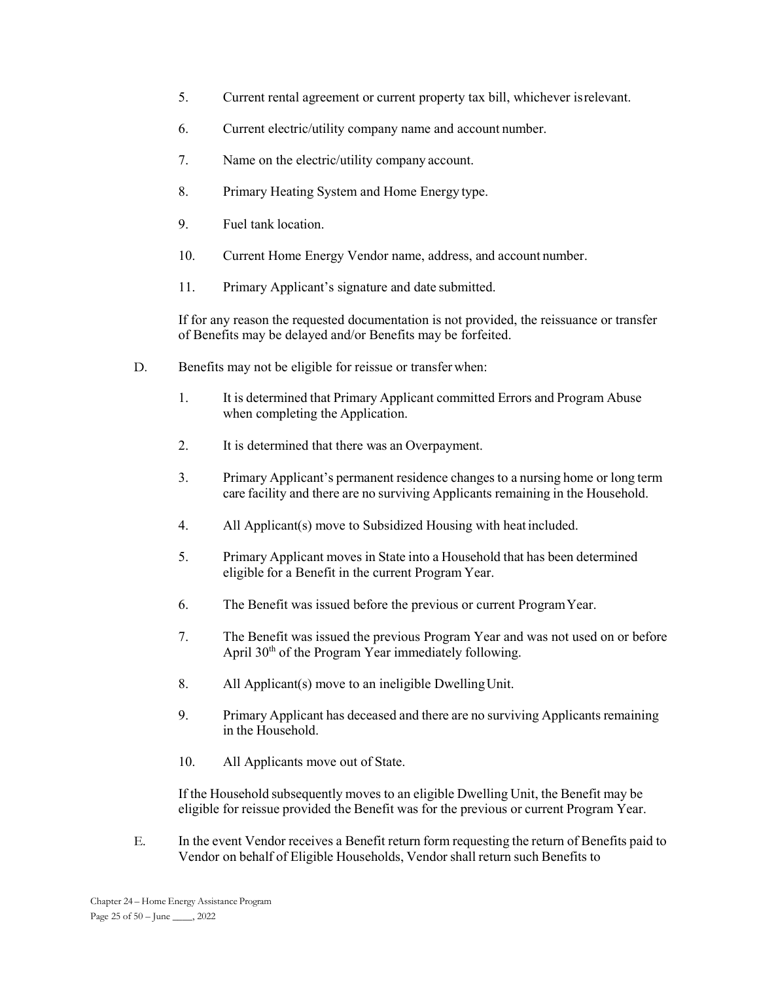- 5. Current rental agreement or current property tax bill, whichever is relevant.
- 6. Current electric/utility company name and account number.
- 7. Name on the electric/utility company account.
- 8. Primary Heating System and Home Energy type.
- 9. Fuel tank location.
- 10. Current Home Energy Vendor name, address, and account number.
- 11. Primary Applicant's signature and date submitted.

If for any reason the requested documentation is not provided, the reissuance or transfer of Benefits may be delayed and/or Benefits may be forfeited.

- D. Benefits may not be eligible for reissue or transfer when:
	- 1. It is determined that Primary Applicant committed Errors and Program Abuse when completing the Application.
	- 2. It is determined that there was an Overpayment.
	- 3. Primary Applicant's permanent residence changes to a nursing home or long term care facility and there are no surviving Applicants remaining in the Household.
	- 4. All Applicant(s) move to Subsidized Housing with heat included.
	- 5. Primary Applicant moves in State into a Household that has been determined eligible for a Benefit in the current Program Year.
	- 6. The Benefit was issued before the previous or current Program Year.
	- 7. The Benefit was issued the previous Program Year and was not used on or before April 30th of the Program Year immediately following.
	- 8. All Applicant(s) move to an ineligible Dwelling Unit.
	- 9. Primary Applicant has deceased and there are no surviving Applicants remaining in the Household.
	- 10. All Applicants move out of State.

If the Household subsequently moves to an eligible Dwelling Unit, the Benefit may be eligible for reissue provided the Benefit was for the previous or current Program Year.

E. In the event Vendor receives a Benefit return form requesting the return of Benefits paid to Vendor on behalf of Eligible Households, Vendor shall return such Benefits to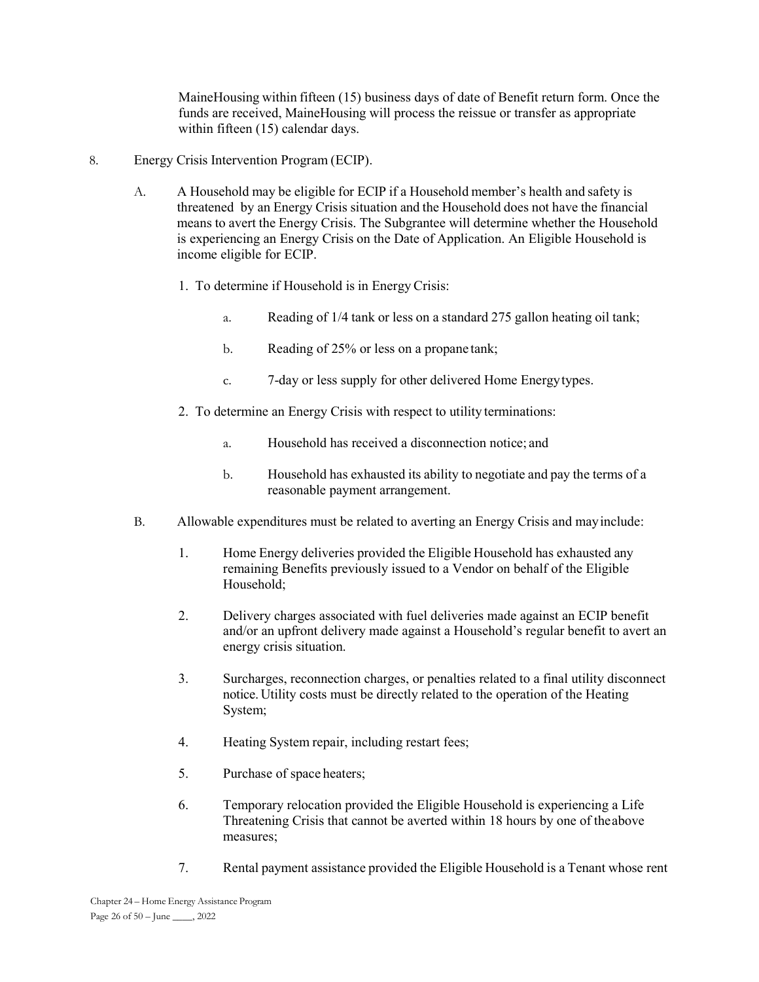MaineHousing within fifteen (15) business days of date of Benefit return form. Once the funds are received, MaineHousing will process the reissue or transfer as appropriate within fifteen (15) calendar days.

- 8. Energy Crisis Intervention Program (ECIP).
	- A. A Household may be eligible for ECIP if a Household member's health and safety is threatened by an Energy Crisis situation and the Household does not have the financial means to avert the Energy Crisis. The Subgrantee will determine whether the Household is experiencing an Energy Crisis on the Date of Application. An Eligible Household is income eligible for ECIP.
		- 1. To determine if Household is in Energy Crisis:
			- a. Reading of 1/4 tank or less on a standard 275 gallon heating oil tank;
			- b. Reading of 25% or less on a propane tank;
			- c. 7-day or less supply for other delivered Home Energy types.
		- 2. To determine an Energy Crisis with respect to utility terminations:
			- a. Household has received a disconnection notice; and
			- b. Household has exhausted its ability to negotiate and pay the terms of a reasonable payment arrangement.
	- B. Allowable expenditures must be related to averting an Energy Crisis and may include:
		- 1. Home Energy deliveries provided the Eligible Household has exhausted any remaining Benefits previously issued to a Vendor on behalf of the Eligible Household;
		- 2. Delivery charges associated with fuel deliveries made against an ECIP benefit and/or an upfront delivery made against a Household's regular benefit to avert an energy crisis situation.
		- 3. Surcharges, reconnection charges, or penalties related to a final utility disconnect notice. Utility costs must be directly related to the operation of the Heating System;
		- 4. Heating System repair, including restart fees;
		- 5. Purchase of space heaters;
		- 6. Temporary relocation provided the Eligible Household is experiencing a Life Threatening Crisis that cannot be averted within 18 hours by one of the above measures;
		- 7. Rental payment assistance provided the Eligible Household is a Tenant whose rent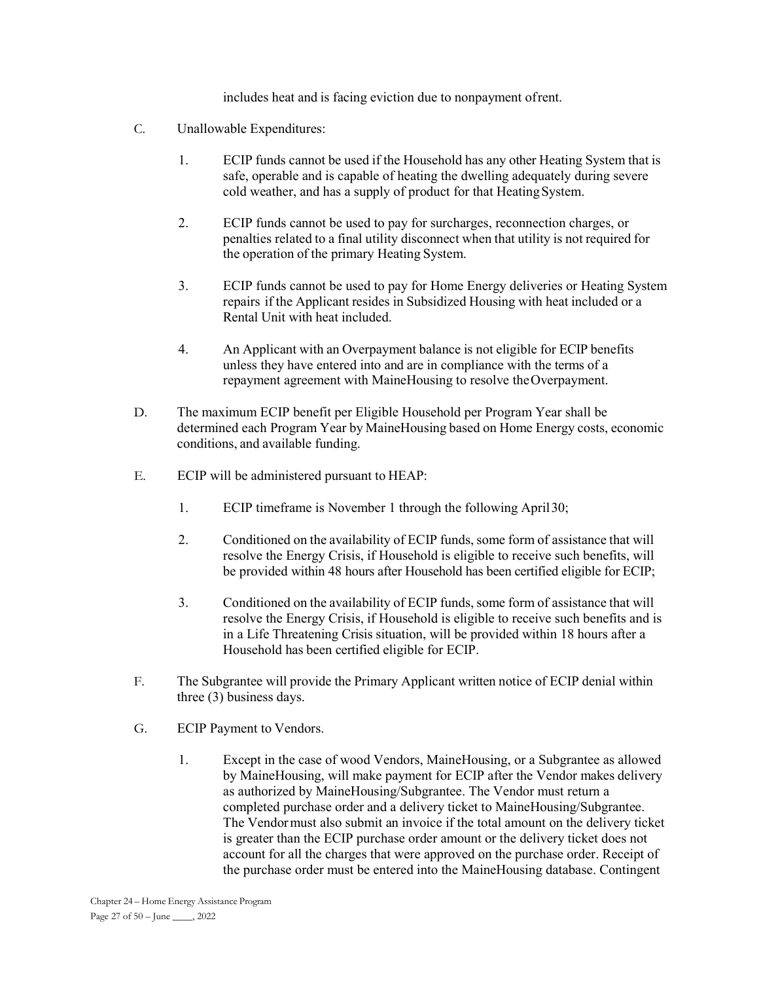includes heat and is facing eviction due to nonpayment of rent.

- C. Unallowable Expenditures:
	- 1. ECIP funds cannot be used if the Household has any other Heating System that is safe, operable and is capable of heating the dwelling adequately during severe cold weather, and has a supply of product for that Heating System.
	- 2. ECIP funds cannot be used to pay for surcharges, reconnection charges, or penalties related to a final utility disconnect when that utility is not required for the operation of the primary Heating System.
	- 3. ECIP funds cannot be used to pay for Home Energy deliveries or Heating System repairs if the Applicant resides in Subsidized Housing with heat included or a Rental Unit with heat included.
	- 4. An Applicant with an Overpayment balance is not eligible for ECIP benefits unless they have entered into and are in compliance with the terms of a repayment agreement with MaineHousing to resolve the Overpayment.
- D. The maximum ECIP benefit per Eligible Household per Program Year shall be determined each Program Year by MaineHousing based on Home Energy costs, economic conditions, and available funding.
- E. ECIP will be administered pursuant to HEAP:
	- 1. ECIP timeframe is November 1 through the following April 30;
	- 2. Conditioned on the availability of ECIP funds, some form of assistance that will resolve the Energy Crisis, if Household is eligible to receive such benefits, will be provided within 48 hours after Household has been certified eligible for ECIP;
	- 3. Conditioned on the availability of ECIP funds, some form of assistance that will resolve the Energy Crisis, if Household is eligible to receive such benefits and is in a Life Threatening Crisis situation, will be provided within 18 hours after a Household has been certified eligible for ECIP.
- F. The Subgrantee will provide the Primary Applicant written notice of ECIP denial within three (3) business days.
- G. ECIP Payment to Vendors.
	- 1. Except in the case of wood Vendors, MaineHousing, or a Subgrantee as allowed by MaineHousing, will make payment for ECIP after the Vendor makes delivery as authorized by MaineHousing/Subgrantee. The Vendor must return a completed purchase order and a delivery ticket to MaineHousing/Subgrantee. The Vendor must also submit an invoice if the total amount on the delivery ticket is greater than the ECIP purchase order amount or the delivery ticket does not account for all the charges that were approved on the purchase order. Receipt of the purchase order must be entered into the MaineHousing database. Contingent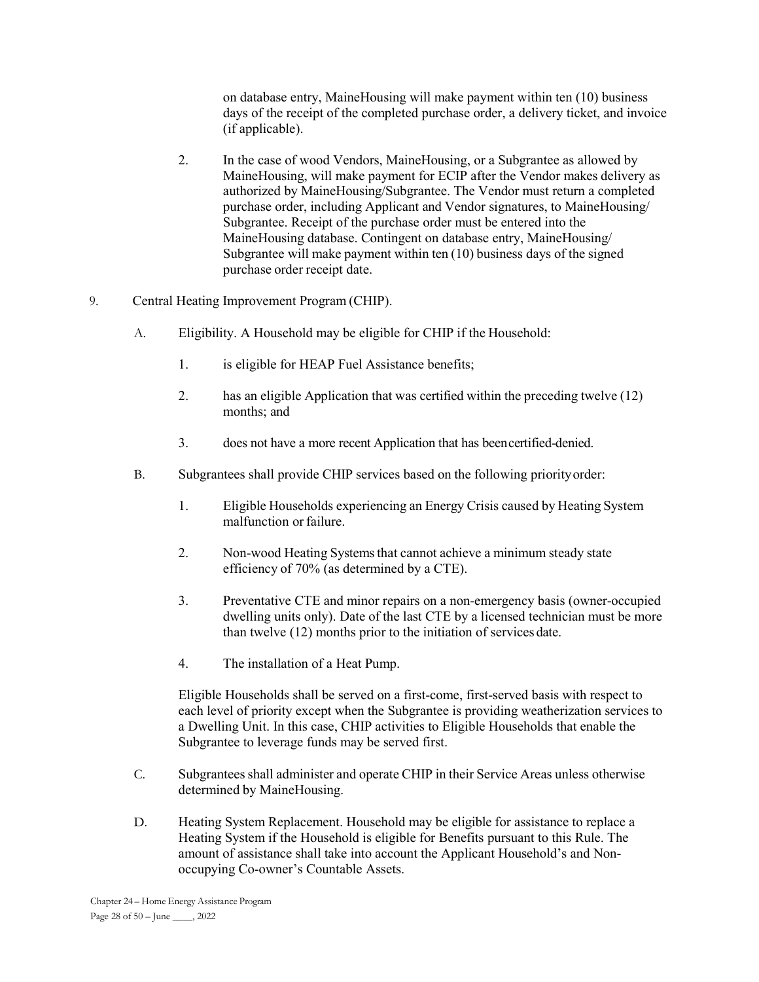on database entry, MaineHousing will make payment within ten (10) business days of the receipt of the completed purchase order, a delivery ticket, and invoice (if applicable).

- 2. In the case of wood Vendors, MaineHousing, or a Subgrantee as allowed by MaineHousing, will make payment for ECIP after the Vendor makes delivery as authorized by MaineHousing/Subgrantee. The Vendor must return a completed purchase order, including Applicant and Vendor signatures, to MaineHousing/ Subgrantee. Receipt of the purchase order must be entered into the MaineHousing database. Contingent on database entry, MaineHousing/ Subgrantee will make payment within ten (10) business days of the signed purchase order receipt date.
- 9. Central Heating Improvement Program (CHIP).
	- A. Eligibility. A Household may be eligible for CHIP if the Household:
		- 1. is eligible for HEAP Fuel Assistance benefits;
		- 2. has an eligible Application that was certified within the preceding twelve (12) months; and
		- 3. does not have a more recent Application that has been certified-denied.
	- B. Subgrantees shall provide CHIP services based on the following priority order:
		- 1. Eligible Households experiencing an Energy Crisis caused by Heating System malfunction or failure.
		- 2. Non-wood Heating Systems that cannot achieve a minimum steady state efficiency of 70% (as determined by a CTE).
		- 3. Preventative CTE and minor repairs on a non-emergency basis (owner-occupied dwelling units only). Date of the last CTE by a licensed technician must be more than twelve (12) months prior to the initiation of services date.
		- 4. The installation of a Heat Pump.

Eligible Households shall be served on a first-come, first-served basis with respect to each level of priority except when the Subgrantee is providing weatherization services to a Dwelling Unit. In this case, CHIP activities to Eligible Households that enable the Subgrantee to leverage funds may be served first.

- C. Subgrantees shall administer and operate CHIP in their Service Areas unless otherwise determined by MaineHousing.
- D. Heating System Replacement. Household may be eligible for assistance to replace a Heating System if the Household is eligible for Benefits pursuant to this Rule. The amount of assistance shall take into account the Applicant Household's and Nonoccupying Co-owner's Countable Assets.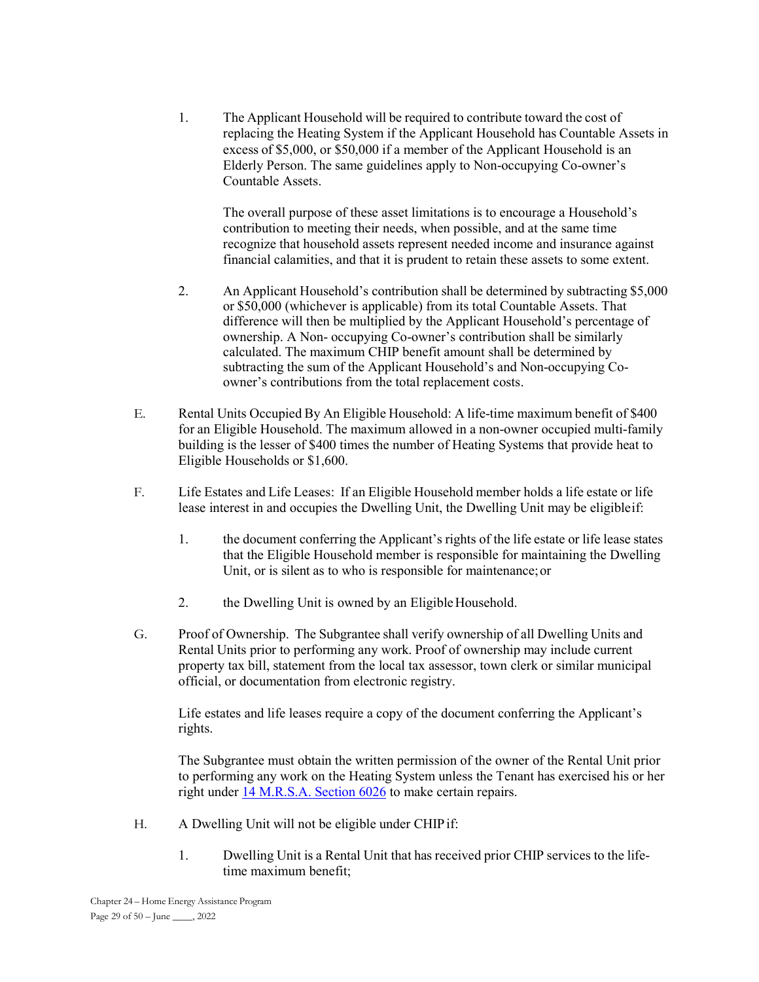1. The Applicant Household will be required to contribute toward the cost of replacing the Heating System if the Applicant Household has Countable Assets in excess of \$5,000, or \$50,000 if a member of the Applicant Household is an Elderly Person. The same guidelines apply to Non-occupying Co-owner's Countable Assets.

The overall purpose of these asset limitations is to encourage a Household's contribution to meeting their needs, when possible, and at the same time recognize that household assets represent needed income and insurance against financial calamities, and that it is prudent to retain these assets to some extent.

- 2. An Applicant Household's contribution shall be determined by subtracting \$5,000 or \$50,000 (whichever is applicable) from its total Countable Assets. That difference will then be multiplied by the Applicant Household's percentage of ownership. A Non- occupying Co-owner's contribution shall be similarly calculated. The maximum CHIP benefit amount shall be determined by subtracting the sum of the Applicant Household's and Non-occupying Coowner's contributions from the total replacement costs.
- E. Rental Units Occupied By An Eligible Household: A life-time maximum benefit of \$400 for an Eligible Household. The maximum allowed in a non-owner occupied multi-family building is the lesser of \$400 times the number of Heating Systems that provide heat to Eligible Households or \$1,600.
- F. Life Estates and Life Leases: If an Eligible Household member holds a life estate or life lease interest in and occupies the Dwelling Unit, the Dwelling Unit may be eligible if:
	- 1. the document conferring the Applicant's rights of the life estate or life lease states that the Eligible Household member is responsible for maintaining the Dwelling Unit, or is silent as to who is responsible for maintenance; or
	- 2. the Dwelling Unit is owned by an Eligible Household.
- G. Proof of Ownership. The Subgrantee shall verify ownership of all Dwelling Units and Rental Units prior to performing any work. Proof of ownership may include current property tax bill, statement from the local tax assessor, town clerk or similar municipal official, or documentation from electronic registry.

Life estates and life leases require a copy of the document conferring the Applicant's rights.

The Subgrantee must obtain the written permission of the owner of the Rental Unit prior to performing any work on the Heating System unless the Tenant has exercised his or her right under 14 M.R.S.A. Section 6026 to make certain repairs.

- H. A Dwelling Unit will not be eligible under CHIP if:
	- 1. Dwelling Unit is a Rental Unit that has received prior CHIP services to the lifetime maximum benefit;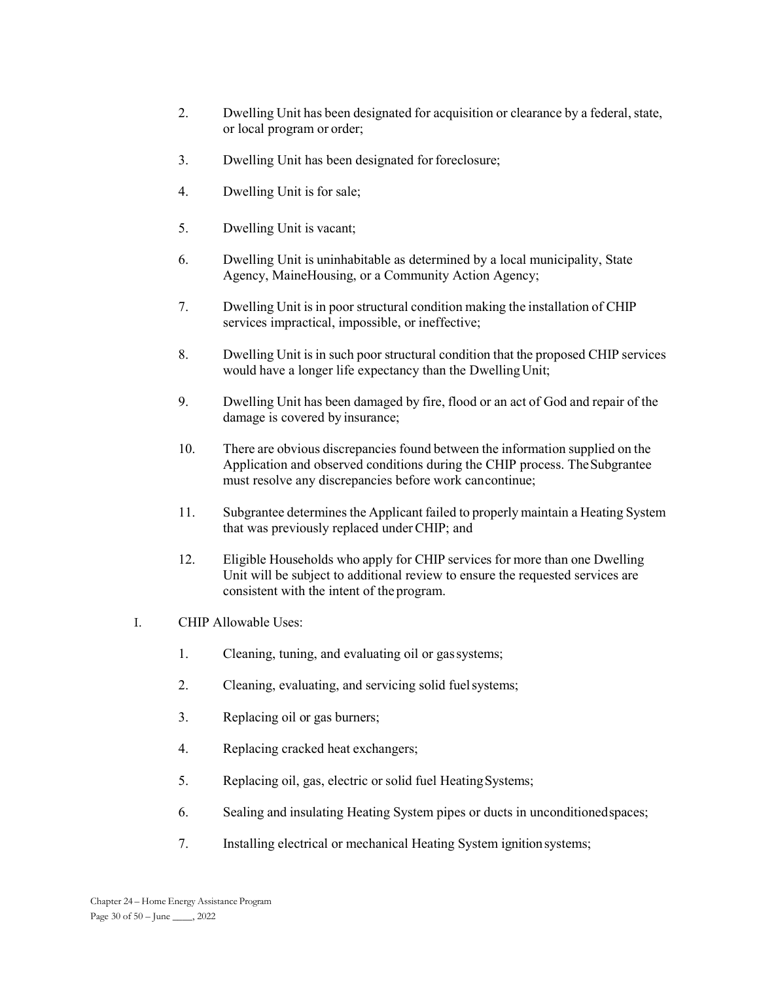- 2. Dwelling Unit has been designated for acquisition or clearance by a federal, state, or local program or order;
- 3. Dwelling Unit has been designated for foreclosure;
- 4. Dwelling Unit is for sale;
- 5. Dwelling Unit is vacant;
- 6. Dwelling Unit is uninhabitable as determined by a local municipality, State Agency, MaineHousing, or a Community Action Agency;
- 7. Dwelling Unit is in poor structural condition making the installation of CHIP services impractical, impossible, or ineffective;
- 8. Dwelling Unit is in such poor structural condition that the proposed CHIP services would have a longer life expectancy than the Dwelling Unit;
- 9. Dwelling Unit has been damaged by fire, flood or an act of God and repair of the damage is covered by insurance;
- 10. There are obvious discrepancies found between the information supplied on the Application and observed conditions during the CHIP process. The Subgrantee must resolve any discrepancies before work can continue;
- 11. Subgrantee determines the Applicant failed to properly maintain a Heating System that was previously replaced under CHIP; and
- 12. Eligible Households who apply for CHIP services for more than one Dwelling Unit will be subject to additional review to ensure the requested services are consistent with the intent of the program.
- I. CHIP Allowable Uses:
	- 1. Cleaning, tuning, and evaluating oil or gas systems;
	- 2. Cleaning, evaluating, and servicing solid fuel systems;
	- 3. Replacing oil or gas burners;
	- 4. Replacing cracked heat exchangers;
	- 5. Replacing oil, gas, electric or solid fuel Heating Systems;
	- 6. Sealing and insulating Heating System pipes or ducts in unconditioned spaces;
	- 7. Installing electrical or mechanical Heating System ignition systems;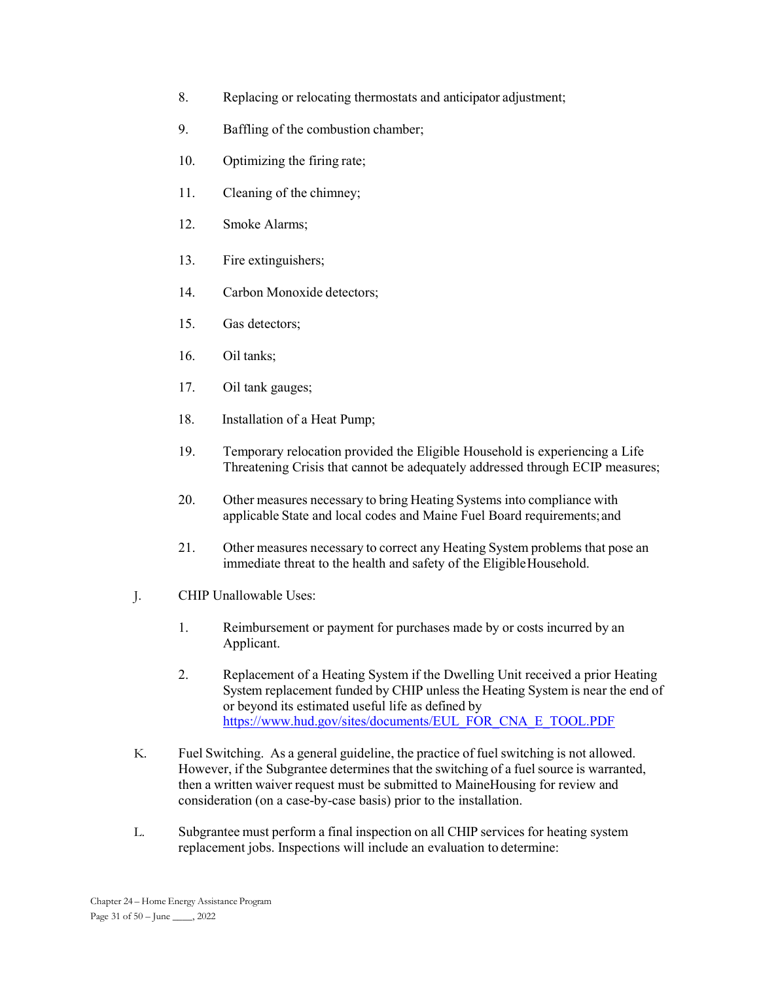- 8. Replacing or relocating thermostats and anticipator adjustment;
- 9. Baffling of the combustion chamber;
- 10. Optimizing the firing rate;
- 11. Cleaning of the chimney;
- 12. Smoke Alarms;
- 13. Fire extinguishers;
- 14. Carbon Monoxide detectors;
- 15. Gas detectors;
- 16. Oil tanks;
- 17. Oil tank gauges;
- 18. Installation of a Heat Pump;
- 19. Temporary relocation provided the Eligible Household is experiencing a Life Threatening Crisis that cannot be adequately addressed through ECIP measures;
- 20. Other measures necessary to bring Heating Systems into compliance with applicable State and local codes and Maine Fuel Board requirements; and
- 21. Other measures necessary to correct any Heating System problems that pose an immediate threat to the health and safety of the Eligible Household.
- J. CHIP Unallowable Uses:
	- 1. Reimbursement or payment for purchases made by or costs incurred by an Applicant.
	- 2. Replacement of a Heating System if the Dwelling Unit received a prior Heating System replacement funded by CHIP unless the Heating System is near the end of or beyond its estimated useful life as defined by https://www.hud.gov/sites/documents/EUL\_FOR\_CNA\_E\_TOOL.PDF
- K. Fuel Switching. As a general guideline, the practice of fuel switching is not allowed. However, if the Subgrantee determines that the switching of a fuel source is warranted, then a written waiver request must be submitted to MaineHousing for review and consideration (on a case-by-case basis) prior to the installation.
- L. Subgrantee must perform a final inspection on all CHIP services for heating system replacement jobs. Inspections will include an evaluation to determine: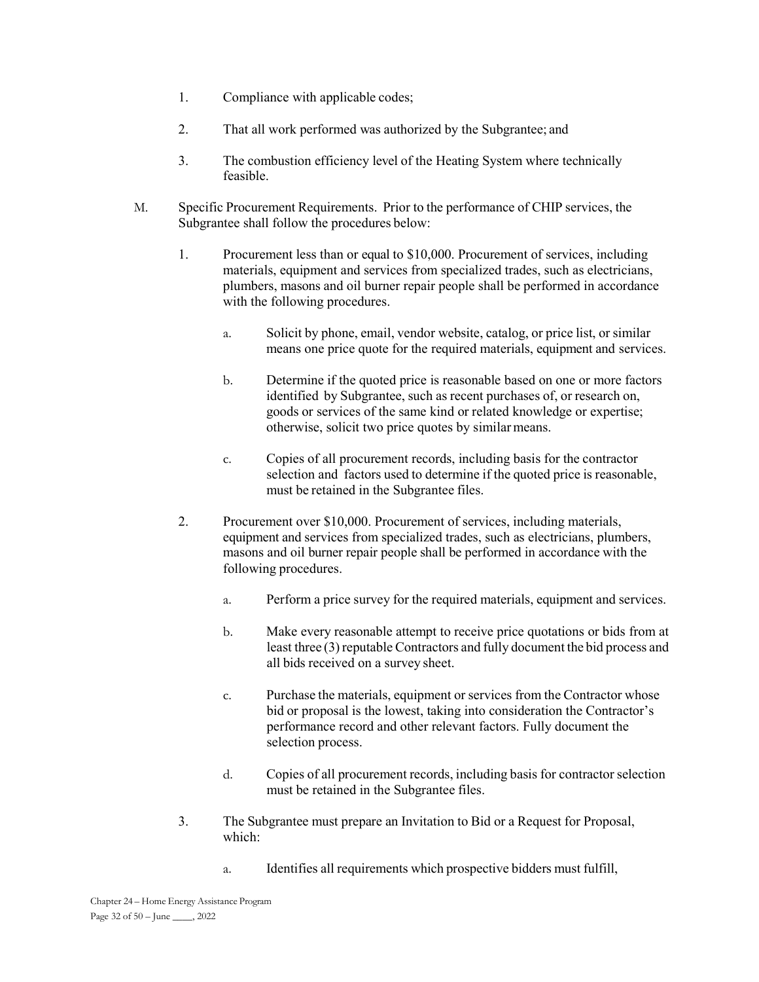- 1. Compliance with applicable codes;
- 2. That all work performed was authorized by the Subgrantee; and
- 3. The combustion efficiency level of the Heating System where technically feasible.
- M. Specific Procurement Requirements. Prior to the performance of CHIP services, the Subgrantee shall follow the procedures below:
	- 1. Procurement less than or equal to \$10,000. Procurement of services, including materials, equipment and services from specialized trades, such as electricians, plumbers, masons and oil burner repair people shall be performed in accordance with the following procedures.
		- a. Solicit by phone, email, vendor website, catalog, or price list, or similar means one price quote for the required materials, equipment and services.
		- b. Determine if the quoted price is reasonable based on one or more factors identified by Subgrantee, such as recent purchases of, or research on, goods or services of the same kind or related knowledge or expertise; otherwise, solicit two price quotes by similar means.
		- c. Copies of all procurement records, including basis for the contractor selection and factors used to determine if the quoted price is reasonable, must be retained in the Subgrantee files.
	- 2. Procurement over \$10,000. Procurement of services, including materials, equipment and services from specialized trades, such as electricians, plumbers, masons and oil burner repair people shall be performed in accordance with the following procedures.
		- a. Perform a price survey for the required materials, equipment and services.
		- b. Make every reasonable attempt to receive price quotations or bids from at least three (3) reputable Contractors and fully document the bid process and all bids received on a survey sheet.
		- c. Purchase the materials, equipment or services from the Contractor whose bid or proposal is the lowest, taking into consideration the Contractor's performance record and other relevant factors. Fully document the selection process.
		- d. Copies of all procurement records, including basis for contractor selection must be retained in the Subgrantee files.
	- 3. The Subgrantee must prepare an Invitation to Bid or a Request for Proposal, which:
		- a. Identifies all requirements which prospective bidders must fulfill,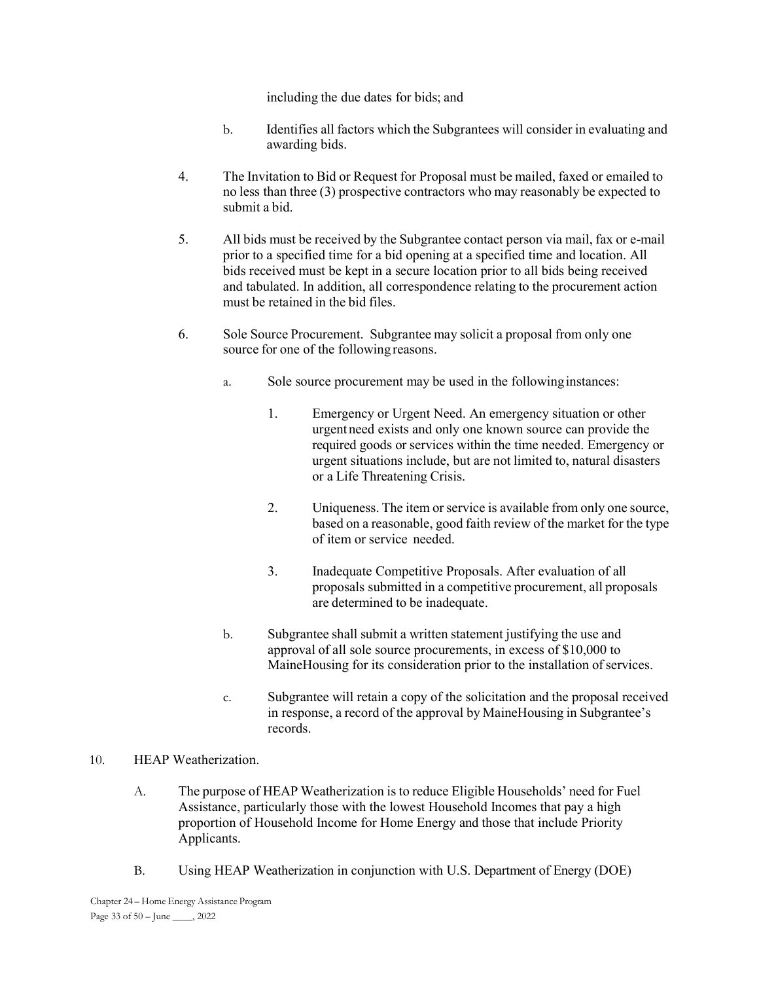including the due dates for bids; and

- b. Identifies all factors which the Subgrantees will consider in evaluating and awarding bids.
- 4. The Invitation to Bid or Request for Proposal must be mailed, faxed or emailed to no less than three (3) prospective contractors who may reasonably be expected to submit a bid.
- 5. All bids must be received by the Subgrantee contact person via mail, fax or e-mail prior to a specified time for a bid opening at a specified time and location. All bids received must be kept in a secure location prior to all bids being received and tabulated. In addition, all correspondence relating to the procurement action must be retained in the bid files.
- 6. Sole Source Procurement. Subgrantee may solicit a proposal from only one source for one of the following reasons.
	- a. Sole source procurement may be used in the following instances:
		- 1. Emergency or Urgent Need. An emergency situation or other urgent need exists and only one known source can provide the required goods or services within the time needed. Emergency or urgent situations include, but are not limited to, natural disasters or a Life Threatening Crisis.
		- 2. Uniqueness. The item or service is available from only one source, based on a reasonable, good faith review of the market for the type of item or service needed.
		- 3. Inadequate Competitive Proposals. After evaluation of all proposals submitted in a competitive procurement, all proposals are determined to be inadequate.
	- b. Subgrantee shall submit a written statement justifying the use and approval of all sole source procurements, in excess of \$10,000 to MaineHousing for its consideration prior to the installation of services.
	- c. Subgrantee will retain a copy of the solicitation and the proposal received in response, a record of the approval by MaineHousing in Subgrantee's records.

### 10. HEAP Weatherization.

- A. The purpose of HEAP Weatherization is to reduce Eligible Households' need for Fuel Assistance, particularly those with the lowest Household Incomes that pay a high proportion of Household Income for Home Energy and those that include Priority Applicants.
- B. Using HEAP Weatherization in conjunction with U.S. Department of Energy (DOE)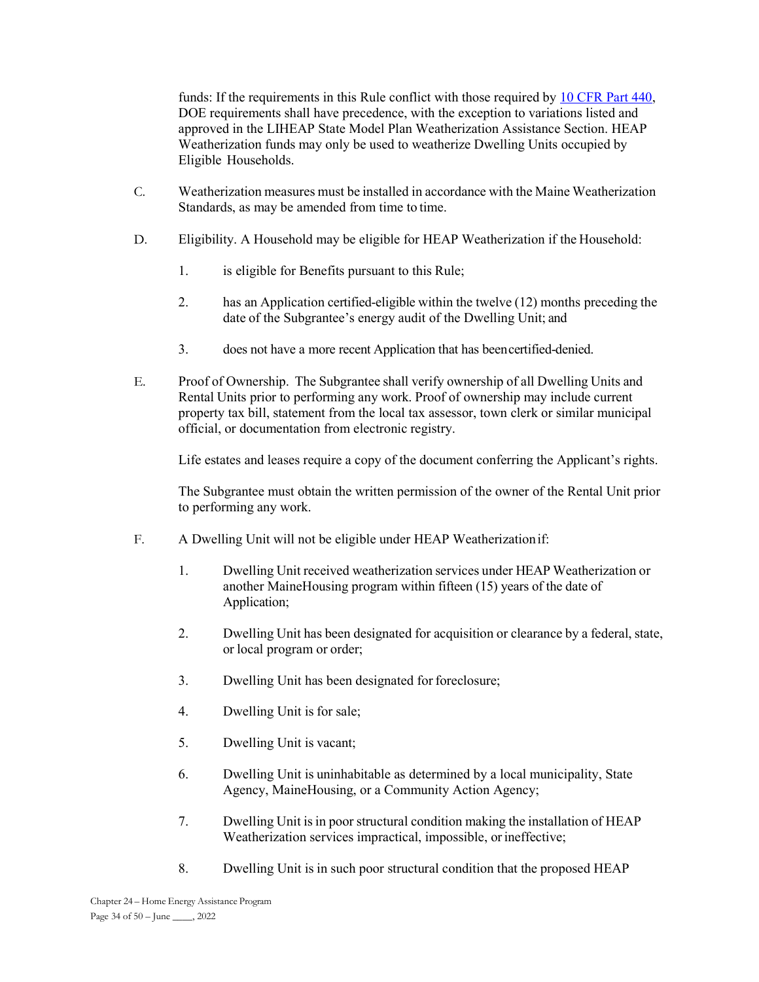funds: If the requirements in this Rule conflict with those required by 10 CFR Part 440, DOE requirements shall have precedence, with the exception to variations listed and approved in the LIHEAP State Model Plan Weatherization Assistance Section. HEAP Weatherization funds may only be used to weatherize Dwelling Units occupied by Eligible Households.

- C. Weatherization measures must be installed in accordance with the Maine Weatherization Standards, as may be amended from time to time.
- D. Eligibility. A Household may be eligible for HEAP Weatherization if the Household:
	- 1. is eligible for Benefits pursuant to this Rule;
	- 2. has an Application certified-eligible within the twelve (12) months preceding the date of the Subgrantee's energy audit of the Dwelling Unit; and
	- 3. does not have a more recent Application that has been certified-denied.
- E. Proof of Ownership. The Subgrantee shall verify ownership of all Dwelling Units and Rental Units prior to performing any work. Proof of ownership may include current property tax bill, statement from the local tax assessor, town clerk or similar municipal official, or documentation from electronic registry.

Life estates and leases require a copy of the document conferring the Applicant's rights.

The Subgrantee must obtain the written permission of the owner of the Rental Unit prior to performing any work.

- F. A Dwelling Unit will not be eligible under HEAP Weatherization if:
	- 1. Dwelling Unit received weatherization services under HEAP Weatherization or another MaineHousing program within fifteen (15) years of the date of Application;
	- 2. Dwelling Unit has been designated for acquisition or clearance by a federal, state, or local program or order;
	- 3. Dwelling Unit has been designated for foreclosure;
	- 4. Dwelling Unit is for sale;
	- 5. Dwelling Unit is vacant;
	- 6. Dwelling Unit is uninhabitable as determined by a local municipality, State Agency, MaineHousing, or a Community Action Agency;
	- 7. Dwelling Unit is in poor structural condition making the installation of HEAP Weatherization services impractical, impossible, or ineffective;
	- 8. Dwelling Unit is in such poor structural condition that the proposed HEAP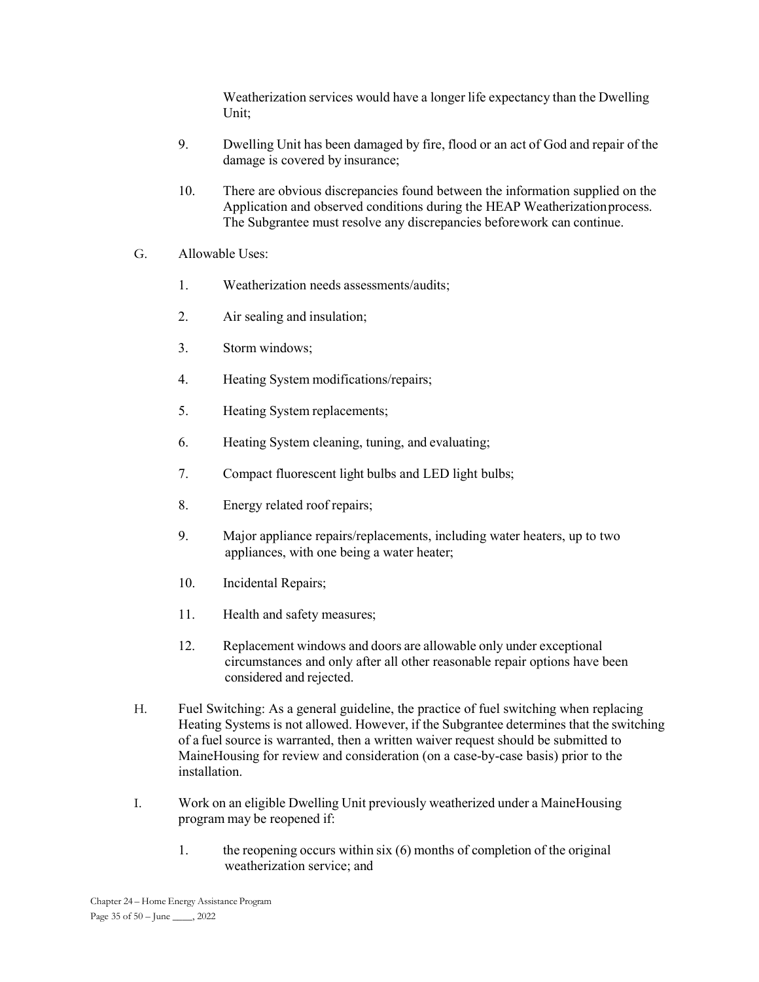Weatherization services would have a longer life expectancy than the Dwelling Unit;

- 9. Dwelling Unit has been damaged by fire, flood or an act of God and repair of the damage is covered by insurance;
- 10. There are obvious discrepancies found between the information supplied on the Application and observed conditions during the HEAP Weatherization process. The Subgrantee must resolve any discrepancies before work can continue.
- G. Allowable Uses:
	- 1. Weatherization needs assessments/audits;
	- 2. Air sealing and insulation;
	- 3. Storm windows;
	- 4. Heating System modifications/repairs;
	- 5. Heating System replacements;
	- 6. Heating System cleaning, tuning, and evaluating;
	- 7. Compact fluorescent light bulbs and LED light bulbs;
	- 8. Energy related roof repairs;
	- 9. Major appliance repairs/replacements, including water heaters, up to two appliances, with one being a water heater;
	- 10. Incidental Repairs;
	- 11. Health and safety measures;
	- 12. Replacement windows and doors are allowable only under exceptional circumstances and only after all other reasonable repair options have been considered and rejected.
- H. Fuel Switching: As a general guideline, the practice of fuel switching when replacing Heating Systems is not allowed. However, if the Subgrantee determines that the switching of a fuel source is warranted, then a written waiver request should be submitted to MaineHousing for review and consideration (on a case-by-case basis) prior to the installation.
- I. Work on an eligible Dwelling Unit previously weatherized under a MaineHousing program may be reopened if:
	- 1. the reopening occurs within six (6) months of completion of the original weatherization service; and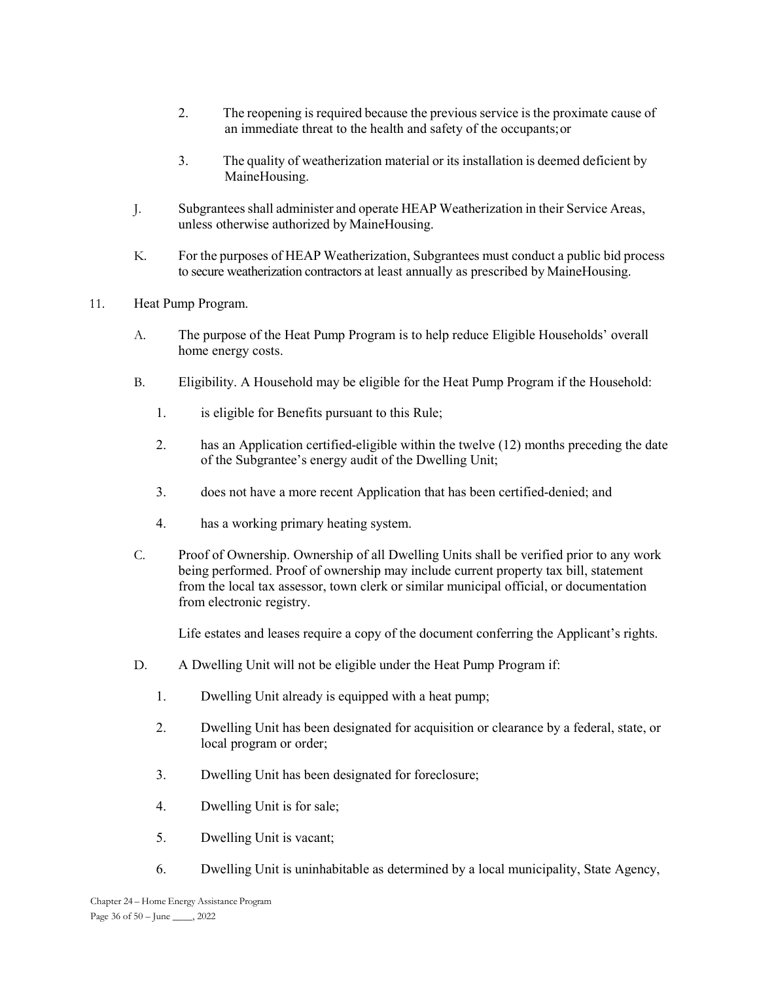- 2. The reopening is required because the previous service is the proximate cause of an immediate threat to the health and safety of the occupants; or
- 3. The quality of weatherization material or its installation is deemed deficient by MaineHousing.
- J. Subgrantees shall administer and operate HEAP Weatherization in their Service Areas, unless otherwise authorized by MaineHousing.
- K. For the purposes of HEAP Weatherization, Subgrantees must conduct a public bid process to secure weatherization contractors at least annually as prescribed by MaineHousing.
- 11. Heat Pump Program.
	- A. The purpose of the Heat Pump Program is to help reduce Eligible Households' overall home energy costs.
	- B. Eligibility. A Household may be eligible for the Heat Pump Program if the Household:
		- 1. is eligible for Benefits pursuant to this Rule;
		- 2. has an Application certified-eligible within the twelve (12) months preceding the date of the Subgrantee's energy audit of the Dwelling Unit;
		- 3. does not have a more recent Application that has been certified-denied; and
		- 4. has a working primary heating system.
	- C. Proof of Ownership. Ownership of all Dwelling Units shall be verified prior to any work being performed. Proof of ownership may include current property tax bill, statement from the local tax assessor, town clerk or similar municipal official, or documentation from electronic registry.

Life estates and leases require a copy of the document conferring the Applicant's rights.

- D. A Dwelling Unit will not be eligible under the Heat Pump Program if:
	- 1. Dwelling Unit already is equipped with a heat pump;
	- 2. Dwelling Unit has been designated for acquisition or clearance by a federal, state, or local program or order;
	- 3. Dwelling Unit has been designated for foreclosure;
	- 4. Dwelling Unit is for sale;
	- 5. Dwelling Unit is vacant;
	- 6. Dwelling Unit is uninhabitable as determined by a local municipality, State Agency,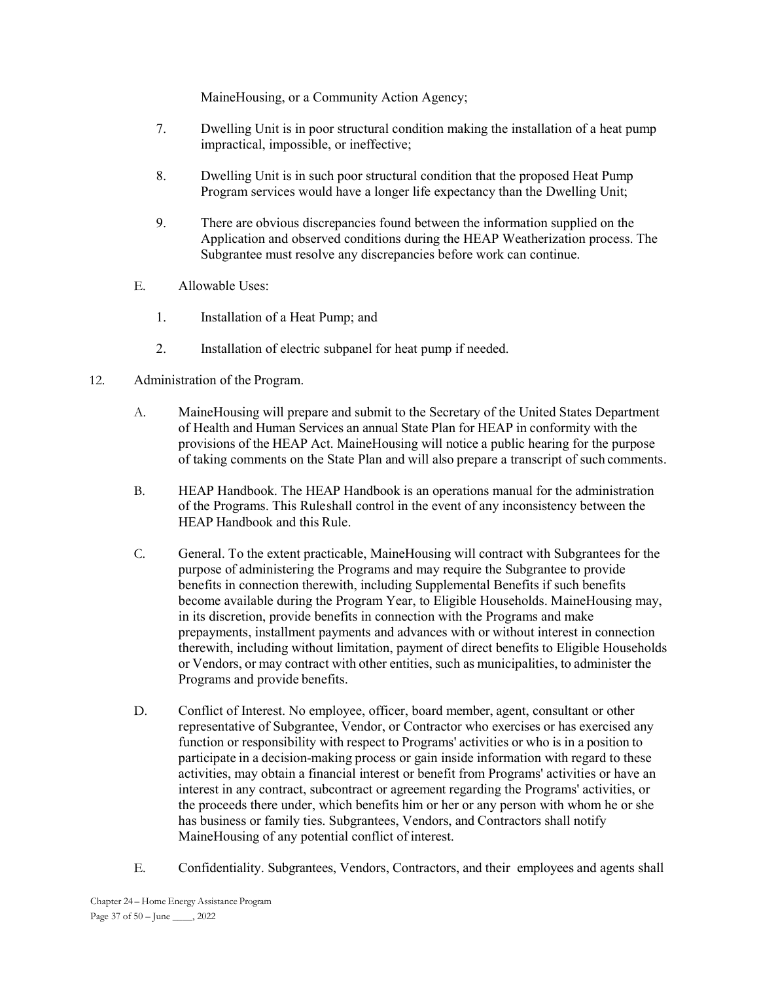MaineHousing, or a Community Action Agency;

- 7. Dwelling Unit is in poor structural condition making the installation of a heat pump impractical, impossible, or ineffective;
- 8. Dwelling Unit is in such poor structural condition that the proposed Heat Pump Program services would have a longer life expectancy than the Dwelling Unit;
- 9. There are obvious discrepancies found between the information supplied on the Application and observed conditions during the HEAP Weatherization process. The Subgrantee must resolve any discrepancies before work can continue.
- E. Allowable Uses:
	- 1. Installation of a Heat Pump; and
	- 2. Installation of electric subpanel for heat pump if needed.
- 12. Administration of the Program.
	- A. MaineHousing will prepare and submit to the Secretary of the United States Department of Health and Human Services an annual State Plan for HEAP in conformity with the provisions of the HEAP Act. MaineHousing will notice a public hearing for the purpose of taking comments on the State Plan and will also prepare a transcript of such comments.
	- B. HEAP Handbook. The HEAP Handbook is an operations manual for the administration of the Programs. This Rule shall control in the event of any inconsistency between the HEAP Handbook and this Rule.
	- C. General. To the extent practicable, MaineHousing will contract with Subgrantees for the purpose of administering the Programs and may require the Subgrantee to provide benefits in connection therewith, including Supplemental Benefits if such benefits become available during the Program Year, to Eligible Households. MaineHousing may, in its discretion, provide benefits in connection with the Programs and make prepayments, installment payments and advances with or without interest in connection therewith, including without limitation, payment of direct benefits to Eligible Households or Vendors, or may contract with other entities, such as municipalities, to administer the Programs and provide benefits.
	- D. Conflict of Interest. No employee, officer, board member, agent, consultant or other representative of Subgrantee, Vendor, or Contractor who exercises or has exercised any function or responsibility with respect to Programs' activities or who is in a position to participate in a decision-making process or gain inside information with regard to these activities, may obtain a financial interest or benefit from Programs' activities or have an interest in any contract, subcontract or agreement regarding the Programs' activities, or the proceeds there under, which benefits him or her or any person with whom he or she has business or family ties. Subgrantees, Vendors, and Contractors shall notify MaineHousing of any potential conflict of interest.
	- E. Confidentiality. Subgrantees, Vendors, Contractors, and their employees and agents shall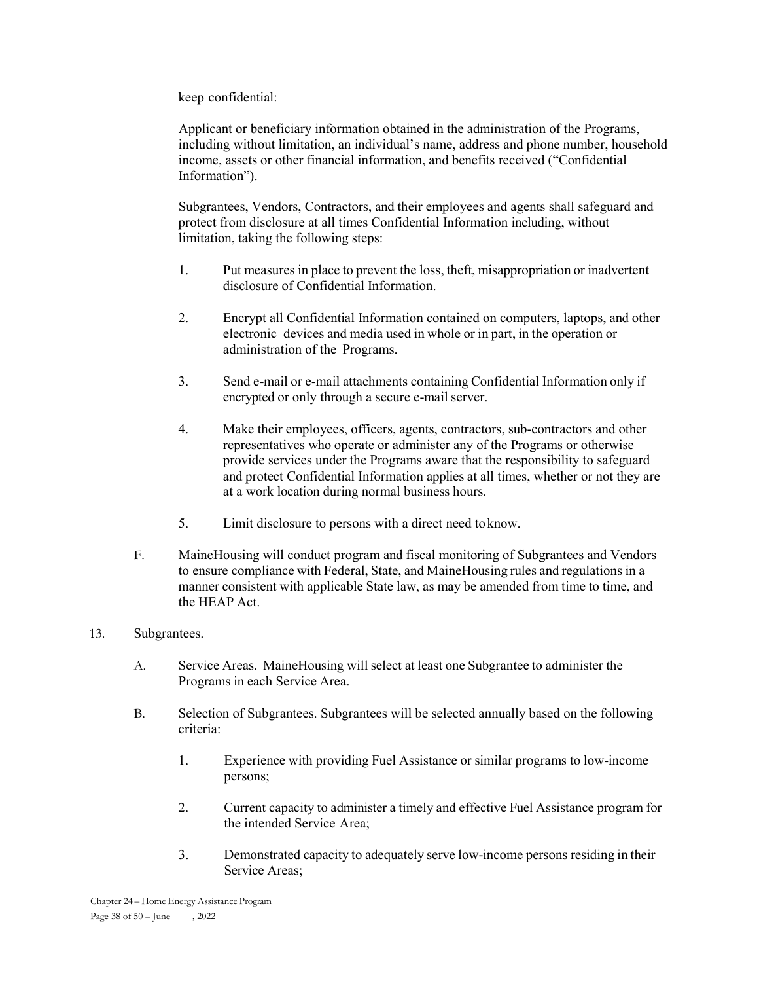keep confidential:

 Applicant or beneficiary information obtained in the administration of the Programs, including without limitation, an individual's name, address and phone number, household income, assets or other financial information, and benefits received ("Confidential Information").

 Subgrantees, Vendors, Contractors, and their employees and agents shall safeguard and protect from disclosure at all times Confidential Information including, without limitation, taking the following steps:

- 1. Put measures in place to prevent the loss, theft, misappropriation or inadvertent disclosure of Confidential Information.
- 2. Encrypt all Confidential Information contained on computers, laptops, and other electronic devices and media used in whole or in part, in the operation or administration of the Programs.
- 3. Send e-mail or e-mail attachments containing Confidential Information only if encrypted or only through a secure e-mail server.
- 4. Make their employees, officers, agents, contractors, sub-contractors and other representatives who operate or administer any of the Programs or otherwise provide services under the Programs aware that the responsibility to safeguard and protect Confidential Information applies at all times, whether or not they are at a work location during normal business hours.
- 5. Limit disclosure to persons with a direct need to know.
- F. MaineHousing will conduct program and fiscal monitoring of Subgrantees and Vendors to ensure compliance with Federal, State, and MaineHousing rules and regulations in a manner consistent with applicable State law, as may be amended from time to time, and the HEAP Act.

### 13. Subgrantees.

- A. Service Areas. MaineHousing will select at least one Subgrantee to administer the Programs in each Service Area.
- B. Selection of Subgrantees. Subgrantees will be selected annually based on the following criteria:
	- 1. Experience with providing Fuel Assistance or similar programs to low-income persons;
	- 2. Current capacity to administer a timely and effective Fuel Assistance program for the intended Service Area;
	- 3. Demonstrated capacity to adequately serve low-income persons residing in their Service Areas;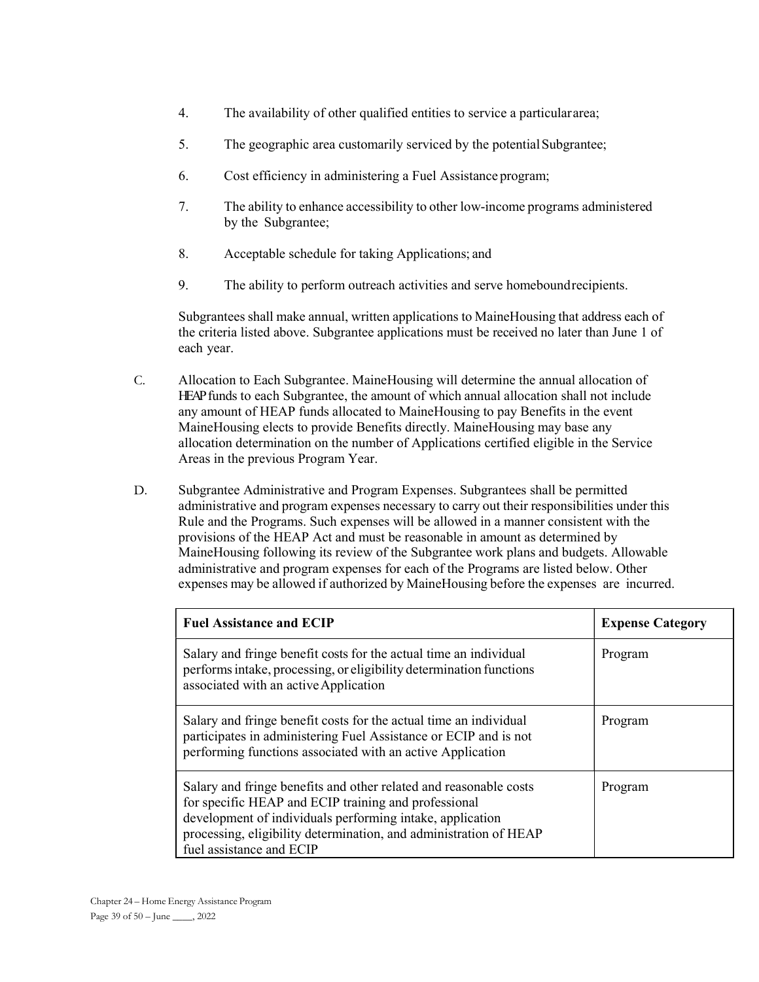- 4. The availability of other qualified entities to service a particular area;
- 5. The geographic area customarily serviced by the potential Subgrantee;
- 6. Cost efficiency in administering a Fuel Assistance program;
- 7. The ability to enhance accessibility to other low-income programs administered by the Subgrantee;
- 8. Acceptable schedule for taking Applications; and
- 9. The ability to perform outreach activities and serve homebound recipients.

Subgrantees shall make annual, written applications to MaineHousing that address each of the criteria listed above. Subgrantee applications must be received no later than June 1 of each year.

- C. Allocation to Each Subgrantee. MaineHousing will determine the annual allocation of HEAP funds to each Subgrantee, the amount of which annual allocation shall not include any amount of HEAP funds allocated to MaineHousing to pay Benefits in the event MaineHousing elects to provide Benefits directly. MaineHousing may base any allocation determination on the number of Applications certified eligible in the Service Areas in the previous Program Year.
- D. Subgrantee Administrative and Program Expenses. Subgrantees shall be permitted administrative and program expenses necessary to carry out their responsibilities under this Rule and the Programs. Such expenses will be allowed in a manner consistent with the provisions of the HEAP Act and must be reasonable in amount as determined by MaineHousing following its review of the Subgrantee work plans and budgets. Allowable administrative and program expenses for each of the Programs are listed below. Other expenses may be allowed if authorized by MaineHousing before the expenses are incurred.

| <b>Fuel Assistance and ECIP</b>                                                                                                                                                                                                                                                         | <b>Expense Category</b> |
|-----------------------------------------------------------------------------------------------------------------------------------------------------------------------------------------------------------------------------------------------------------------------------------------|-------------------------|
| Salary and fringe benefit costs for the actual time an individual<br>performs intake, processing, or eligibility determination functions<br>associated with an active Application                                                                                                       | Program                 |
| Salary and fringe benefit costs for the actual time an individual<br>participates in administering Fuel Assistance or ECIP and is not<br>performing functions associated with an active Application                                                                                     | Program                 |
| Salary and fringe benefits and other related and reasonable costs<br>for specific HEAP and ECIP training and professional<br>development of individuals performing intake, application<br>processing, eligibility determination, and administration of HEAP<br>fuel assistance and ECIP | Program                 |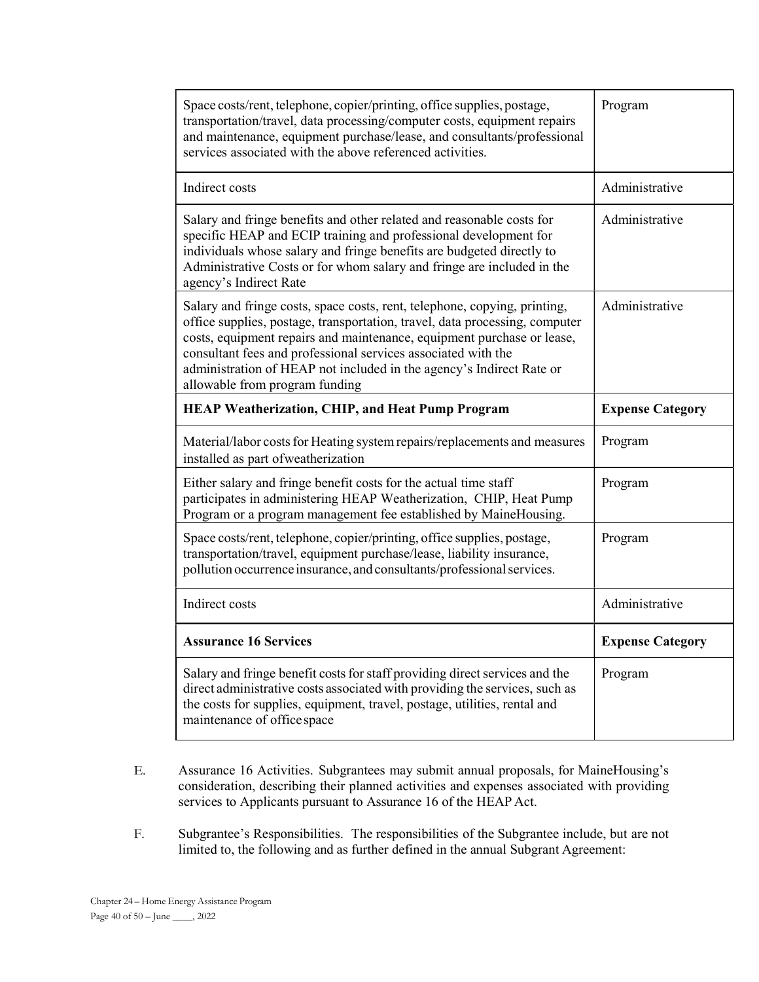| Space costs/rent, telephone, copier/printing, office supplies, postage,<br>transportation/travel, data processing/computer costs, equipment repairs<br>and maintenance, equipment purchase/lease, and consultants/professional<br>services associated with the above referenced activities.                                                                                                                   | Program                 |
|---------------------------------------------------------------------------------------------------------------------------------------------------------------------------------------------------------------------------------------------------------------------------------------------------------------------------------------------------------------------------------------------------------------|-------------------------|
| Indirect costs                                                                                                                                                                                                                                                                                                                                                                                                | Administrative          |
| Salary and fringe benefits and other related and reasonable costs for<br>specific HEAP and ECIP training and professional development for<br>individuals whose salary and fringe benefits are budgeted directly to<br>Administrative Costs or for whom salary and fringe are included in the<br>agency's Indirect Rate                                                                                        | Administrative          |
| Salary and fringe costs, space costs, rent, telephone, copying, printing,<br>office supplies, postage, transportation, travel, data processing, computer<br>costs, equipment repairs and maintenance, equipment purchase or lease,<br>consultant fees and professional services associated with the<br>administration of HEAP not included in the agency's Indirect Rate or<br>allowable from program funding | Administrative          |
| <b>HEAP Weatherization, CHIP, and Heat Pump Program</b>                                                                                                                                                                                                                                                                                                                                                       | <b>Expense Category</b> |
| Material/labor costs for Heating system repairs/replacements and measures<br>installed as part of weatherization                                                                                                                                                                                                                                                                                              | Program                 |
| Either salary and fringe benefit costs for the actual time staff<br>participates in administering HEAP Weatherization, CHIP, Heat Pump<br>Program or a program management fee established by MaineHousing.                                                                                                                                                                                                    | Program                 |
| Space costs/rent, telephone, copier/printing, office supplies, postage,<br>transportation/travel, equipment purchase/lease, liability insurance,<br>pollution occurrence insurance, and consultants/professional services.                                                                                                                                                                                    | Program                 |
| Indirect costs                                                                                                                                                                                                                                                                                                                                                                                                |                         |
|                                                                                                                                                                                                                                                                                                                                                                                                               | Administrative          |
| <b>Assurance 16 Services</b>                                                                                                                                                                                                                                                                                                                                                                                  | <b>Expense Category</b> |

- E. Assurance 16 Activities. Subgrantees may submit annual proposals, for MaineHousing's consideration, describing their planned activities and expenses associated with providing services to Applicants pursuant to Assurance 16 of the HEAP Act.
- F. Subgrantee's Responsibilities. The responsibilities of the Subgrantee include, but are not limited to, the following and as further defined in the annual Subgrant Agreement: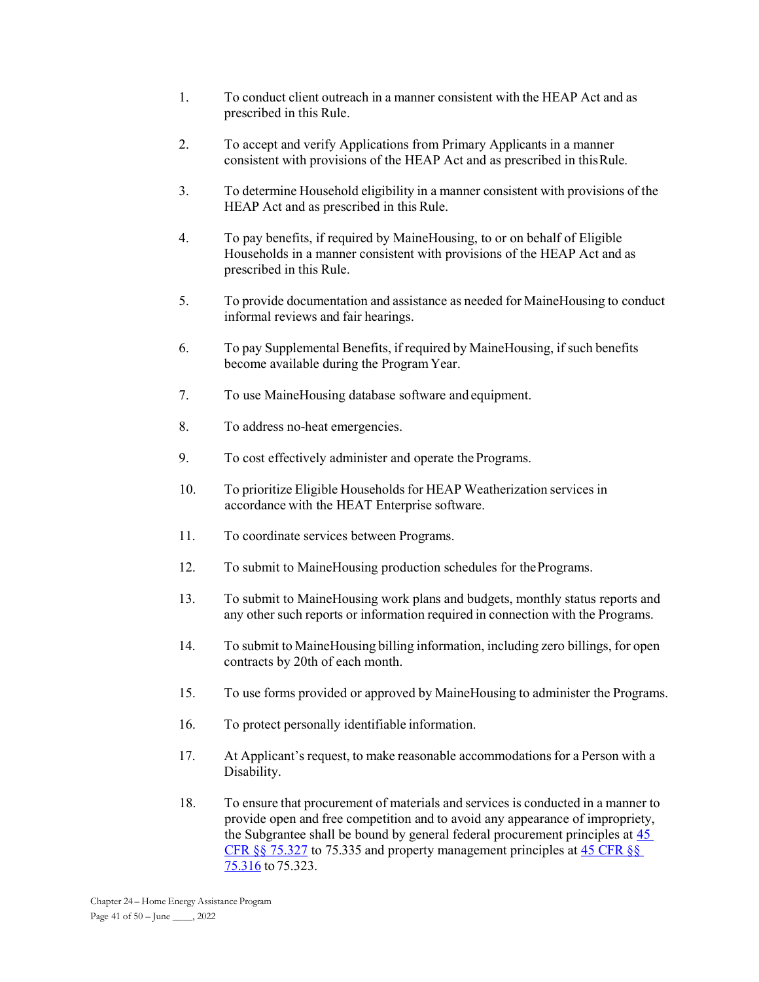- 1. To conduct client outreach in a manner consistent with the HEAP Act and as prescribed in this Rule.
- 2. To accept and verify Applications from Primary Applicants in a manner consistent with provisions of the HEAP Act and as prescribed in this Rule.
- 3. To determine Household eligibility in a manner consistent with provisions of the HEAP Act and as prescribed in this Rule.
- 4. To pay benefits, if required by MaineHousing, to or on behalf of Eligible Households in a manner consistent with provisions of the HEAP Act and as prescribed in this Rule.
- 5. To provide documentation and assistance as needed for MaineHousing to conduct informal reviews and fair hearings.
- 6. To pay Supplemental Benefits, if required by MaineHousing, if such benefits become available during the Program Year.
- 7. To use MaineHousing database software and equipment.
- 8. To address no-heat emergencies.
- 9. To cost effectively administer and operate the Programs.
- 10. To prioritize Eligible Households for HEAP Weatherization services in accordance with the HEAT Enterprise software.
- 11. To coordinate services between Programs.
- 12. To submit to MaineHousing production schedules for the Programs.
- 13. To submit to MaineHousing work plans and budgets, monthly status reports and any other such reports or information required in connection with the Programs.
- 14. To submit to MaineHousing billing information, including zero billings, for open contracts by 20th of each month.
- 15. To use forms provided or approved by MaineHousing to administer the Programs.
- 16. To protect personally identifiable information.
- 17. At Applicant's request, to make reasonable accommodations for a Person with a Disability.
- 18. To ensure that procurement of materials and services is conducted in a manner to provide open and free competition and to avoid any appearance of impropriety, the Subgrantee shall be bound by general federal procurement principles at 45 CFR §§ 75.327 to 75.335 and property management principles at 45 CFR §§ 75.316 to 75.323.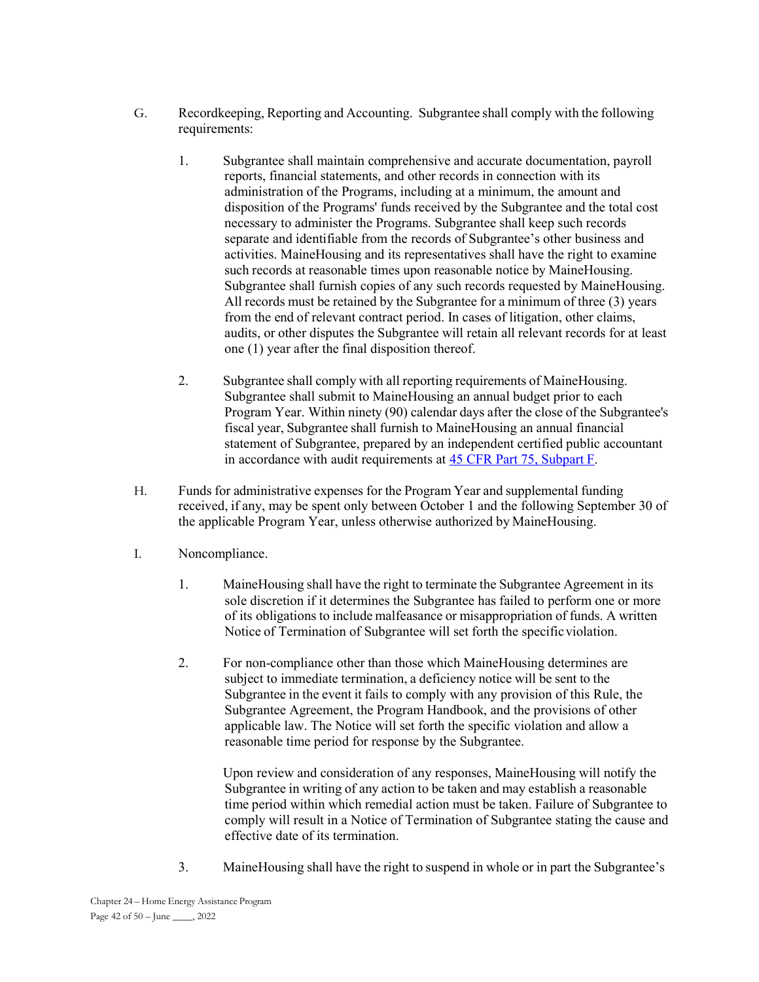- G. Recordkeeping, Reporting and Accounting. Subgrantee shall comply with the following requirements:
	- 1. Subgrantee shall maintain comprehensive and accurate documentation, payroll reports, financial statements, and other records in connection with its administration of the Programs, including at a minimum, the amount and disposition of the Programs' funds received by the Subgrantee and the total cost necessary to administer the Programs. Subgrantee shall keep such records separate and identifiable from the records of Subgrantee's other business and activities. MaineHousing and its representatives shall have the right to examine such records at reasonable times upon reasonable notice by MaineHousing. Subgrantee shall furnish copies of any such records requested by MaineHousing. All records must be retained by the Subgrantee for a minimum of three (3) years from the end of relevant contract period. In cases of litigation, other claims, audits, or other disputes the Subgrantee will retain all relevant records for at least one (1) year after the final disposition thereof.
	- 2. Subgrantee shall comply with all reporting requirements of MaineHousing. Subgrantee shall submit to MaineHousing an annual budget prior to each Program Year. Within ninety (90) calendar days after the close of the Subgrantee's fiscal year, Subgrantee shall furnish to MaineHousing an annual financial statement of Subgrantee, prepared by an independent certified public accountant in accordance with audit requirements at 45 CFR Part 75, Subpart F.
- H. Funds for administrative expenses for the Program Year and supplemental funding received, if any, may be spent only between October 1 and the following September 30 of the applicable Program Year, unless otherwise authorized by MaineHousing.
- I. Noncompliance.
	- 1. MaineHousing shall have the right to terminate the Subgrantee Agreement in its sole discretion if it determines the Subgrantee has failed to perform one or more of its obligations to include malfeasance or misappropriation of funds. A written Notice of Termination of Subgrantee will set forth the specific violation.
	- 2. For non-compliance other than those which MaineHousing determines are subject to immediate termination, a deficiency notice will be sent to the Subgrantee in the event it fails to comply with any provision of this Rule, the Subgrantee Agreement, the Program Handbook, and the provisions of other applicable law. The Notice will set forth the specific violation and allow a reasonable time period for response by the Subgrantee.

 Upon review and consideration of any responses, MaineHousing will notify the Subgrantee in writing of any action to be taken and may establish a reasonable time period within which remedial action must be taken. Failure of Subgrantee to comply will result in a Notice of Termination of Subgrantee stating the cause and effective date of its termination.

3. MaineHousing shall have the right to suspend in whole or in part the Subgrantee's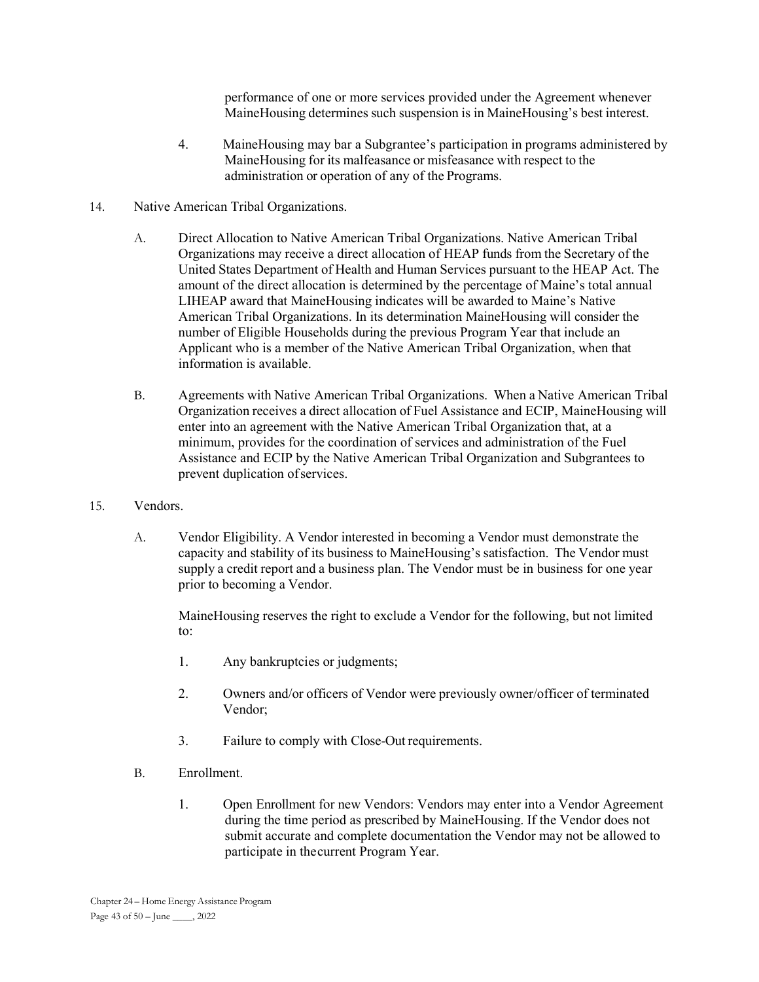performance of one or more services provided under the Agreement whenever MaineHousing determines such suspension is in MaineHousing's best interest.

- 4. MaineHousing may bar a Subgrantee's participation in programs administered by MaineHousing for its malfeasance or misfeasance with respect to the administration or operation of any of the Programs.
- 14. Native American Tribal Organizations.
	- A. Direct Allocation to Native American Tribal Organizations. Native American Tribal Organizations may receive a direct allocation of HEAP funds from the Secretary of the United States Department of Health and Human Services pursuant to the HEAP Act. The amount of the direct allocation is determined by the percentage of Maine's total annual LIHEAP award that MaineHousing indicates will be awarded to Maine's Native American Tribal Organizations. In its determination MaineHousing will consider the number of Eligible Households during the previous Program Year that include an Applicant who is a member of the Native American Tribal Organization, when that information is available.
	- B. Agreements with Native American Tribal Organizations. When a Native American Tribal Organization receives a direct allocation of Fuel Assistance and ECIP, MaineHousing will enter into an agreement with the Native American Tribal Organization that, at a minimum, provides for the coordination of services and administration of the Fuel Assistance and ECIP by the Native American Tribal Organization and Subgrantees to prevent duplication of services.
- 15. Vendors.
	- A. Vendor Eligibility. A Vendor interested in becoming a Vendor must demonstrate the capacity and stability of its business to MaineHousing's satisfaction. The Vendor must supply a credit report and a business plan. The Vendor must be in business for one year prior to becoming a Vendor.

 MaineHousing reserves the right to exclude a Vendor for the following, but not limited to:

- 1. Any bankruptcies or judgments;
- 2. Owners and/or officers of Vendor were previously owner/officer of terminated Vendor;
- 3. Failure to comply with Close-Out requirements.
- B. Enrollment.
	- 1. Open Enrollment for new Vendors: Vendors may enter into a Vendor Agreement during the time period as prescribed by MaineHousing. If the Vendor does not submit accurate and complete documentation the Vendor may not be allowed to participate in the current Program Year.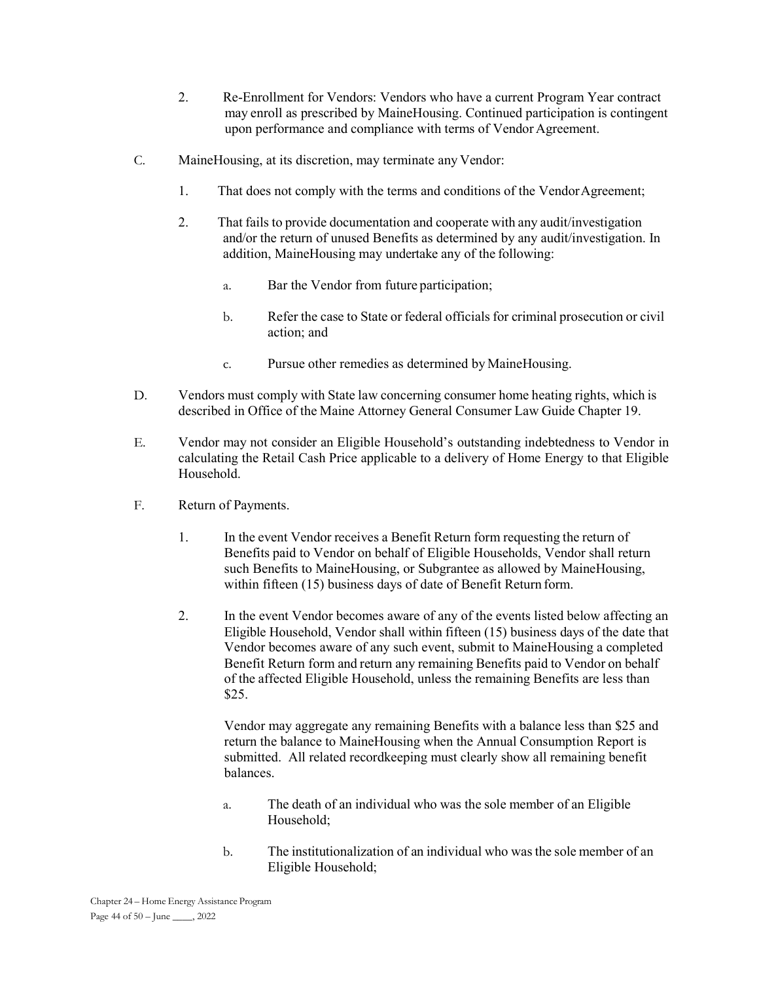- 2. Re-Enrollment for Vendors: Vendors who have a current Program Year contract may enroll as prescribed by MaineHousing. Continued participation is contingent upon performance and compliance with terms of Vendor Agreement.
- C. MaineHousing, at its discretion, may terminate any Vendor:
	- 1. That does not comply with the terms and conditions of the Vendor Agreement;
	- 2. That fails to provide documentation and cooperate with any audit/investigation and/or the return of unused Benefits as determined by any audit/investigation. In addition, MaineHousing may undertake any of the following:
		- a. Bar the Vendor from future participation;
		- b. Refer the case to State or federal officials for criminal prosecution or civil action; and
		- c. Pursue other remedies as determined by MaineHousing.
- D. Vendors must comply with State law concerning consumer home heating rights, which is described in Office of the Maine Attorney General Consumer Law Guide Chapter 19.
- E. Vendor may not consider an Eligible Household's outstanding indebtedness to Vendor in calculating the Retail Cash Price applicable to a delivery of Home Energy to that Eligible Household.
- F. Return of Payments.
	- 1. In the event Vendor receives a Benefit Return form requesting the return of Benefits paid to Vendor on behalf of Eligible Households, Vendor shall return such Benefits to MaineHousing, or Subgrantee as allowed by MaineHousing, within fifteen (15) business days of date of Benefit Return form.
	- 2. In the event Vendor becomes aware of any of the events listed below affecting an Eligible Household, Vendor shall within fifteen (15) business days of the date that Vendor becomes aware of any such event, submit to MaineHousing a completed Benefit Return form and return any remaining Benefits paid to Vendor on behalf of the affected Eligible Household, unless the remaining Benefits are less than \$25.

 Vendor may aggregate any remaining Benefits with a balance less than \$25 and return the balance to MaineHousing when the Annual Consumption Report is submitted. All related recordkeeping must clearly show all remaining benefit balances.

- a. The death of an individual who was the sole member of an Eligible Household;
- b. The institutionalization of an individual who was the sole member of an Eligible Household;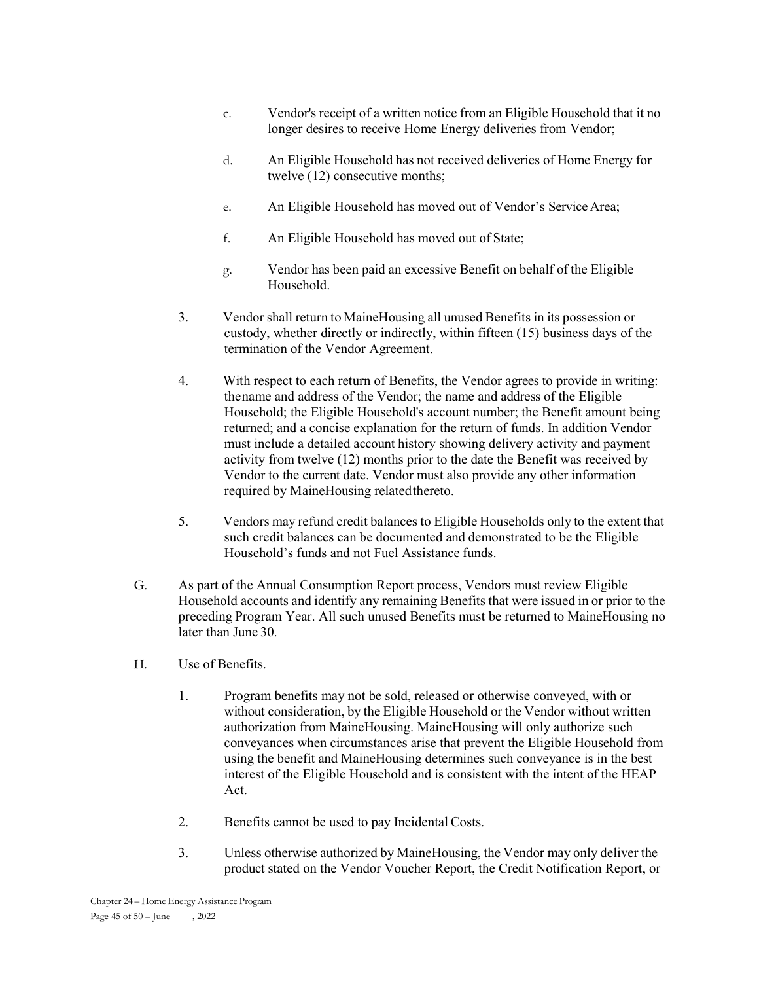- c. Vendor's receipt of a written notice from an Eligible Household that it no longer desires to receive Home Energy deliveries from Vendor;
- d. An Eligible Household has not received deliveries of Home Energy for twelve (12) consecutive months;
- e. An Eligible Household has moved out of Vendor's Service Area;
- f. An Eligible Household has moved out of State;
- g. Vendor has been paid an excessive Benefit on behalf of the Eligible Household.
- 3. Vendor shall return to MaineHousing all unused Benefits in its possession or custody, whether directly or indirectly, within fifteen (15) business days of the termination of the Vendor Agreement.
- 4. With respect to each return of Benefits, the Vendor agrees to provide in writing: the name and address of the Vendor; the name and address of the Eligible Household; the Eligible Household's account number; the Benefit amount being returned; and a concise explanation for the return of funds. In addition Vendor must include a detailed account history showing delivery activity and payment activity from twelve (12) months prior to the date the Benefit was received by Vendor to the current date. Vendor must also provide any other information required by MaineHousing related thereto.
- 5. Vendors may refund credit balances to Eligible Households only to the extent that such credit balances can be documented and demonstrated to be the Eligible Household's funds and not Fuel Assistance funds.
- G. As part of the Annual Consumption Report process, Vendors must review Eligible Household accounts and identify any remaining Benefits that were issued in or prior to the preceding Program Year. All such unused Benefits must be returned to MaineHousing no later than June 30.
- H. Use of Benefits.
	- 1. Program benefits may not be sold, released or otherwise conveyed, with or without consideration, by the Eligible Household or the Vendor without written authorization from MaineHousing. MaineHousing will only authorize such conveyances when circumstances arise that prevent the Eligible Household from using the benefit and MaineHousing determines such conveyance is in the best interest of the Eligible Household and is consistent with the intent of the HEAP Act.
	- 2. Benefits cannot be used to pay Incidental Costs.
	- 3. Unless otherwise authorized by MaineHousing, the Vendor may only deliver the product stated on the Vendor Voucher Report, the Credit Notification Report, or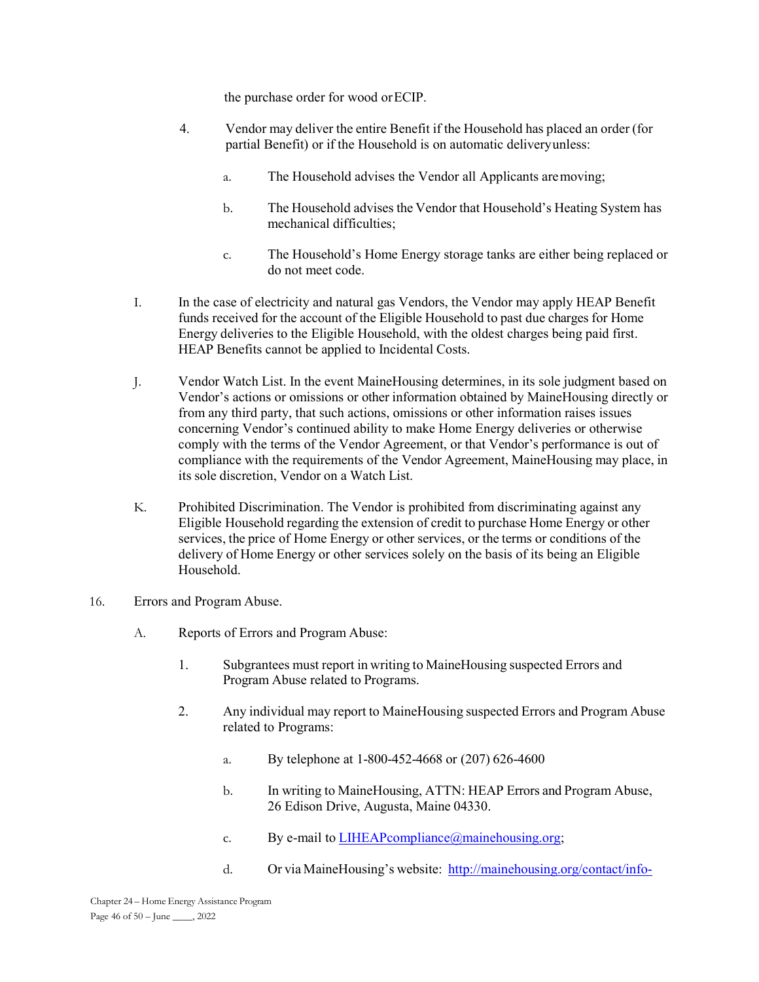the purchase order for wood or ECIP.

- 4. Vendor may deliver the entire Benefit if the Household has placed an order (for partial Benefit) or if the Household is on automatic delivery unless:
	- a. The Household advises the Vendor all Applicants are moving;
	- b. The Household advises the Vendor that Household's Heating System has mechanical difficulties;
	- c. The Household's Home Energy storage tanks are either being replaced or do not meet code.
- I. In the case of electricity and natural gas Vendors, the Vendor may apply HEAP Benefit funds received for the account of the Eligible Household to past due charges for Home Energy deliveries to the Eligible Household, with the oldest charges being paid first. HEAP Benefits cannot be applied to Incidental Costs.
- J. Vendor Watch List. In the event MaineHousing determines, in its sole judgment based on Vendor's actions or omissions or other information obtained by MaineHousing directly or from any third party, that such actions, omissions or other information raises issues concerning Vendor's continued ability to make Home Energy deliveries or otherwise comply with the terms of the Vendor Agreement, or that Vendor's performance is out of compliance with the requirements of the Vendor Agreement, MaineHousing may place, in its sole discretion, Vendor on a Watch List.
- K. Prohibited Discrimination. The Vendor is prohibited from discriminating against any Eligible Household regarding the extension of credit to purchase Home Energy or other services, the price of Home Energy or other services, or the terms or conditions of the delivery of Home Energy or other services solely on the basis of its being an Eligible Household.
- 16. Errors and Program Abuse.
	- A. Reports of Errors and Program Abuse:
		- 1. Subgrantees must report in writing to MaineHousing suspected Errors and Program Abuse related to Programs.
		- 2. Any individual may report to MaineHousing suspected Errors and Program Abuse related to Programs:
			- a. By telephone at 1-800-452-4668 or (207) 626-4600
			- b. In writing to MaineHousing, ATTN: HEAP Errors and Program Abuse, 26 Edison Drive, Augusta, Maine 04330.
			- c. By e-mail to  $LIHEAP{}compliance@mainehousing.org;$
			- d. Or via MaineHousing's website: http://mainehousing.org/contact/info-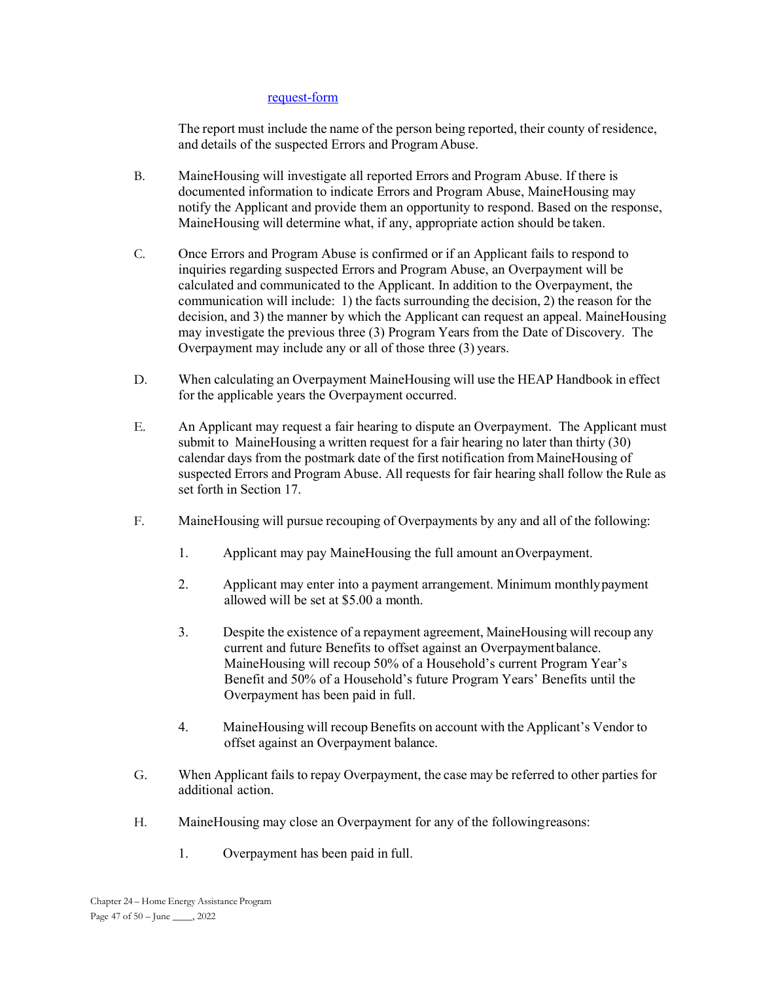#### request-form

The report must include the name of the person being reported, their county of residence, and details of the suspected Errors and Program Abuse.

- B. MaineHousing will investigate all reported Errors and Program Abuse. If there is documented information to indicate Errors and Program Abuse, MaineHousing may notify the Applicant and provide them an opportunity to respond. Based on the response, MaineHousing will determine what, if any, appropriate action should be taken.
- C. Once Errors and Program Abuse is confirmed or if an Applicant fails to respond to inquiries regarding suspected Errors and Program Abuse, an Overpayment will be calculated and communicated to the Applicant. In addition to the Overpayment, the communication will include: 1) the facts surrounding the decision, 2) the reason for the decision, and 3) the manner by which the Applicant can request an appeal. MaineHousing may investigate the previous three (3) Program Years from the Date of Discovery. The Overpayment may include any or all of those three (3) years.
- D. When calculating an Overpayment MaineHousing will use the HEAP Handbook in effect for the applicable years the Overpayment occurred.
- E. An Applicant may request a fair hearing to dispute an Overpayment. The Applicant must submit to MaineHousing a written request for a fair hearing no later than thirty (30) calendar days from the postmark date of the first notification from MaineHousing of suspected Errors and Program Abuse. All requests for fair hearing shall follow the Rule as set forth in Section 17.
- F. MaineHousing will pursue recouping of Overpayments by any and all of the following:
	- 1. Applicant may pay MaineHousing the full amount an Overpayment.
	- 2. Applicant may enter into a payment arrangement. Minimum monthly payment allowed will be set at \$5.00 a month.
	- 3. Despite the existence of a repayment agreement, MaineHousing will recoup any current and future Benefits to offset against an Overpayment balance. MaineHousing will recoup 50% of a Household's current Program Year's Benefit and 50% of a Household's future Program Years' Benefits until the Overpayment has been paid in full.
	- 4. MaineHousing will recoup Benefits on account with the Applicant's Vendor to offset against an Overpayment balance.
- G. When Applicant fails to repay Overpayment, the case may be referred to other parties for additional action.
- H. MaineHousing may close an Overpayment for any of the following reasons:
	- 1. Overpayment has been paid in full.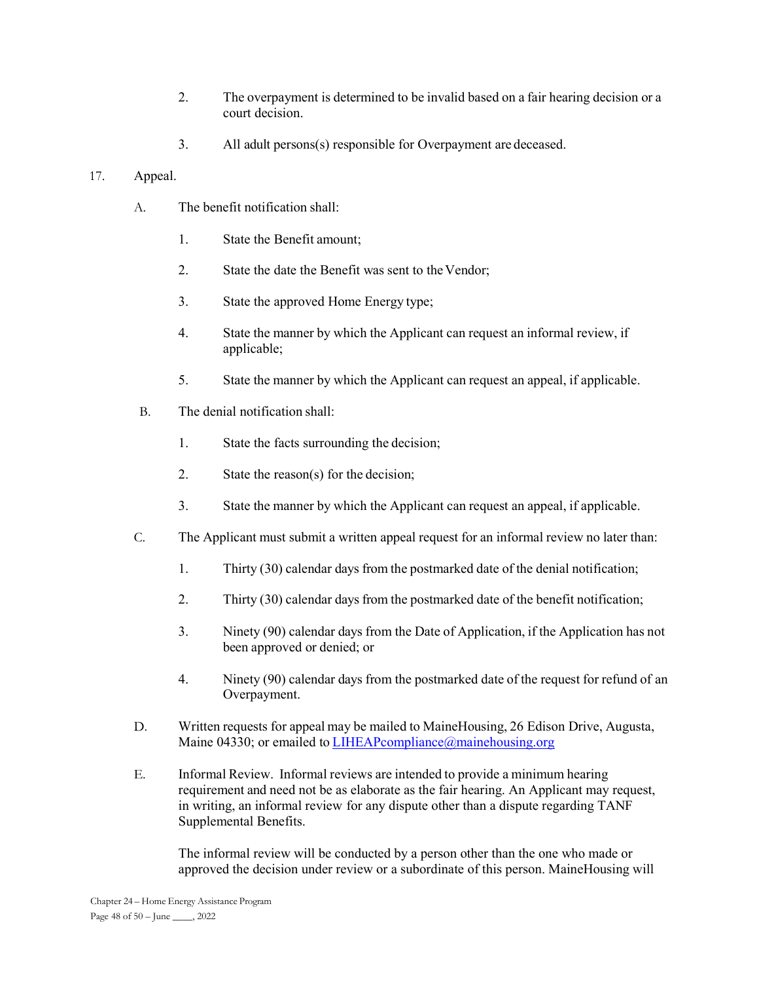- 2. The overpayment is determined to be invalid based on a fair hearing decision or a court decision.
- 3. All adult persons(s) responsible for Overpayment are deceased.

## 17. Appeal.

- A. The benefit notification shall:
	- 1. State the Benefit amount;
	- 2. State the date the Benefit was sent to the Vendor;
	- 3. State the approved Home Energy type;
	- 4. State the manner by which the Applicant can request an informal review, if applicable;
	- 5. State the manner by which the Applicant can request an appeal, if applicable.
- B. The denial notification shall:
	- 1. State the facts surrounding the decision;
	- 2. State the reason(s) for the decision;
	- 3. State the manner by which the Applicant can request an appeal, if applicable.
- C. The Applicant must submit a written appeal request for an informal review no later than:
	- 1. Thirty (30) calendar days from the postmarked date of the denial notification;
	- 2. Thirty (30) calendar days from the postmarked date of the benefit notification;
	- 3. Ninety (90) calendar days from the Date of Application, if the Application has not been approved or denied; or
	- 4. Ninety (90) calendar days from the postmarked date of the request for refund of an Overpayment.
- D. Written requests for appeal may be mailed to MaineHousing, 26 Edison Drive, Augusta, Maine 04330; or emailed to LIHEAPcompliance@mainehousing.org
- E. Informal Review. Informal reviews are intended to provide a minimum hearing requirement and need not be as elaborate as the fair hearing. An Applicant may request, in writing, an informal review for any dispute other than a dispute regarding TANF Supplemental Benefits.

The informal review will be conducted by a person other than the one who made or approved the decision under review or a subordinate of this person. MaineHousing will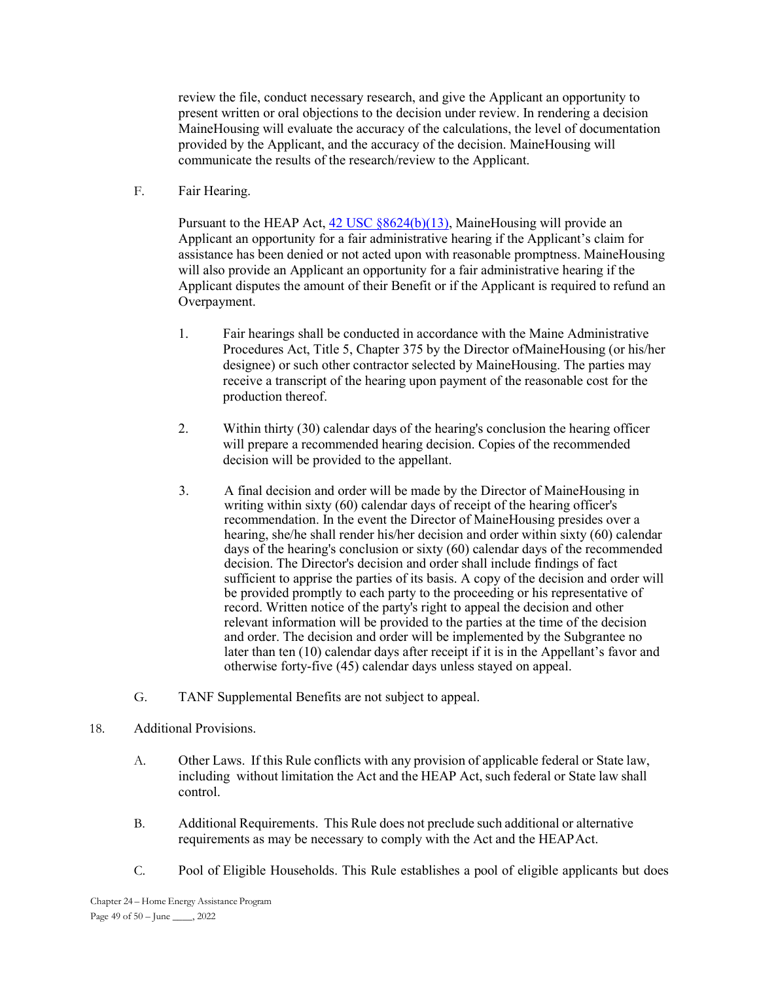review the file, conduct necessary research, and give the Applicant an opportunity to present written or oral objections to the decision under review. In rendering a decision MaineHousing will evaluate the accuracy of the calculations, the level of documentation provided by the Applicant, and the accuracy of the decision. MaineHousing will communicate the results of the research/review to the Applicant.

F. Fair Hearing.

Pursuant to the HEAP Act, 42 USC §8624(b)(13), MaineHousing will provide an Applicant an opportunity for a fair administrative hearing if the Applicant's claim for assistance has been denied or not acted upon with reasonable promptness. MaineHousing will also provide an Applicant an opportunity for a fair administrative hearing if the Applicant disputes the amount of their Benefit or if the Applicant is required to refund an Overpayment.

- 1. Fair hearings shall be conducted in accordance with the Maine Administrative Procedures Act, Title 5, Chapter 375 by the Director of MaineHousing (or his/her designee) or such other contractor selected by MaineHousing. The parties may receive a transcript of the hearing upon payment of the reasonable cost for the production thereof.
- 2. Within thirty (30) calendar days of the hearing's conclusion the hearing officer will prepare a recommended hearing decision. Copies of the recommended decision will be provided to the appellant.
- 3. A final decision and order will be made by the Director of MaineHousing in writing within sixty (60) calendar days of receipt of the hearing officer's recommendation. In the event the Director of MaineHousing presides over a hearing, she/he shall render his/her decision and order within sixty (60) calendar days of the hearing's conclusion or sixty (60) calendar days of the recommended decision. The Director's decision and order shall include findings of fact sufficient to apprise the parties of its basis. A copy of the decision and order will be provided promptly to each party to the proceeding or his representative of record. Written notice of the party's right to appeal the decision and other relevant information will be provided to the parties at the time of the decision and order. The decision and order will be implemented by the Subgrantee no later than ten (10) calendar days after receipt if it is in the Appellant's favor and otherwise forty-five (45) calendar days unless stayed on appeal.
- G. TANF Supplemental Benefits are not subject to appeal.
- 18. Additional Provisions.
	- A. Other Laws. If this Rule conflicts with any provision of applicable federal or State law, including without limitation the Act and the HEAP Act, such federal or State law shall control.
	- B. Additional Requirements. This Rule does not preclude such additional or alternative requirements as may be necessary to comply with the Act and the HEAP Act.
	- C. Pool of Eligible Households. This Rule establishes a pool of eligible applicants but does